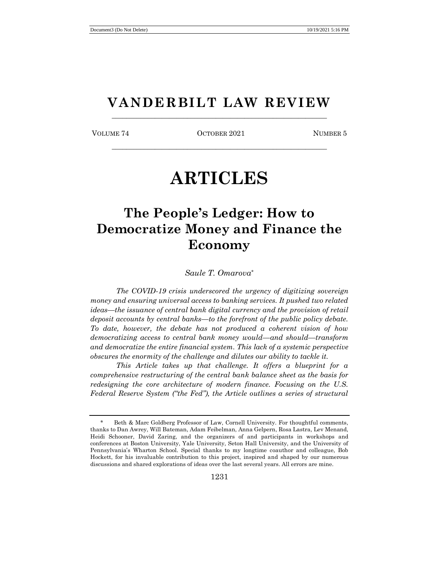# **VANDERBILT LAW REVIEW** \_\_\_\_\_\_\_\_\_\_\_\_\_\_\_\_\_\_\_\_\_\_\_\_\_\_\_\_\_\_\_\_\_\_\_\_\_\_\_\_\_\_\_\_\_\_\_\_\_\_\_\_\_\_\_\_\_\_\_\_

VOLUME 74 OCTOBER 2021 NUMBER 5 \_\_\_\_\_\_\_\_\_\_\_\_\_\_\_\_\_\_\_\_\_\_\_\_\_\_\_\_\_\_\_\_\_\_\_\_\_\_\_\_\_\_\_\_\_\_\_\_\_\_\_\_\_\_\_\_\_\_\_\_

# **ARTICLES**

# **The People's Ledger: How to Democratize Money and Finance the Economy**

*Saule T. Omarova\**

*The COVID-19 crisis underscored the urgency of digitizing sovereign money and ensuring universal access to banking services. It pushed two related ideas—the issuance of central bank digital currency and the provision of retail deposit accounts by central banks—to the forefront of the public policy debate. To date, however, the debate has not produced a coherent vision of how democratizing access to central bank money would—and should—transform and democratize the entire financial system. This lack of a systemic perspective obscures the enormity of the challenge and dilutes our ability to tackle it.* 

*This Article takes up that challenge. It offers a blueprint for a comprehensive restructuring of the central bank balance sheet as the basis for redesigning the core architecture of modern finance. Focusing on the U.S. Federal Reserve System ("the Fed"), the Article outlines a series of structural* 

Beth & Marc Goldberg Professor of Law, Cornell University. For thoughtful comments, thanks to Dan Awrey, Will Bateman, Adam Feibelman, Anna Gelpern, Rosa Lastra, Lev Menand, Heidi Schooner, David Zaring, and the organizers of and participants in workshops and conferences at Boston University, Yale University, Seton Hall University, and the University of Pennsylvania's Wharton School. Special thanks to my longtime coauthor and colleague, Bob Hockett, for his invaluable contribution to this project, inspired and shaped by our numerous discussions and shared explorations of ideas over the last several years. All errors are mine.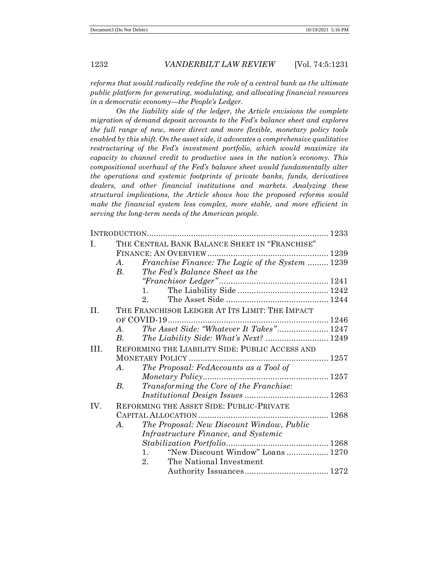*reforms that would radically redefine the role of a central bank as the ultimate public platform for generating, modulating, and allocating financial resources in a democratic economy—the People's Ledger.*

*On the liability side of the ledger, the Article envisions the complete migration of demand deposit accounts to the Fed's balance sheet and explores the full range of new, more direct and more flexible, monetary policy tools enabled by this shift. On the asset side, it advocates a comprehensive qualitative restructuring of the Fed's investment portfolio, which would maximize its capacity to channel credit to productive uses in the nation's economy. This compositional overhaul of the Fed's balance sheet would fundamentally alter the operations and systemic footprints of private banks, funds, derivatives dealers, and other financial institutions and markets. Analyzing these structural implications, the Article shows how the proposed reforms would make the financial system less complex, more stable, and more efficient in serving the long-term needs of the American people.*

| Ι.  | THE CENTRAL BANK BALANCE SHEET IN "FRANCHISE"          |  |
|-----|--------------------------------------------------------|--|
|     |                                                        |  |
|     | Franchise Finance: The Logic of the System  1239<br>A. |  |
|     | $B_{\cdot}$<br>The Fed's Balance Sheet as the          |  |
|     |                                                        |  |
|     | 1.                                                     |  |
|     | 2.                                                     |  |
| II. | THE FRANCHISOR LEDGER AT ITS LIMIT: THE IMPACT         |  |
|     |                                                        |  |
|     | The Asset Side: "Whatever It Takes" 1247<br>A.         |  |
|     | The Liability Side: What's Next?  1249<br>$B_{\cdot}$  |  |
| HI. | REFORMING THE LIABILITY SIDE: PUBLIC ACCESS AND        |  |
|     |                                                        |  |
|     | The Proposal: FedAccounts as a Tool of<br>$\bm{A}$ .   |  |
|     |                                                        |  |
|     | Transforming the Core of the Franchise:<br>$B_{\cdot}$ |  |
|     |                                                        |  |
| IV. | REFORMING THE ASSET SIDE: PUBLIC-PRIVATE               |  |
|     |                                                        |  |
|     | The Proposal: New Discount Window, Public<br>A.        |  |
|     | Infrastructure Finance, and Systemic                   |  |
|     |                                                        |  |
|     | "New Discount Window" Loans 1270<br>1.                 |  |
|     | The National Investment<br>2.                          |  |
|     |                                                        |  |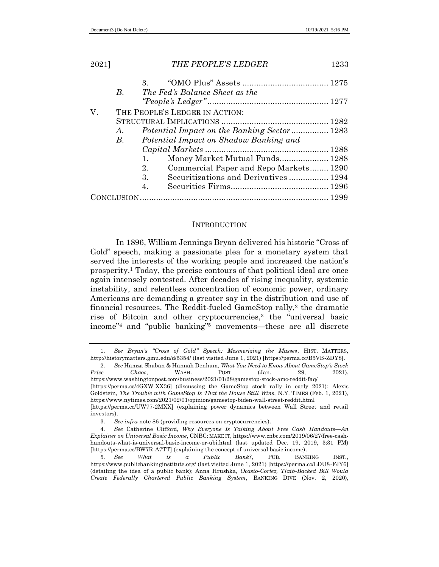| 2021]                                | <b>THE PEOPLE'S LEDGER</b>                                 | 1233 |  |
|--------------------------------------|------------------------------------------------------------|------|--|
|                                      |                                                            |      |  |
|                                      | В.<br>The Fed's Balance Sheet as the                       |      |  |
|                                      |                                                            |      |  |
| V.<br>THE PEOPLE'S LEDGER IN ACTION: |                                                            |      |  |
|                                      |                                                            |      |  |
|                                      | Potential Impact on the Banking Sector  1283<br>$\bm{A}$ . |      |  |
|                                      | Potential Impact on Shadow Banking and<br>В.               |      |  |
|                                      |                                                            |      |  |
|                                      | Money Market Mutual Funds 1288<br>1.                       |      |  |
|                                      | Commercial Paper and Repo Markets 1290<br>2.               |      |  |
|                                      | Securitizations and Derivatives 1294<br>3.                 |      |  |
|                                      | 4.                                                         |      |  |
|                                      |                                                            |      |  |
|                                      |                                                            |      |  |

### **INTRODUCTION**

In 1896, William Jennings Bryan delivered his historic "Cross of Gold" speech, making a passionate plea for a monetary system that served the interests of the working people and increased the nation's prosperity.<sup>1</sup> Today, the precise contours of that political ideal are once again intensely contested. After decades of rising inequality, systemic instability, and relentless concentration of economic power, ordinary Americans are demanding a greater say in the distribution and use of financial resources. The Reddit-fueled GameStop rally,<sup>2</sup> the dramatic rise of Bitcoin and other cryptocurrencies,<sup>3</sup> the "universal basic income"<sup>4</sup> and "public banking"<sup>5</sup> movements—these are all discrete

<sup>1</sup>*. See Bryan's "Cross of Gold" Speech: Mesmerizing the Masses*, HIST. MATTERS, http://historymatters.gmu.edu/d/5354/ (last visited June 1, 2021) [https://perma.cc/B5VB-ZDY8].

<sup>2</sup>*. See* Hamza Shaban & Hannah Denham, *What You Need to Know About GameStop's Stock Price Chaos*, WASH. POST (Jan. 29, 2021), https://www.washingtonpost.com/business/2021/01/28/gamestop-stock-amc-reddit-faq/ [https://perma.cc/4GXW-XX36] (discussing the GameStop stock rally in early 2021); Alexis Goldstein, *The Trouble with GameStop Is That the House Still Wins*, N.Y. TIMES (Feb. 1, 2021), https://www.nytimes.com/2021/02/01/opinion/gamestop-biden-wall-street-reddit.html [https://perma.cc/UW77-2MXX] (explaining power dynamics between Wall Street and retail investors).

<sup>3</sup>*. See infra* note 86 (providing resources on cryptocurrencies).

<sup>4</sup>*. See* Catherine Clifford, *Why Everyone Is Talking About Free Cash Handouts*—*An Explainer on Universal Basic Income*, CNBC: MAKE IT, https://www.cnbc.com/2019/06/27/free-cashhandouts-what-is-universal-basic-income-or-ubi.html (last updated Dec. 19, 2019, 3:31 PM) [https://perma.cc/BW7R-A7TT] (explaining the concept of universal basic income).

<sup>5</sup>*. See What is a Public Bank?*, PUB. BANKING INST., https://www.publicbankinginstitute.org/ (last visited June 1, 2021) [https://perma.cc/LDU8-FJY6] (detailing the idea of a public bank); Anna Hrushka, *Ocasio-Cortez, Tlaib-Backed Bill Would Create Federally Chartered Public Banking System*, BANKING DIVE (Nov. 2, 2020),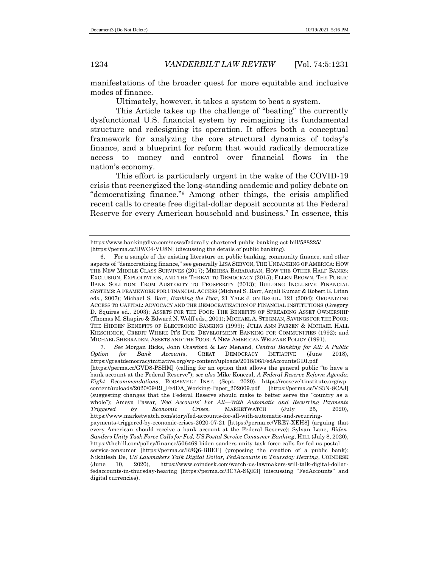manifestations of the broader quest for more equitable and inclusive modes of finance.

Ultimately, however, it takes a system to beat a system.

This Article takes up the challenge of "beating" the currently dysfunctional U.S. financial system by reimagining its fundamental structure and redesigning its operation. It offers both a conceptual framework for analyzing the core structural dynamics of today's finance, and a blueprint for reform that would radically democratize access to money and control over financial flows in the nation's economy.

This effort is particularly urgent in the wake of the COVID-19 crisis that reenergized the long-standing academic and policy debate on "democratizing finance."<sup>6</sup> Among other things, the crisis amplified recent calls to create free digital-dollar deposit accounts at the Federal Reserve for every American household and business.<sup>7</sup> In essence, this

7*. See* Morgan Ricks, John Crawford & Lev Menand, *Central Banking for All: A Public Option for Bank Accounts*, GREAT DEMOCRACY INITIATIVE (June 2018), https://greatdemocracyinitiative.org/wp-content/uploads/2018/06/FedAccountsGDI.pdf [https://perma.cc/GVD8-PSHM] (calling for an option that allows the general public "to have a bank account at the Federal Reserve"); *see also* Mike Konczal, *A Federal Reserve Reform Agenda: Eight Recommendations*, ROOSEVELT INST. (Sept. 2020), https://rooseveltinstitute.org/wpcontent/uploads/2020/09/RI\_FedDA\_Working-Paper\_202009.pdf [https://perma.cc/VS3N-8CAJ] (suggesting changes that the Federal Reserve should make to better serve the "country as a whole"); Ameya Pawar*, 'Fed Accounts' For All*—*With Automatic and Recurring Payments Triggered by Economic Crises*, MARKETWATCH (July 25, 2020), https://www.marketwatch.com/story/fed-accounts-for-all-with-automatic-and-recurringpayments-triggered-by-economic-crises-2020-07-21 [https://perma.cc/VRE7-XEH8] (arguing that every American should receive a bank account at the Federal Reserve); Sylvan Lane, *Biden-Sanders Unity Task Force Calls for Fed, US Postal Service Consumer Banking*, HILL (July 8, 2020), https://thehill.com/policy/finance/506469-biden-sanders-unity-task-force-calls-for-fed-us-postalservice-consumer [https://perma.cc/R8Q6-BBEF] (proposing the creation of a public bank); Nikhilesh De, *US Lawmakers Talk Digital Dollar, FedAccounts in Thursday Hearing*, COINDESK (June 10, 2020), https://www.coindesk.com/watch-us-lawmakers-will-talk-digital-dollarfedaccounts-in-thursday-hearing [https://perma.cc/3C7A-SQR3] (discussing "FedAccounts" and digital currencies).

https://www.bankingdive.com/news/federally-chartered-public-banking-act-bill/588225/ [https://perma.cc/DWC4-VU8N] (discussing the details of public banking).

<sup>6.</sup> For a sample of the existing literature on public banking, community finance, and other aspects of "democratizing finance," see generally LISA SERVON, THE UNBANKING OF AMERICA: HOW THE NEW MIDDLE CLASS SURVIVES (2017); MEHRSA BARADARAN, HOW THE OTHER HALF BANKS: EXCLUSION, EXPLOITATION, AND THE THREAT TO DEMOCRACY (2015); ELLEN BROWN, THE PUBLIC BANK SOLUTION: FROM AUSTERITY TO PROSPERITY (2013); BUILDING INCLUSIVE FINANCIAL SYSTEMS: A FRAMEWORK FOR FINANCIAL ACCESS (Michael S. Barr, Anjali Kumar & Robert E. Litan eds., 2007); Michael S. Barr, *Banking the Poor*, 21 YALE J. ON REGUL. 121 (2004); ORGANIZING ACCESS TO CAPITAL: ADVOCACY AND THE DEMOCRATIZATION OF FINANCIAL INSTITUTIONS (Gregory D. Squires ed., 2003); ASSETS FOR THE POOR: THE BENEFITS OF SPREADING ASSET OWNERSHIP (Thomas M. Shapiro & Edward N. Wolff eds., 2001); MICHAEL A. STEGMAN, SAVINGS FOR THE POOR: THE HIDDEN BENEFITS OF ELECTRONIC BANKING (1999); JULIA ANN PARZEN & MICHAEL HALL KIESCHNICK, CREDIT WHERE IT'S DUE: DEVELOPMENT BANKING FOR COMMUNITIES (1992); and MICHAEL SHERRADEN, ASSETS AND THE POOR: A NEW AMERICAN WELFARE POLICY (1991).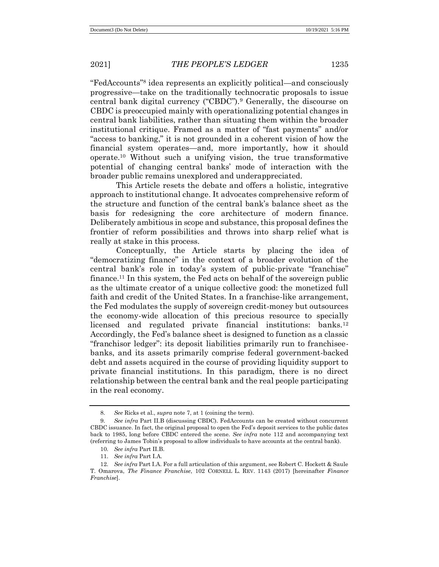"FedAccounts"<sup>8</sup> idea represents an explicitly political—and consciously progressive—take on the traditionally technocratic proposals to issue central bank digital currency ("CBDC").<sup>9</sup> Generally, the discourse on CBDC is preoccupied mainly with operationalizing potential changes in central bank liabilities, rather than situating them within the broader institutional critique. Framed as a matter of "fast payments" and/or "access to banking," it is not grounded in a coherent vision of how the financial system operates—and, more importantly, how it should operate.<sup>10</sup> Without such a unifying vision, the true transformative potential of changing central banks' mode of interaction with the broader public remains unexplored and underappreciated.

This Article resets the debate and offers a holistic, integrative approach to institutional change. It advocates comprehensive reform of the structure and function of the central bank's balance sheet as the basis for redesigning the core architecture of modern finance. Deliberately ambitious in scope and substance, this proposal defines the frontier of reform possibilities and throws into sharp relief what is really at stake in this process.

Conceptually, the Article starts by placing the idea of "democratizing finance" in the context of a broader evolution of the central bank's role in today's system of public-private "franchise" finance.<sup>11</sup> In this system, the Fed acts on behalf of the sovereign public as the ultimate creator of a unique collective good: the monetized full faith and credit of the United States. In a franchise-like arrangement, the Fed modulates the supply of sovereign credit-money but outsources the economy-wide allocation of this precious resource to specially licensed and regulated private financial institutions: banks.<sup>12</sup> Accordingly, the Fed's balance sheet is designed to function as a classic "franchisor ledger": its deposit liabilities primarily run to franchiseebanks, and its assets primarily comprise federal government-backed debt and assets acquired in the course of providing liquidity support to private financial institutions. In this paradigm, there is no direct relationship between the central bank and the real people participating in the real economy.

<sup>8</sup>*. See* Ricks et al., *supra* note 7, at 1 (coining the term).

<sup>9</sup>*. See infra* Part II.B (discussing CBDC). FedAccounts can be created without concurrent CBDC issuance. In fact, the original proposal to open the Fed's deposit services to the public dates back to 1985, long before CBDC entered the scene. *See infra* note 112 and accompanying text (referring to James Tobin's proposal to allow individuals to have accounts at the central bank).

<sup>10</sup>*. See infra* Part II.B.

<sup>11</sup>*. See infra* Part I.A.

<sup>12</sup>*. See infra* Part I.A. For a full articulation of this argument, see Robert C. Hockett & Saule T. Omarova, *The Finance Franchise*, 102 CORNELL L. REV. 1143 (2017) [hereinafter *Finance Franchise*].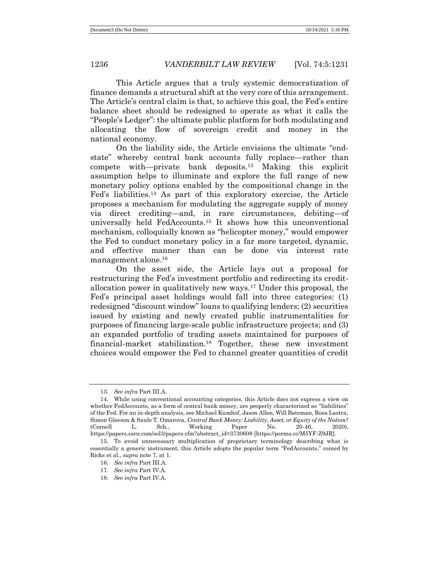This Article argues that a truly systemic democratization of finance demands a structural shift at the very core of this arrangement. The Article's central claim is that, to achieve this goal, the Fed's entire balance sheet should be redesigned to operate as what it calls the "People's Ledger": the ultimate public platform for both modulating and allocating the flow of sovereign credit and money in the national economy.

On the liability side, the Article envisions the ultimate "endstate" whereby central bank accounts fully replace—rather than compete with—private bank deposits.<sup>13</sup> Making this explicit assumption helps to illuminate and explore the full range of new monetary policy options enabled by the compositional change in the Fed's liabilities.<sup>14</sup> As part of this exploratory exercise, the Article proposes a mechanism for modulating the aggregate supply of money via direct crediting—and, in rare circumstances, debiting—of universally held FedAccounts. <sup>15</sup> It shows how this unconventional mechanism, colloquially known as "helicopter money," would empower the Fed to conduct monetary policy in a far more targeted, dynamic, and effective manner than can be done via interest rate management alone.<sup>16</sup>

On the asset side, the Article lays out a proposal for restructuring the Fed's investment portfolio and redirecting its creditallocation power in qualitatively new ways.<sup>17</sup> Under this proposal, the Fed's principal asset holdings would fall into three categories: (1) redesigned "discount window" loans to qualifying lenders; (2) securities issued by existing and newly created public instrumentalities for purposes of financing large-scale public infrastructure projects; and (3) an expanded portfolio of trading assets maintained for purposes of financial-market stabilization.<sup>18</sup> Together, these new investment choices would empower the Fed to channel greater quantities of credit

<sup>13</sup>*. See infra* Part III.A.

<sup>14.</sup> While using conventional accounting categories, this Article does not express a view on whether FedAccounts, as a form of central bank money, are properly characterized as "liabilities" of the Fed. For an in-depth analysis, see Michael Kumhof, Jason Allen, Will Bateman, Rosa Lastra, Simon Gleeson & Saule T. Omarova, *Central Bank Money: Liability, Asset, or Equity of the Nation?* (Cornell L. Sch., Working Paper No. 20-46, 2020), https://papers.ssrn.com/sol3/papers.cfm?abstract\_id=3730608 [https://perma.cc/M5YF-Z9JR].

<sup>15.</sup> To avoid unnecessary multiplication of proprietary terminology describing what is essentially a generic instrument, this Article adopts the popular term "FedAccounts," coined by Ricks et al., *supra* note 7, at 1.

<sup>16</sup>*. See infra* Part III.A.

<sup>17</sup>*. See infra* Part IV.A.

<sup>18</sup>*. See infra* Part IV.A.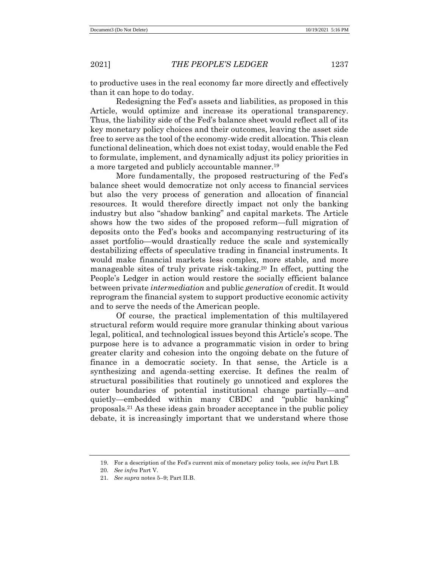to productive uses in the real economy far more directly and effectively than it can hope to do today.

Redesigning the Fed's assets and liabilities, as proposed in this Article, would optimize and increase its operational transparency. Thus, the liability side of the Fed's balance sheet would reflect all of its key monetary policy choices and their outcomes, leaving the asset side free to serve as the tool of the economy-wide credit allocation. This clean functional delineation, which does not exist today, would enable the Fed to formulate, implement, and dynamically adjust its policy priorities in a more targeted and publicly accountable manner.<sup>19</sup>

More fundamentally, the proposed restructuring of the Fed's balance sheet would democratize not only access to financial services but also the very process of generation and allocation of financial resources. It would therefore directly impact not only the banking industry but also "shadow banking" and capital markets. The Article shows how the two sides of the proposed reform—full migration of deposits onto the Fed's books and accompanying restructuring of its asset portfolio—would drastically reduce the scale and systemically destabilizing effects of speculative trading in financial instruments. It would make financial markets less complex, more stable, and more manageable sites of truly private risk-taking.<sup>20</sup> In effect, putting the People's Ledger in action would restore the socially efficient balance between private *intermediation* and public *generation* of credit. It would reprogram the financial system to support productive economic activity and to serve the needs of the American people.

Of course, the practical implementation of this multilayered structural reform would require more granular thinking about various legal, political, and technological issues beyond this Article's scope. The purpose here is to advance a programmatic vision in order to bring greater clarity and cohesion into the ongoing debate on the future of finance in a democratic society. In that sense, the Article is a synthesizing and agenda-setting exercise. It defines the realm of structural possibilities that routinely go unnoticed and explores the outer boundaries of potential institutional change partially—and quietly—embedded within many CBDC and "public banking" proposals.<sup>21</sup> As these ideas gain broader acceptance in the public policy debate, it is increasingly important that we understand where those

<sup>19.</sup> For a description of the Fed's current mix of monetary policy tools, see *infra* Part I.B.

<sup>20</sup>*. See infra* Part V.

<sup>21</sup>*. See supra* notes 5–9; Part II.B.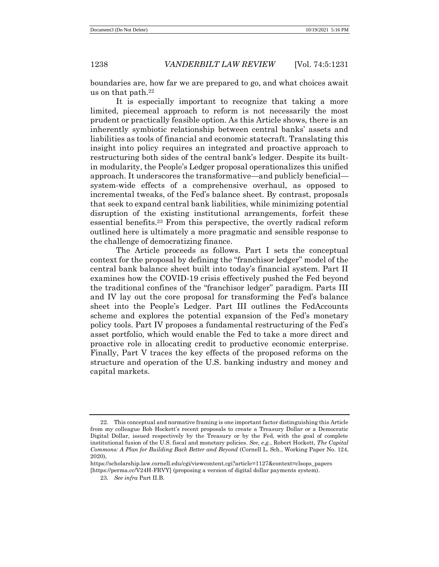boundaries are, how far we are prepared to go, and what choices await us on that path.<sup>22</sup>

It is especially important to recognize that taking a more limited, piecemeal approach to reform is not necessarily the most prudent or practically feasible option. As this Article shows, there is an inherently symbiotic relationship between central banks' assets and liabilities as tools of financial and economic statecraft. Translating this insight into policy requires an integrated and proactive approach to restructuring both sides of the central bank's ledger. Despite its builtin modularity, the People's Ledger proposal operationalizes this unified approach. It underscores the transformative—and publicly beneficial system-wide effects of a comprehensive overhaul, as opposed to incremental tweaks, of the Fed's balance sheet. By contrast, proposals that seek to expand central bank liabilities, while minimizing potential disruption of the existing institutional arrangements, forfeit these essential benefits.<sup>23</sup> From this perspective, the overtly radical reform outlined here is ultimately a more pragmatic and sensible response to the challenge of democratizing finance.

The Article proceeds as follows. Part I sets the conceptual context for the proposal by defining the "franchisor ledger" model of the central bank balance sheet built into today's financial system. Part II examines how the COVID-19 crisis effectively pushed the Fed beyond the traditional confines of the "franchisor ledger" paradigm. Parts III and IV lay out the core proposal for transforming the Fed's balance sheet into the People's Ledger. Part III outlines the FedAccounts scheme and explores the potential expansion of the Fed's monetary policy tools. Part IV proposes a fundamental restructuring of the Fed's asset portfolio, which would enable the Fed to take a more direct and proactive role in allocating credit to productive economic enterprise. Finally, Part V traces the key effects of the proposed reforms on the structure and operation of the U.S. banking industry and money and capital markets.

<sup>22.</sup> This conceptual and normative framing is one important factor distinguishing this Article from my colleague Bob Hockett's recent proposals to create a Treasury Dollar or a Democratic Digital Dollar, issued respectively by the Treasury or by the Fed, with the goal of complete institutional fusion of the U.S. fiscal and monetary policies. *See, e.g.*, Robert Hockett, *The Capital Commons: A Plan for Building Back Better and Beyond* (Cornell L. Sch., Working Paper No. 124, 2020),

https://scholarship.law.cornell.edu/cgi/viewcontent.cgi?article=1127&context=clsops\_papers [https://perma.cc/V24H-FRVY] (proposing a version of digital dollar payments system).

<sup>23</sup>*. See infra* Part II.B.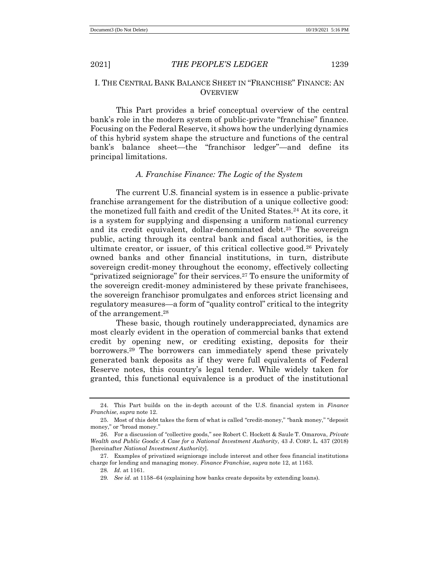# I. THE CENTRAL BANK BALANCE SHEET IN "FRANCHISE" FINANCE: AN **OVERVIEW**

This Part provides a brief conceptual overview of the central bank's role in the modern system of public-private "franchise" finance. Focusing on the Federal Reserve, it shows how the underlying dynamics of this hybrid system shape the structure and functions of the central bank's balance sheet—the "franchisor ledger"—and define its principal limitations.

# *A. Franchise Finance: The Logic of the System*

The current U.S. financial system is in essence a public-private franchise arrangement for the distribution of a unique collective good: the monetized full faith and credit of the United States.<sup>24</sup> At its core, it is a system for supplying and dispensing a uniform national currency and its credit equivalent, dollar-denominated debt.<sup>25</sup> The sovereign public, acting through its central bank and fiscal authorities, is the ultimate creator, or issuer, of this critical collective good.<sup>26</sup> Privately owned banks and other financial institutions, in turn, distribute sovereign credit-money throughout the economy, effectively collecting "privatized seigniorage" for their services.<sup>27</sup> To ensure the uniformity of the sovereign credit-money administered by these private franchisees, the sovereign franchisor promulgates and enforces strict licensing and regulatory measures—a form of "quality control" critical to the integrity of the arrangement.<sup>28</sup>

These basic, though routinely underappreciated, dynamics are most clearly evident in the operation of commercial banks that extend credit by opening new, or crediting existing, deposits for their borrowers.<sup>29</sup> The borrowers can immediately spend these privately generated bank deposits as if they were full equivalents of Federal Reserve notes, this country's legal tender. While widely taken for granted, this functional equivalence is a product of the institutional

<sup>24.</sup> This Part builds on the in-depth account of the U.S. financial system in *Finance Franchise*, *supra* note 12.

<sup>25.</sup> Most of this debt takes the form of what is called "credit-money," "bank money," "deposit money," or "broad money."

<sup>26.</sup> For a discussion of "collective goods," see Robert C. Hockett & Saule T. Omarova, *Private Wealth and Public Goods: A Case for a National Investment Authority*, 43 J. CORP. L. 437 (2018) [hereinafter *National Investment Authority*].

<sup>27.</sup> Examples of privatized seigniorage include interest and other fees financial institutions charge for lending and managing money. *Finance Franchise*, *supra* note 12, at 1163.

<sup>28</sup>*. Id.* at 1161.

<sup>29</sup>*. See id.* at 1158–64 (explaining how banks create deposits by extending loans).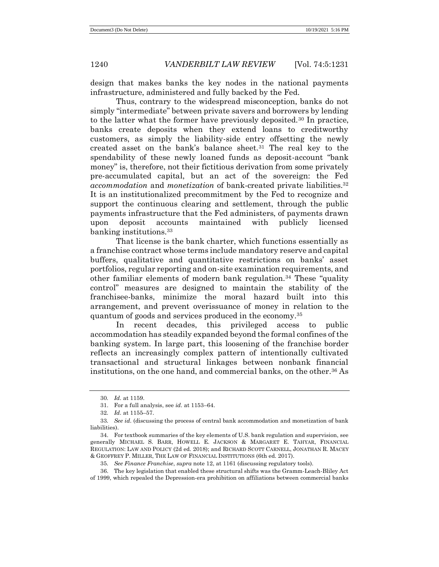design that makes banks the key nodes in the national payments infrastructure, administered and fully backed by the Fed.

Thus, contrary to the widespread misconception, banks do not simply "intermediate" between private savers and borrowers by lending to the latter what the former have previously deposited.<sup>30</sup> In practice, banks create deposits when they extend loans to creditworthy customers, as simply the liability-side entry offsetting the newly created asset on the bank's balance sheet.<sup>31</sup> The real key to the spendability of these newly loaned funds as deposit-account "bank money" is, therefore, not their fictitious derivation from some privately pre-accumulated capital, but an act of the sovereign: the Fed *accommodation* and *monetization* of bank-created private liabilities.<sup>32</sup> It is an institutionalized precommitment by the Fed to recognize and support the continuous clearing and settlement, through the public payments infrastructure that the Fed administers, of payments drawn upon deposit accounts maintained with publicly licensed banking institutions.<sup>33</sup>

That license is the bank charter, which functions essentially as a franchise contract whose terms include mandatory reserve and capital buffers, qualitative and quantitative restrictions on banks' asset portfolios, regular reporting and on-site examination requirements, and other familiar elements of modern bank regulation.<sup>34</sup> These "quality control" measures are designed to maintain the stability of the franchisee-banks, minimize the moral hazard built into this arrangement, and prevent overissuance of money in relation to the quantum of goods and services produced in the economy.<sup>35</sup>

In recent decades, this privileged access to public accommodation has steadily expanded beyond the formal confines of the banking system. In large part, this loosening of the franchise border reflects an increasingly complex pattern of intentionally cultivated transactional and structural linkages between nonbank financial institutions, on the one hand, and commercial banks, on the other.<sup>36</sup> As

<sup>30</sup>*. Id.* at 1159.

<sup>31.</sup> For a full analysis, see *id.* at 1153–64.

<sup>32</sup>*. Id.* at 1155–57.

<sup>33</sup>*. See id.* (discussing the process of central bank accommodation and monetization of bank liabilities).

<sup>34.</sup> For textbook summaries of the key elements of U.S. bank regulation and supervision, see generally MICHAEL S. BARR, HOWELL E. JACKSON & MARGARET E. TAHYAR, FINANCIAL REGULATION: LAW AND POLICY (2d ed. 2018); and RICHARD SCOTT CARNELL, JONATHAN R. MACEY & GEOFFREY P. MILLER, THE LAW OF FINANCIAL INSTITUTIONS (6th ed. 2017).

<sup>35</sup>*. See Finance Franchise*, *supra* note 12, at 1161 (discussing regulatory tools).

<sup>36.</sup> The key legislation that enabled these structural shifts was the Gramm-Leach-Bliley Act of 1999, which repealed the Depression-era prohibition on affiliations between commercial banks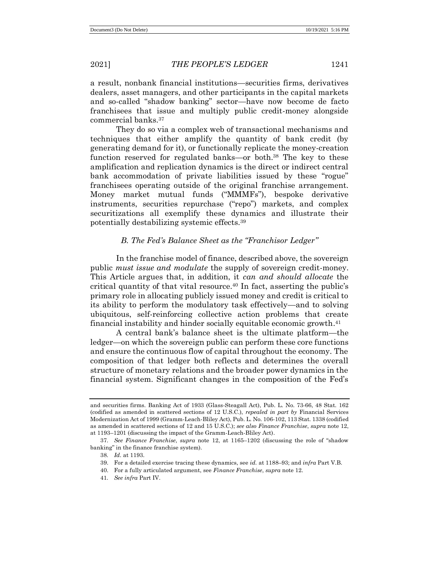a result, nonbank financial institutions—securities firms, derivatives dealers, asset managers, and other participants in the capital markets and so-called "shadow banking" sector—have now become de facto franchisees that issue and multiply public credit-money alongside commercial banks.<sup>37</sup>

They do so via a complex web of transactional mechanisms and techniques that either amplify the quantity of bank credit (by generating demand for it), or functionally replicate the money-creation function reserved for regulated banks—or both.<sup>38</sup> The key to these amplification and replication dynamics is the direct or indirect central bank accommodation of private liabilities issued by these "rogue" franchisees operating outside of the original franchise arrangement. Money market mutual funds ("MMMFs"), bespoke derivative instruments, securities repurchase ("repo") markets, and complex securitizations all exemplify these dynamics and illustrate their potentially destabilizing systemic effects.<sup>39</sup>

# *B. The Fed's Balance Sheet as the "Franchisor Ledger"*

In the franchise model of finance, described above, the sovereign public *must issue and modulate* the supply of sovereign credit-money. This Article argues that, in addition, it *can and should allocate* the critical quantity of that vital resource.<sup>40</sup> In fact, asserting the public's primary role in allocating publicly issued money and credit is critical to its ability to perform the modulatory task effectively—and to solving ubiquitous, self-reinforcing collective action problems that create financial instability and hinder socially equitable economic growth. 41

A central bank's balance sheet is the ultimate platform—the ledger—on which the sovereign public can perform these core functions and ensure the continuous flow of capital throughout the economy. The composition of that ledger both reflects and determines the overall structure of monetary relations and the broader power dynamics in the financial system. Significant changes in the composition of the Fed's

41*. See infra* Part IV.

and securities firms. Banking Act of 1933 (Glass-Steagall Act), Pub. L. No. 73-66, 48 Stat. 162 (codified as amended in scattered sections of 12 U.S.C.), *repealed in part by* Financial Services Modernization Act of 1999 (Gramm-Leach-Bliley Act), Pub. L. No. 106-102, 113 Stat. 1338 (codified as amended in scattered sections of 12 and 15 U.S.C.); *see also Finance Franchise*, *supra* note 12, at 1193–1201 (discussing the impact of the Gramm-Leach-Bliley Act).

<sup>37</sup>*. See Finance Franchise*, *supra* note 12, at 1165–1202 (discussing the role of "shadow banking" in the finance franchise system).

<sup>38</sup>*. Id.* at 1193.

<sup>39.</sup> For a detailed exercise tracing these dynamics, see *id.* at 1188–93; and *infra* Part V.B.

<sup>40.</sup> For a fully articulated argument, see *Finance Franchise*, *supra* note 12.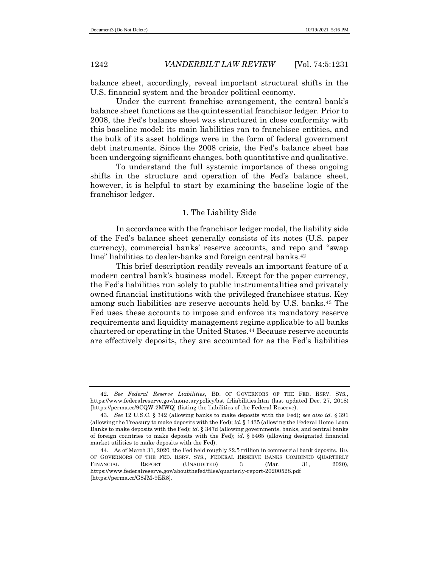balance sheet, accordingly, reveal important structural shifts in the U.S. financial system and the broader political economy.

Under the current franchise arrangement, the central bank's balance sheet functions as the quintessential franchisor ledger. Prior to 2008, the Fed's balance sheet was structured in close conformity with this baseline model: its main liabilities ran to franchisee entities, and the bulk of its asset holdings were in the form of federal government debt instruments. Since the 2008 crisis, the Fed's balance sheet has been undergoing significant changes, both quantitative and qualitative.

To understand the full systemic importance of these ongoing shifts in the structure and operation of the Fed's balance sheet, however, it is helpful to start by examining the baseline logic of the franchisor ledger.

# 1. The Liability Side

In accordance with the franchisor ledger model, the liability side of the Fed's balance sheet generally consists of its notes (U.S. paper currency), commercial banks' reserve accounts, and repo and "swap line" liabilities to dealer-banks and foreign central banks.<sup>42</sup>

This brief description readily reveals an important feature of a modern central bank's business model. Except for the paper currency, the Fed's liabilities run solely to public instrumentalities and privately owned financial institutions with the privileged franchisee status. Key among such liabilities are reserve accounts held by U.S. banks.<sup>43</sup> The Fed uses these accounts to impose and enforce its mandatory reserve requirements and liquidity management regime applicable to all banks chartered or operating in the United States.<sup>44</sup> Because reserve accounts are effectively deposits, they are accounted for as the Fed's liabilities

<sup>42</sup>*. See Federal Reserve Liabilities*, BD. OF GOVERNORS OF THE FED. RSRV. SYS., https://www.federalreserve.gov/monetarypolicy/bst\_frliabilities.htm (last updated Dec. 27, 2018) [https://perma.cc/9CQW-2MWQ] (listing the liabilities of the Federal Reserve).

<sup>43</sup>*. See* 12 U.S.C. § 342 (allowing banks to make deposits with the Fed); *see also id.* § 391 (allowing the Treasury to make deposits with the Fed); *id.* § 1435 (allowing the Federal Home Loan Banks to make deposits with the Fed); *id.* § 347d (allowing governments, banks, and central banks of foreign countries to make deposits with the Fed); *id.* § 5465 (allowing designated financial market utilities to make deposits with the Fed).

<sup>44.</sup> As of March 31, 2020, the Fed held roughly \$2.5 trillion in commercial bank deposits. BD. OF GOVERNORS OF THE FED. RSRV. SYS., FEDERAL RESERVE BANKS COMBINED QUARTERLY FINANCIAL REPORT (UNAUDITED) 3 (Mar. 31, 2020), https://www.federalreserve.gov/aboutthefed/files/quarterly-report-20200528.pdf [https://perma.cc/G8JM-9ER8].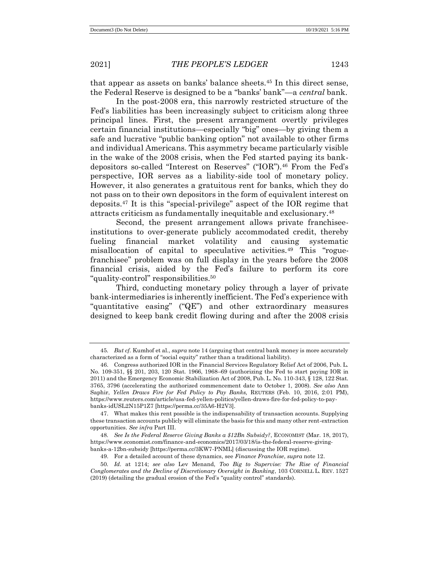that appear as assets on banks' balance sheets.<sup>45</sup> In this direct sense, the Federal Reserve is designed to be a "banks' bank"—a *central* bank.

In the post-2008 era, this narrowly restricted structure of the Fed's liabilities has been increasingly subject to criticism along three principal lines. First, the present arrangement overtly privileges certain financial institutions—especially "big" ones—by giving them a safe and lucrative "public banking option" not available to other firms and individual Americans. This asymmetry became particularly visible in the wake of the 2008 crisis, when the Fed started paying its bankdepositors so-called "Interest on Reserves" ("IOR").<sup>46</sup> From the Fed's perspective, IOR serves as a liability-side tool of monetary policy. However, it also generates a gratuitous rent for banks, which they do not pass on to their own depositors in the form of equivalent interest on deposits.<sup>47</sup> It is this "special-privilege" aspect of the IOR regime that attracts criticism as fundamentally inequitable and exclusionary.<sup>48</sup>

Second, the present arrangement allows private franchiseeinstitutions to over-generate publicly accommodated credit, thereby fueling financial market volatility and causing systematic misallocation of capital to speculative activities.<sup>49</sup> This "roguefranchisee" problem was on full display in the years before the 2008 financial crisis, aided by the Fed's failure to perform its core "quality-control" responsibilities.<sup>50</sup>

Third, conducting monetary policy through a layer of private bank-intermediaries is inherently inefficient. The Fed's experience with "quantitative easing" ("QE") and other extraordinary measures designed to keep bank credit flowing during and after the 2008 crisis

<sup>45</sup>*. But cf.* Kumhof et al., *supra* note 14 (arguing that central bank money is more accurately characterized as a form of "social equity" rather than a traditional liability).

<sup>46.</sup> Congress authorized IOR in the Financial Services Regulatory Relief Act of 2006, Pub. L. No. 109-351, §§ 201, 203, 120 Stat. 1966, 1968–69 (authorizing the Fed to start paying IOR in 2011) and the Emergency Economic Stabilization Act of 2008, Pub. L. No. 110-343, § 128, 122 Stat. 3765, 3796 (accelerating the authorized commencement date to October 1, 2008). *See also* Ann Saphir, *Yellen Draws Fire for Fed Policy to Pay Banks,* REUTERS (Feb. 10, 2016, 2:01 PM), https://www.reuters.com/article/usa-fed-yellen-politics/yellen-draws-fire-for-fed-policy-to-paybanks-idUSL2N15P1Z7 [https://perma.cc/35A6-H2V3].

<sup>47.</sup> What makes this rent possible is the indispensability of transaction accounts. Supplying these transaction accounts publicly will eliminate the basis for this and many other rent-extraction opportunities. *See infra* Part III.

<sup>48</sup>*. See Is the Federal Reserve Giving Banks a \$12Bn Subsidy?*, ECONOMIST (Mar. 18, 2017), https://www.economist.com/finance-and-economics/2017/03/18/is-the-federal-reserve-givingbanks-a-12bn-subsidy [https://perma.cc/3KW7-PNML] (discussing the IOR regime).

<sup>49.</sup> For a detailed account of these dynamics, see *Finance Franchise*, *supra* note 12.

<sup>50</sup>*. Id.* at 1214; *see also* Lev Menand, *Too Big to Supervise: The Rise of Financial Conglomerates and the Decline of Discretionary Oversight in Banking*, 103 CORNELL L. REV. 1527 (2019) (detailing the gradual erosion of the Fed's "quality control" standards).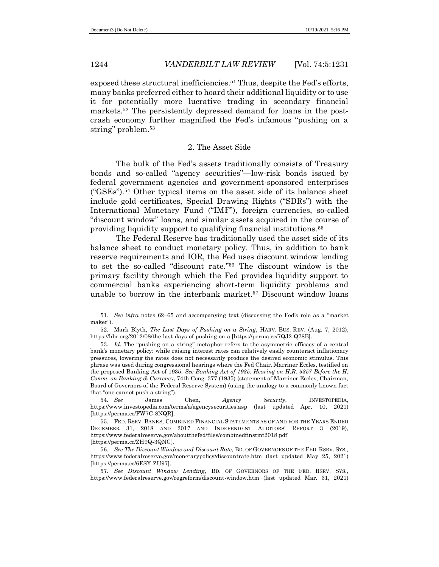exposed these structural inefficiencies.<sup>51</sup> Thus, despite the Fed's efforts, many banks preferred either to hoard their additional liquidity or to use it for potentially more lucrative trading in secondary financial markets.<sup>52</sup> The persistently depressed demand for loans in the postcrash economy further magnified the Fed's infamous "pushing on a string" problem.<sup>53</sup>

# 2. The Asset Side

The bulk of the Fed's assets traditionally consists of Treasury bonds and so-called "agency securities"—low-risk bonds issued by federal government agencies and government-sponsored enterprises ("GSEs").<sup>54</sup> Other typical items on the asset side of its balance sheet include gold certificates, Special Drawing Rights ("SDRs") with the International Monetary Fund ("IMF"), foreign currencies, so-called "discount window" loans, and similar assets acquired in the course of providing liquidity support to qualifying financial institutions.<sup>55</sup>

The Federal Reserve has traditionally used the asset side of its balance sheet to conduct monetary policy. Thus, in addition to bank reserve requirements and IOR, the Fed uses discount window lending to set the so-called "discount rate."<sup>56</sup> The discount window is the primary facility through which the Fed provides liquidity support to commercial banks experiencing short-term liquidity problems and unable to borrow in the interbank market.<sup>57</sup> Discount window loans

<sup>51</sup>*. See infra* notes 62–65 and accompanying text (discussing the Fed's role as a "market maker").

<sup>52.</sup> Mark Blyth, *The Last Days of Pushing on a String*, HARV. BUS. REV. (Aug. 7, 2012), https://hbr.org/2012/08/the-last-days-of-pushing-on-a [https://perma.cc/7QJ2-Q78B].

<sup>53</sup>*. Id.* The "pushing on a string" metaphor refers to the asymmetric efficacy of a central bank's monetary policy: while raising interest rates can relatively easily counteract inflationary pressures, lowering the rates does not necessarily produce the desired economic stimulus. This phrase was used during congressional hearings where the Fed Chair, Marriner Eccles, testified on the proposed Banking Act of 1935. *See Banking Act of 1935: Hearing on H.R. 5357 Before the H. Comm. on Banking & Currency*, 74th Cong. 377 (1935) (statement of Marriner Eccles, Chairman, Board of Governors of the Federal Reserve System) (using the analogy to a commonly known fact that "one cannot push a string").

<sup>54</sup>*. See* James Chen, *Agency Security*, INVESTOPEDIA, https://www.investopedia.com/terms/a/agencysecurities.asp (last updated Apr. 10, 2021) [https://perma.cc/FW7C-8NQR].

<sup>55.</sup> FED. RSRV. BANKS, COMBINED FINANCIAL STATEMENTS AS OF AND FOR THE YEARS ENDED DECEMBER 31, 2018 AND 2017 AND INDEPENDENT AUDITORS' REPORT 3 (2019), https://www.federalreserve.gov/aboutthefed/files/combinedfinstmt2018.pdf [https://perma.cc/ZH9Q-3QNG].

<sup>56</sup>*. See The Discount Window and Discount Rate*, BD. OF GOVERNORS OF THE FED. RSRV. SYS., https://www.federalreserve.gov/monetarypolicy/discountrate.htm (last updated May 25, 2021) [https://perma.cc/6ESY-ZU97].

<sup>57</sup>*. See Discount Window Lending*, BD. OF GOVERNORS OF THE FED. RSRV. SYS., https://www.federalreserve.gov/regreform/discount-window.htm (last updated Mar. 31, 2021)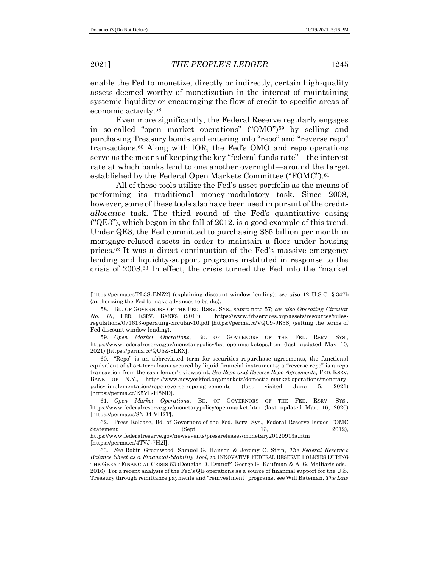enable the Fed to monetize, directly or indirectly, certain high-quality assets deemed worthy of monetization in the interest of maintaining systemic liquidity or encouraging the flow of credit to specific areas of economic activity.<sup>58</sup>

Even more significantly, the Federal Reserve regularly engages in so-called "open market operations" ("OMO")<sup>59</sup> by selling and purchasing Treasury bonds and entering into "repo" and "reverse repo" transactions.<sup>60</sup> Along with IOR, the Fed's OMO and repo operations serve as the means of keeping the key "federal funds rate"—the interest rate at which banks lend to one another overnight—around the target established by the Federal Open Markets Committee ("FOMC"). 61

All of these tools utilize the Fed's asset portfolio as the means of performing its traditional money-modulatory task. Since 2008, however, some of these tools also have been used in pursuit of the credit*allocative* task. The third round of the Fed's quantitative easing (" $QE3$ "), which began in the fall of 2012, is a good example of this trend. Under QE3, the Fed committed to purchasing \$85 billion per month in mortgage-related assets in order to maintain a floor under housing prices.<sup>62</sup> It was a direct continuation of the Fed's massive emergency lending and liquidity-support programs instituted in response to the crisis of 2008.<sup>63</sup> In effect, the crisis turned the Fed into the "market

<sup>[</sup>https://perma.cc/PL3S-BNZ2] (explaining discount window lending); *see also* 12 U.S.C. § 347b (authorizing the Fed to make advances to banks).

<sup>58.</sup> BD. OF GOVERNORS OF THE FED. RSRV. SYS., *supra* note 57; *see also Operating Circular No. 10*, FED. RSRV. BANKS (2013), https://www.frbservices.org/assets/resources/rulesregulations/071613-operating-circular-10.pdf [https://perma.cc/VQC9-9R38] (setting the terms of Fed discount window lending).

<sup>59</sup>*. Open Market Operations*, BD. OF GOVERNORS OF THE FED. RSRV. SYS., https://www.federalreserve.gov/monetarypolicy/bst\_openmarketops.htm (last updated May 10, 2021) [https://perma.cc/QU5Z-8LRX].

<sup>60.</sup> "Repo" is an abbreviated term for securities repurchase agreements, the functional equivalent of short-term loans secured by liquid financial instruments; a "reverse repo" is a repo transaction from the cash lender's viewpoint. *See Repo and Reverse Repo Agreements,* FED. RSRV. BANK OF N.Y., https://www.newyorkfed.org/markets/domestic-market-operations/monetarypolicy-implementation/repo-reverse-repo-agreements (last visited June 5, 2021) [https://perma.cc/K5VL-H8ND].

<sup>61</sup>*. Open Market Operations*, BD. OF GOVERNORS OF THE FED. RSRV. SYS., https://www.federalreserve.gov/monetarypolicy/openmarket.htm (last updated Mar. 16, 2020) [https://perma.cc/8ND4-VH2T].

<sup>62.</sup> Press Release, Bd. of Governors of the Fed. Rsrv. Sys., Federal Reserve Issues FOMC Statement (Sept. 13, 2012), https://www.federalreserve.gov/newsevents/pressreleases/monetary20120913a.htm [https://perma.cc/4TVJ-7H2l].

<sup>63</sup>*. See* Robin Greenwood, Samuel G. Hanson & Jeremy C. Stein, *The Federal Reserve's Balance Sheet as a Financial-Stability Tool*, *in* INNOVATIVE FEDERAL RESERVE POLICIES DURING THE GREAT FINANCIAL CRISIS 63 (Douglas D. Evanoff, George G. Kaufman & A. G. Malliaris eds., 2016). For a recent analysis of the Fed's QE operations as a source of financial support for the U.S. Treasury through remittance payments and "reinvestment" programs, see Will Bateman, *The Law*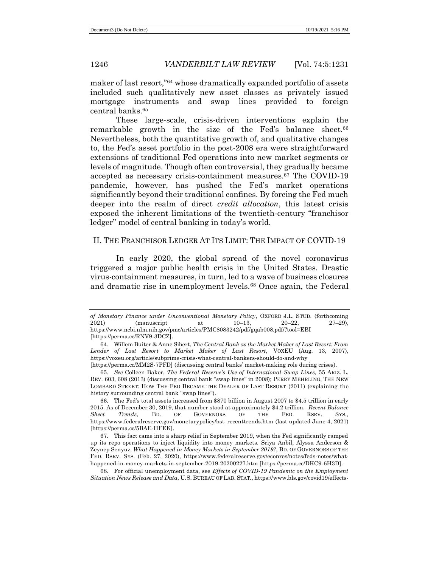maker of last resort,"<sup>64</sup> whose dramatically expanded portfolio of assets included such qualitatively new asset classes as privately issued mortgage instruments and swap lines provided to foreign central banks. 65

These large-scale, crisis-driven interventions explain the remarkable growth in the size of the Fed's balance sheet.<sup>66</sup> Nevertheless, both the quantitative growth of, and qualitative changes to, the Fed's asset portfolio in the post-2008 era were straightforward extensions of traditional Fed operations into new market segments or levels of magnitude. Though often controversial, they gradually became accepted as necessary crisis-containment measures.<sup>67</sup> The COVID-19 pandemic, however, has pushed the Fed's market operations significantly beyond their traditional confines. By forcing the Fed much deeper into the realm of direct *credit allocation*, this latest crisis exposed the inherent limitations of the twentieth-century "franchisor ledger" model of central banking in today's world.

# II. THE FRANCHISOR LEDGER AT ITS LIMIT: THE IMPACT OF COVID-19

In early 2020, the global spread of the novel coronavirus triggered a major public health crisis in the United States. Drastic virus-containment measures, in turn, led to a wave of business closures and dramatic rise in unemployment levels.<sup>68</sup> Once again, the Federal

*of Monetary Finance under Unconventional Monetary Policy*, OXFORD J.L. STUD. (forthcoming 2021) (manuscript at 10–13, 20–22, 27–29), https://www.ncbi.nlm.nih.gov/pmc/articles/PMC8083242/pdf/gqab008.pdf/?tool=EBI [https://perma.cc/RNV9-3DCZ].

<sup>64</sup>*.* Willem Buiter & Anne Sibert, *The Central Bank as the Market Maker of Last Resort: From Lender of Last Resort to Market Maker of Last Resort*, VOXEU (Aug. 13, 2007), https://voxeu.org/article/subprime-crisis-what-central-bankers-should-do-and-why [https://perma.cc/MM2S-7PFD] (discussing central banks' market-making role during crises).

<sup>65</sup>*. See* Colleen Baker, *The Federal Reserve's Use of International Swap Lines,* 55 ARIZ. L. REV. 603, 608 (2013) (discussing central bank "swap lines" in 2008); PERRY MEHRLING, THE NEW LOMBARD STREET: HOW THE FED BECAME THE DEALER OF LAST RESORT (2011) (explaining the history surrounding central bank "swap lines").

<sup>66.</sup> The Fed's total assets increased from \$870 billion in August 2007 to \$4.5 trillion in early 2015. As of December 30, 2019, that number stood at approximately \$4.2 trillion. *Recent Balance Sheet Trends*, BD. OF GOVERNORS OF THE FED. RSRV. SYS., https://www.federalreserve.gov/monetarypolicy/bst\_recenttrends.htm (last updated June 4, 2021) [https://perma.cc/5BAE-HFEK].

<sup>67.</sup> This fact came into a sharp relief in September 2019, when the Fed significantly ramped up its repo operations to inject liquidity into money markets. Sriya Anbil, Alyssa Anderson & Zeynep Senyuz, *What Happened in Money Markets in September 2019?*, BD. OF GOVERNORS OF THE FED. RSRV. SYS. (Feb. 27, 2020), https://www.federalreserve.gov/econres/notes/feds-notes/whathappened-in-money-markets-in-september-2019-20200227.htm [https://perma.cc/DKC9-6H3D].

<sup>68.</sup> For official unemployment data, see *Effects of COVID-19 Pandemic on the Employment Situation News Release and Data*, U.S. BUREAU OF LAB. STAT., https://www.bls.gov/covid19/effects-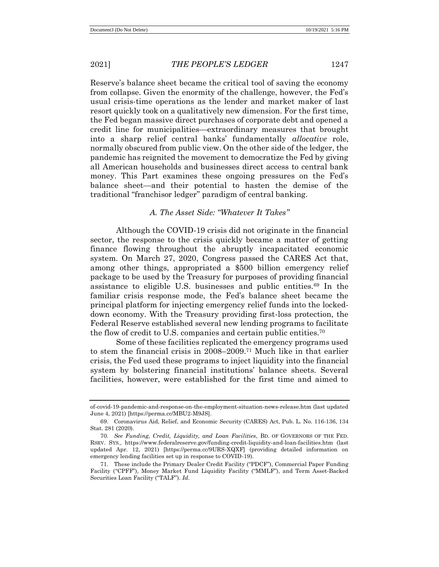Reserve's balance sheet became the critical tool of saving the economy from collapse. Given the enormity of the challenge, however, the Fed's usual crisis-time operations as the lender and market maker of last resort quickly took on a qualitatively new dimension. For the first time, the Fed began massive direct purchases of corporate debt and opened a credit line for municipalities—extraordinary measures that brought into a sharp relief central banks' fundamentally *allocative* role, normally obscured from public view. On the other side of the ledger, the pandemic has reignited the movement to democratize the Fed by giving all American households and businesses direct access to central bank money. This Part examines these ongoing pressures on the Fed's balance sheet—and their potential to hasten the demise of the traditional "franchisor ledger" paradigm of central banking.

# *A. The Asset Side: "Whatever It Takes"*

Although the COVID-19 crisis did not originate in the financial sector, the response to the crisis quickly became a matter of getting finance flowing throughout the abruptly incapacitated economic system. On March 27, 2020, Congress passed the CARES Act that, among other things, appropriated a \$500 billion emergency relief package to be used by the Treasury for purposes of providing financial assistance to eligible U.S. businesses and public entities.<sup>69</sup> In the familiar crisis response mode, the Fed's balance sheet became the principal platform for injecting emergency relief funds into the lockeddown economy. With the Treasury providing first-loss protection, the Federal Reserve established several new lending programs to facilitate the flow of credit to U.S. companies and certain public entities.<sup>70</sup>

Some of these facilities replicated the emergency programs used to stem the financial crisis in 2008–2009.<sup>71</sup> Much like in that earlier crisis, the Fed used these programs to inject liquidity into the financial system by bolstering financial institutions' balance sheets. Several facilities, however, were established for the first time and aimed to

of-covid-19-pandemic-and-response-on-the-employment-situation-news-release.htm (last updated June 4, 2021) [https://perma.cc/MBU2-M9JS].

<sup>69.</sup> Coronavirus Aid, Relief, and Economic Security (CARES) Act, Pub. L. No. 116-136, 134 Stat. 281 (2020).

<sup>70</sup>*. See Funding, Credit, Liquidity, and Loan Facilities*, BD. OF GOVERNORS OF THE FED. RSRV. SYS., https://www.federalreserve.gov/funding-credit-liquidity-and-loan-facilities.htm (last updated Apr. 12, 2021) [https://perma.cc/9URS-XQXF] (providing detailed information on emergency lending facilities set up in response to COVID-19).

<sup>71.</sup> These include the Primary Dealer Credit Facility ("PDCF"), Commercial Paper Funding Facility ("CPFF"), Money Market Fund Liquidity Facility ("MMLF"), and Term Asset-Backed Securities Loan Facility ("TALF"). *Id.*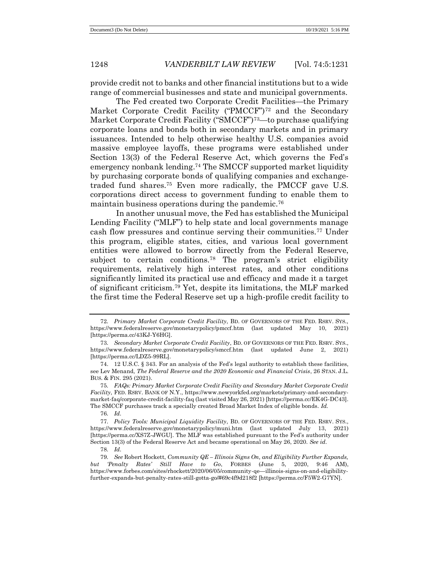provide credit not to banks and other financial institutions but to a wide range of commercial businesses and state and municipal governments.

The Fed created two Corporate Credit Facilities—the Primary Market Corporate Credit Facility ("PMCCF")<sup>72</sup> and the Secondary Market Corporate Credit Facility ("SMCCF")<sup>73</sup>—to purchase qualifying corporate loans and bonds both in secondary markets and in primary issuances. Intended to help otherwise healthy U.S. companies avoid massive employee layoffs, these programs were established under Section 13(3) of the Federal Reserve Act, which governs the Fed's emergency nonbank lending.<sup>74</sup> The SMCCF supported market liquidity by purchasing corporate bonds of qualifying companies and exchangetraded fund shares.<sup>75</sup> Even more radically, the PMCCF gave U.S. corporations direct access to government funding to enable them to maintain business operations during the pandemic.<sup>76</sup>

In another unusual move, the Fed has established the Municipal Lending Facility ("MLF") to help state and local governments manage cash flow pressures and continue serving their communities.<sup>77</sup> Under this program, eligible states, cities, and various local government entities were allowed to borrow directly from the Federal Reserve, subject to certain conditions.<sup>78</sup> The program's strict eligibility requirements, relatively high interest rates, and other conditions significantly limited its practical use and efficacy and made it a target of significant criticism.<sup>79</sup> Yet, despite its limitations, the MLF marked the first time the Federal Reserve set up a high-profile credit facility to

<sup>72</sup>*. Primary Market Corporate Credit Facility*, BD. OF GOVERNORS OF THE FED. RSRV. SYS., https://www.federalreserve.gov/monetarypolicy/pmccf.htm (last updated May 10, 2021) [https://perma.cc/43KJ-Y6HG].

<sup>73</sup>*. Secondary Market Corporate Credit Facility*, BD. OF GOVERNORS OF THE FED. RSRV. SYS., https://www.federalreserve.gov/monetarypolicy/smccf.htm (last updated June 2, 2021) [https://perma.cc/LDZ5-99RL].

<sup>74.</sup> 12 U.S.C. § 343. For an analysis of the Fed's legal authority to establish these facilities, see Lev Menand, *The Federal Reserve and the 2020 Economic and Financial Crisis*, 26 STAN. J.L. BUS. & FIN. 295 (2021).

<sup>75</sup>*. FAQs: Primary Market Corporate Credit Facility and Secondary Market Corporate Credit Facility*, FED. RSRV. BANK OF N.Y., https://www.newyorkfed.org/markets/primary-and-secondarymarket-faq/corporate-credit-facility-faq (last visited May 26, 2021) [https://perma.cc/EK4G-DC43]. The SMCCF purchases track a specially created Broad Market Index of eligible bonds. *Id.*

<sup>76</sup>*. Id.*

<sup>77</sup>*. Policy Tools: Municipal Liquidity Facility*, BD. OF GOVERNORS OF THE FED. RSRV. SYS., https://www.federalreserve.gov/monetarypolicy/muni.htm (last updated July 13, 2021) [https://perma.cc/XS7Z-JWGU]. The MLF was established pursuant to the Fed's authority under Section 13(3) of the Federal Reserve Act and became operational on May 26, 2020. *See id.*

<sup>78</sup>*. Id.*

<sup>79</sup>*. See* Robert Hockett, *Community QE – Illinois Signs On, and Eligibility Further Expands, but 'Penalty Rates' Still Have to Go*, FORBES (June 5, 2020, 9:46 AM), https://www.forbes.com/sites/rhockett/2020/06/05/community-qe—illinois-signs-on-and-eligibilityfurther-expands-but-penalty-rates-still-gotta-go/#69c4f9d218f2 [https://perma.cc/F5W2-G7YN].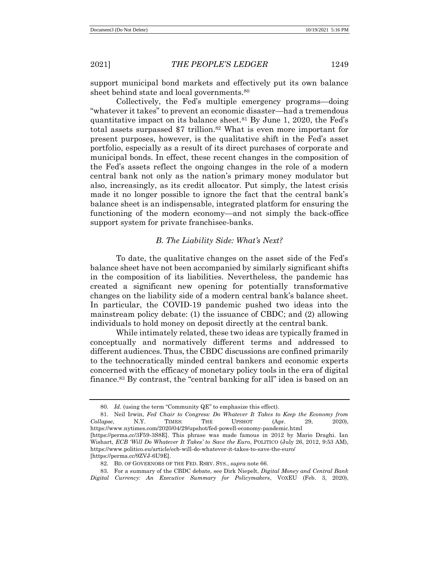support municipal bond markets and effectively put its own balance sheet behind state and local governments.<sup>80</sup>

Collectively, the Fed's multiple emergency programs—doing "whatever it takes" to prevent an economic disaster—had a tremendous quantitative impact on its balance sheet.<sup>81</sup> By June 1, 2020, the Fed's total assets surpassed \$7 trillion.<sup>82</sup> What is even more important for present purposes, however, is the qualitative shift in the Fed's asset portfolio, especially as a result of its direct purchases of corporate and municipal bonds. In effect, these recent changes in the composition of the Fed's assets reflect the ongoing changes in the role of a modern central bank not only as the nation's primary money modulator but also, increasingly, as its credit allocator. Put simply, the latest crisis made it no longer possible to ignore the fact that the central bank's balance sheet is an indispensable, integrated platform for ensuring the functioning of the modern economy—and not simply the back-office support system for private franchisee-banks.

# *B. The Liability Side: What's Next?*

To date, the qualitative changes on the asset side of the Fed's balance sheet have not been accompanied by similarly significant shifts in the composition of its liabilities. Nevertheless, the pandemic has created a significant new opening for potentially transformative changes on the liability side of a modern central bank's balance sheet. In particular, the COVID-19 pandemic pushed two ideas into the mainstream policy debate: (1) the issuance of CBDC; and (2) allowing individuals to hold money on deposit directly at the central bank.

While intimately related, these two ideas are typically framed in conceptually and normatively different terms and addressed to different audiences. Thus, the CBDC discussions are confined primarily to the technocratically minded central bankers and economic experts concerned with the efficacy of monetary policy tools in the era of digital finance.<sup>83</sup> By contrast, the "central banking for all" idea is based on an

<sup>80</sup>*. Id.* (using the term "Community QE" to emphasize this effect).

<sup>81.</sup> Neil Irwin, *Fed Chair to Congress: Do Whatever It Takes to Keep the Economy from Collapse*, N.Y. TIMES: THE UPSHOT (Apr. 29, 2020), https://www.nytimes.com/2020/04/29/upshot/fed-powell-economy-pandemic.html [https://perma.cc/3F59-3S8E]. This phrase was made famous in 2012 by Mario Draghi. Ian

Wishart, *ECB 'Will Do Whatever It Takes' to Save the Euro*, POLITICO (July 26, 2012, 9:53 AM), https://www.politico.eu/article/ecb-will-do-whatever-it-takes-to-save-the-euro/

<sup>[</sup>https://perma.cc/9ZVJ-6U9E].

<sup>82</sup>*.* BD. OF GOVERNORS OF THE FED. RSRV. SYS., *supra* note 66.

<sup>83.</sup> For a summary of the CBDC debate, see Dirk Niepelt, *Digital Money and Central Bank Digital Currency: An Executive Summary for Policymakers*, VOXEU (Feb. 3, 2020),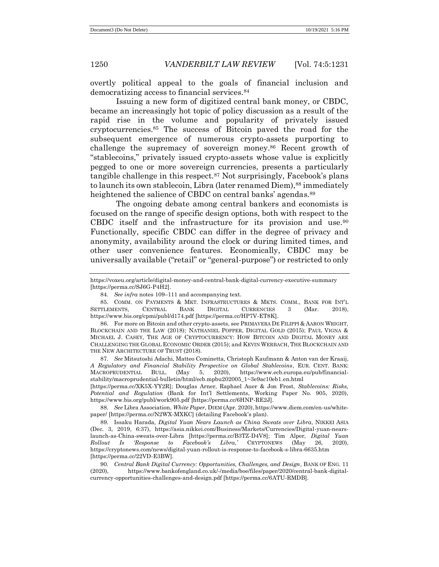overtly political appeal to the goals of financial inclusion and democratizing access to financial services.<sup>84</sup>

Issuing a new form of digitized central bank money, or CBDC, became an increasingly hot topic of policy discussion as a result of the rapid rise in the volume and popularity of privately issued cryptocurrencies.<sup>85</sup> The success of Bitcoin paved the road for the subsequent emergence of numerous crypto-assets purporting to challenge the supremacy of sovereign money.<sup>86</sup> Recent growth of "stablecoins," privately issued crypto-assets whose value is explicitly pegged to one or more sovereign currencies, presents a particularly tangible challenge in this respect.<sup>87</sup> Not surprisingly, Facebook's plans to launch its own stablecoin, Libra (later renamed Diem), 88 immediately heightened the salience of CBDC on central banks' agendas.<sup>89</sup>

The ongoing debate among central bankers and economists is focused on the range of specific design options, both with respect to the CBDC itself and the infrastructure for its provision and use.<sup>90</sup> Functionally, specific CBDC can differ in the degree of privacy and anonymity, availability around the clock or during limited times, and other user convenience features. Economically, CBDC may be universally available ("retail" or "general-purpose") or restricted to only

87*. See* Mitsutoshi Adachi, Matteo Cominetta, Christoph Kaufmann & Anton van der Kraaij, *A Regulatory and Financial Stability Perspective on Global Stablecoins*, EUR. CENT. BANK: MACROPRUDENTIAL BULL. (May 5, 2020), https://www.ecb.europa.eu/pub/financialstability/macroprudential-bulletin/html/ecb.mpbu202005\_1~3e9ac10eb1.en.html

[https://perma.cc/XK5X-YY2R]; Douglas Arner, Raphael Auer & Jon Frost, *Stablecoins: Risks, Potential and Regulation* (Bank for Int'l Settlements, Working Paper No. 905, 2020), https://www.bis.org/publ/work905.pdf [https://perma.cc/6HNP-RE2J].

88*. See* Libra Association, *White Paper*, DIEM (Apr. 2020), https://www.diem.com/en-us/whitepaper/ [https://perma.cc/N2WX-MXKC] (detailing Facebook's plan).

89. Issaku Harada, *Digital Yuan Nears Launch as China Sweats over Libra*, NIKKEI ASIA (Dec. 3, 2019, 6:37), https://asia.nikkei.com/Business/Markets/Currencies/Digital-yuan-nearslaunch-as-China-sweats-over-Libra [https://perma.cc/B3TZ-D4V8]; Tim Alper, *Digital Yuan Rollout Is 'Response to Facebook's Libra*,*'* CRYPTONEWS (May 26, 2020), https://cryptonews.com/news/digital-yuan-rollout-is-response-to-facebook-s-libra-6635.htm [https://perma.cc/22VD-E3BW].

90*. Central Bank Digital Currency: Opportunities, Challenges, and Design*, BANK OF ENG. 11 (2020), https://www.bankofengland.co.uk/-/media/boe/files/paper/2020/central-bank-digitalcurrency-opportunities-challenges-and-design.pdf [https://perma.cc/6ATU-RMDB].

https://voxeu.org/article/digital-money-and-central-bank-digital-currency-executive-summary [https://perma.cc/SJ6G-P4H2].

<sup>84</sup>*. See infra* notes 109–111 and accompanying text.

<sup>85.</sup> COMM. ON PAYMENTS & MKT. INFRASTRUCTURES & MKTS. COMM., BANK FOR INT'L SETTLEMENTS, CENTRAL BANK DIGITAL CURRENCIES 3 (Mar. 2018), https://www.bis.org/cpmi/publ/d174.pdf [https://perma.cc/HP7V-ET8K].

<sup>86.</sup> For more on Bitcoin and other crypto-assets, see PRIMAVERA DE FILIPPI & AARON WRIGHT, BLOCKCHAIN AND THE LAW (2018); NATHANIEL POPPER, DIGITAL GOLD (2015); PAUL VIGNA & MICHAEL J. CASEY, THE AGE OF CRYPTOCURRENCY: HOW BITCOIN AND DIGITAL MONEY ARE CHALLENGING THE GLOBAL ECONOMIC ORDER (2015); and KEVIN WERBACH, THE BLOCKCHAIN AND THE NEW ARCHITECTURE OF TRUST (2018).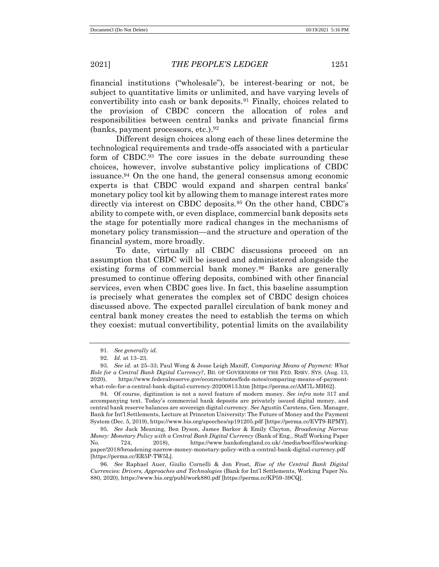financial institutions ("wholesale"), be interest-bearing or not, be subject to quantitative limits or unlimited, and have varying levels of convertibility into cash or bank deposits.<sup>91</sup> Finally, choices related to the provision of CBDC concern the allocation of roles and responsibilities between central banks and private financial firms (banks, payment processors, etc.).  $92$ 

Different design choices along each of these lines determine the technological requirements and trade-offs associated with a particular form of CBDC.<sup>93</sup> The core issues in the debate surrounding these choices, however, involve substantive policy implications of CBDC issuance.<sup>94</sup> On the one hand, the general consensus among economic experts is that CBDC would expand and sharpen central banks' monetary policy tool kit by allowing them to manage interest rates more directly via interest on CBDC deposits.<sup>95</sup> On the other hand, CBDC's ability to compete with, or even displace, commercial bank deposits sets the stage for potentially more radical changes in the mechanisms of monetary policy transmission—and the structure and operation of the financial system, more broadly.

To date, virtually all CBDC discussions proceed on an assumption that CBDC will be issued and administered alongside the existing forms of commercial bank money.<sup>96</sup> Banks are generally presumed to continue offering deposits, combined with other financial services, even when CBDC goes live. In fact, this baseline assumption is precisely what generates the complex set of CBDC design choices discussed above. The expected parallel circulation of bank money and central bank money creates the need to establish the terms on which they coexist: mutual convertibility, potential limits on the availability

<sup>91.</sup> *See generally id.*

<sup>92</sup>*. Id.* at 13–23.

<sup>93</sup>*. See id.* at 25–33; Paul Wong & Jesse Leigh Maniff, *Comparing Means of Payment: What Role for a Central Bank Digital Currency?*, BD. OF GOVERNORS OF THE FED. RSRV. SYS. (Aug. 13, 2020), https://www.federalreserve.gov/econres/notes/feds-notes/comparing-means-of-paymentwhat-role-for-a-central-bank-digital-currency-20200813.htm [https://perma.cc/AM7L-MH62].

<sup>94.</sup> Of course, digitization is not a novel feature of modern money. *See infra* note 317 and accompanying text. Today's commercial bank deposits are privately issued digital money, and central bank reserve balances are sovereign digital currency. *See* Agustín Carstens, Gen. Manager, Bank for Int'l Settlements, Lecture at Princeton University: The Future of Money and the Payment System (Dec. 5, 2019), https://www.bis.org/speeches/sp191205.pdf [https://perma.cc/EVT9-RPMY].

<sup>95</sup>*. See* Jack Meaning, Ben Dyson, James Barker & Emily Clayton, *Broadening Narrow Money: Monetary Policy with a Central Bank Digital Currency* (Bank of Eng., Staff Working Paper No. 724, 2018), https://www.bankofengland.co.uk/-/media/boe/files/workingpaper/2018/broadening-narrow-money-monetary-policy-with-a-central-bank-digital-currency.pdf [https://perma.cc/ER5P-TW5L].

<sup>96</sup>*. See* Raphael Auer, Giulio Cornelli & Jon Frost, *Rise of the Central Bank Digital Currencies: Drivers, Approaches and Technologies* (Bank for Int'l Settlements, Working Paper No. 880, 2020), https://www.bis.org/publ/work880.pdf [https://perma.cc/KP59-39CQ].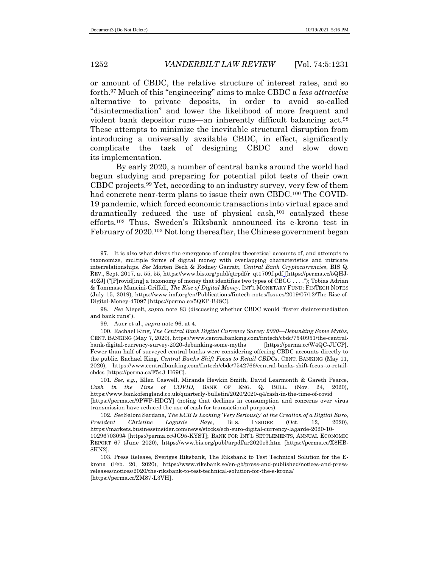or amount of CBDC, the relative structure of interest rates, and so forth.<sup>97</sup> Much of this "engineering" aims to make CBDC a *less attractive* alternative to private deposits, in order to avoid so-called "disintermediation" and lower the likelihood of more frequent and violent bank depositor runs—an inherently difficult balancing act.<sup>98</sup> These attempts to minimize the inevitable structural disruption from introducing a universally available CBDC, in effect, significantly complicate the task of designing CBDC and slow down its implementation.

By early 2020, a number of central banks around the world had begun studying and preparing for potential pilot tests of their own CBDC projects.<sup>99</sup> Yet, according to an industry survey, very few of them had concrete near-term plans to issue their own CBDC.<sup>100</sup> The COVID-19 pandemic, which forced economic transactions into virtual space and dramatically reduced the use of physical cash,<sup>101</sup> catalyzed these efforts.<sup>102</sup> Thus, Sweden's Riksbank announced its e-krona test in February of 2020.<sup>103</sup> Not long thereafter, the Chinese government began

99. Auer et al., *supra* note 96, at 4.

100. Rachael King, *The Central Bank Digital Currency Survey 2020*—*Debunking Some Myths*, CENT. BANKING (May 7, 2020), https://www.centralbanking.com/fintech/cbdc/7540951/the-centralbank-digital-currency-survey-2020-debunking-some-myths [https://perma.cc/W4QC-JUCP]. Fewer than half of surveyed central banks were considering offering CBDC accounts directly to the public. Rachael King, *Central Banks Shift Focus to Retail CBDCs*, CENT. BANKING (May 11, 2020), https://www.centralbanking.com/fintech/cbdc/7542766/central-banks-shift-focus-to-retailcbdcs [https://perma.cc/F543-H69C].

101*. See, e.g.*, Ellen Caswell, Miranda Hewkin Smith, David Learmonth & Gareth Pearce, *Cash in the Time of COVID*, BANK OF ENG. Q. BULL. (Nov. 24, 2020), https://www.bankofengland.co.uk/quarterly-bulletin/2020/2020-q4/cash-in-the-time-of-covid [https://perma.cc/9PWP-HDGY] (noting that declines in consumption and concerns over virus transmission have reduced the use of cash for transactional purposes).

102*. See* Saloni Sardana, *The ECB Is Looking 'Very Seriously' at the Creation of a Digital Euro, President Christine Lagarde Says*, BUS. INSIDER (Oct. 12, 2020), https://markets.businessinsider.com/news/stocks/ecb-euro-digital-currency-lagarde-2020-10- 1029670309# [https://perma.cc/JC95-KYST]; BANK FOR INT'L SETTLEMENTS, ANNUAL ECONOMIC REPORT 67 (June 2020), https://www.bis.org/publ/arpdf/ar2020e3.htm [https://perma.cc/X8HB-8KN2].

<sup>97.</sup> It is also what drives the emergence of complex theoretical accounts of, and attempts to taxonomize, multiple forms of digital money with overlapping characteristics and intricate interrelationships. *See* Morten Bech & Rodney Garratt, *Central Bank Cryptocurrencies*, BIS Q. REV., Sept. 2017, at 55, 55, https://www.bis.org/publ/qtrpdf/r\_qt1709f.pdf [https://perma.cc/5QHJ-49ZJ] ("[P]rovid[ing] a taxonomy of money that identifies two types of CBCC . . . ."); Tobias Adrian & Tommaso Mancini-Griffoli, *The Rise of Digital Money*, INT'L MONETARY FUND: FINTECH NOTES (July 15, 2019), https://www.imf.org/en/Publications/fintech-notes/Issues/2019/07/12/The-Rise-of-Digital-Money-47097 [https://perma.cc/5QKP-BJ8C].

<sup>98</sup>*. See* Niepelt, *supra* note 83 (discussing whether CBDC would "foster disintermediation and bank runs").

<sup>103.</sup> Press Release, Sveriges Riksbank, The Riksbank to Test Technical Solution for the Ekrona (Feb. 20, 2020), https://www.riksbank.se/en-gb/press-and-published/notices-and-pressreleases/notices/2020/the-riksbank-to-test-technical-solution-for-the-e-krona/ [https://perma.cc/ZM87-L3VH].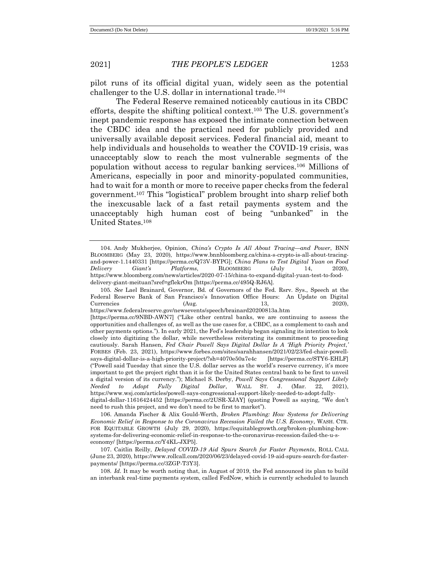pilot runs of its official digital yuan, widely seen as the potential challenger to the U.S. dollar in international trade.<sup>104</sup>

The Federal Reserve remained noticeably cautious in its CBDC efforts, despite the shifting political context.<sup>105</sup> The U.S. government's inept pandemic response has exposed the intimate connection between the CBDC idea and the practical need for publicly provided and universally available deposit services. Federal financial aid, meant to help individuals and households to weather the COVID-19 crisis, was unacceptably slow to reach the most vulnerable segments of the population without access to regular banking services.<sup>106</sup> Millions of Americans, especially in poor and minority-populated communities, had to wait for a month or more to receive paper checks from the federal government.<sup>107</sup> This "logistical" problem brought into sharp relief both the inexcusable lack of a fast retail payments system and the unacceptably high human cost of being "unbanked" in the United States.<sup>108</sup>

<sup>104.</sup> Andy Mukherjee, Opinion, *China's Crypto Is All About Tracing*—*and Power*, BNN BLOOMBERG (May 23, 2020), https://www.bnnbloomberg.ca/china-s-crypto-is-all-about-tracingand-power-1.1440331 [https://perma.cc/Q73V-BYPG]; *China Plans to Test Digital Yuan on Food Delivery Giant's Platforms*, BLOOMBERG (July 14, 2020), https://www.bloomberg.com/news/articles/2020-07-15/china-to-expand-digital-yuan-test-to-fooddelivery-giant-meituan?sref=gflekrOm [https://perma.cc/495Q-RJ6A].

<sup>105</sup>*. See* Lael Brainard, Governor, Bd. of Governors of the Fed. Rsrv. Sys., Speech at the Federal Reserve Bank of San Francisco's Innovation Office Hours: An Update on Digital  $\text{Current} = \frac{2020}{13}$ ,  $\frac{2020}{13}$ 

https://www.federalreserve.gov/newsevents/speech/brainard20200813a.htm

<sup>[</sup>https://perma.cc/9NBD-AWN7] ("Like other central banks, we are continuing to assess the opportunities and challenges of, as well as the use cases for, a CBDC, as a complement to cash and other payments options."). In early 2021, the Fed's leadership began signaling its intention to look closely into digitizing the dollar, while nevertheless reiterating its commitment to proceeding cautiously. Sarah Hansen, *Fed Chair Powell Says Digital Dollar Is A 'High Priority Project*,*'* FORBES (Feb. 23, 2021), https://www.forbes.com/sites/sarahhansen/2021/02/23/fed-chair-powellsays-digital-dollar-is-a-high-priority-project/?sh=4070e50a7e4c [https://perma.cc/STY6-EHLF] ("Powell said Tuesday that since the U.S. dollar serves as the world's reserve currency, it's more important to get the project right than it is for the United States central bank to be first to unveil a digital version of its currency."); Michael S. Derby, *Powell Says Congressional Support Likely Needed to Adopt Fully Digital Dollar*, WALL ST. J. (Mar. 22, 2021), https://www.wsj.com/articles/powell-says-congressional-support-likely-needed-to-adopt-fullydigital-dollar-11616424452 [https://perma.cc/2USR-XJAY] (quoting Powell as saying, "We don't need to rush this project, and we don't need to be first to market").

<sup>106.</sup> Amanda Fischer & Alix Gould-Werth, *Broken Plumbing: How Systems for Delivering Economic Relief in Response to the Coronavirus Recession Failed the U.S. Economy*, WASH. CTR. FOR EQUITABLE GROWTH (July 29, 2020), https://equitablegrowth.org/broken-plumbing-howsystems-for-delivering-economic-relief-in-response-to-the-coronavirus-recession-failed-the-u-seconomy/ [https://perma.cc/Y4KL-JXP5].

<sup>107.</sup> Caitlin Reilly, *Delayed COVID-19 Aid Spurs Search for Faster Payments*, ROLL CALL (June 23, 2020), https://www.rollcall.com/2020/06/23/delayed-covid-19-aid-spurs-search-for-fasterpayments/ [https://perma.cc/3ZGP-T3Y3].

<sup>108</sup>*. Id.* It may be worth noting that, in August of 2019, the Fed announced its plan to build an interbank real-time payments system, called FedNow, which is currently scheduled to launch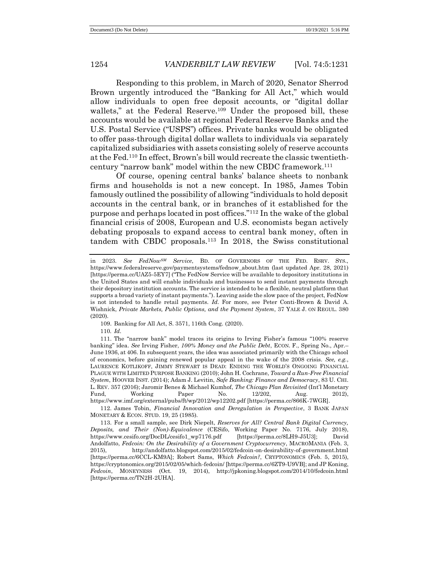Responding to this problem, in March of 2020, Senator Sherrod Brown urgently introduced the "Banking for All Act," which would allow individuals to open free deposit accounts, or "digital dollar wallets," at the Federal Reserve.<sup>109</sup> Under the proposed bill, these accounts would be available at regional Federal Reserve Banks and the U.S. Postal Service ("USPS") offices. Private banks would be obligated to offer pass-through digital dollar wallets to individuals via separately capitalized subsidiaries with assets consisting solely of reserve accounts at the Fed.<sup>110</sup> In effect, Brown's bill would recreate the classic twentiethcentury "narrow bank" model within the new CBDC framework.<sup>111</sup>

Of course, opening central banks' balance sheets to nonbank firms and households is not a new concept. In 1985, James Tobin famously outlined the possibility of allowing "individuals to hold deposit accounts in the central bank, or in branches of it established for the purpose and perhaps located in post offices."<sup>112</sup> In the wake of the global financial crisis of 2008, European and U.S. economists began actively debating proposals to expand access to central bank money, often in tandem with CBDC proposals.<sup>113</sup> In 2018, the Swiss constitutional

109. Banking for All Act, S. 3571, 116th Cong. (2020).

110*. Id.* 

112. James Tobin, *Financial Innovation and Deregulation in Perspective*, 3 BANK JAPAN MONETARY & ECON. STUD. 19, 25 (1985).

in 2023. *See FedNowSM Service*, BD. OF GOVERNORS OF THE FED. RSRV. SYS., https://www.federalreserve.gov/paymentsystems/fednow\_about.htm (last updated Apr. 28, 2021) [https://perma.cc/UAZ5-5EY7] ("The FedNow Service will be available to depository institutions in the United States and will enable individuals and businesses to send instant payments through their depository institution accounts. The service is intended to be a flexible, neutral platform that supports a broad variety of instant payments."). Leaving aside the slow pace of the project, FedNow is not intended to handle retail payments. *Id.* For more, see Peter Conti-Brown & David A. Wishnick, *Private Markets, Public Options, and the Payment System*, 37 YALE J. ON REGUL. 380 (2020).

<sup>111.</sup> The "narrow bank" model traces its origins to Irving Fisher's famous "100% reserve banking" idea. *See* Irving Fisher, *100% Money and the Public Debt*, ECON. F., Spring No., Apr.– June 1936, at 406. In subsequent years, the idea was associated primarily with the Chicago school of economics, before gaining renewed popular appeal in the wake of the 2008 crisis. *See, e.g.*, LAURENCE KOTLIKOFF, JIMMY STEWART IS DEAD: ENDING THE WORLD'S ONGOING FINANCIAL PLAGUE WITH LIMITED PURPOSE BANKING (2010); John H. Cochrane, *Toward a Run-Free Financial System*, HOOVER INST. (2014); Adam J. Levitin, *Safe Banking: Finance and Democracy*, 83 U. CHI. L. REV. 357 (2016); Jaromir Benes & Michael Kumhof, *The Chicago Plan Revisited* (Int'l Monetary Fund, Working Paper No. 12/202, Aug. 2012), https://www.imf.org/external/pubs/ft/wp/2012/wp12202.pdf [https://perma.cc/866K-7WGR].

<sup>113.</sup> For a small sample, see Dirk Niepelt, *Reserves for All? Central Bank Digital Currency, Deposits, and Their (Non)-Equivalence* (CESifo, Working Paper No. 7176, July 2018), https://www.cesifo.org/DocDL/cesifo1\_wp7176.pdf [https://perma.cc/8LH9-J5U3]; David Andolfatto, *Fedcoin: On the Desirability of a Government Cryptocurrency*, MACROMANIA (Feb. 3, 2015), http://andolfatto.blogspot.com/2015/02/fedcoin-on-desirability-of-government.html [https://perma.cc/6CCL-KM9A]; Robert Sams, *Which Fedcoin?*, CRYPTONOMICS (Feb. 5, 2015), https://cryptonomics.org/2015/02/05/which-fedcoin/ [https://perma.cc/6ZT9-U9VB]; and JP Koning, *Fedcoin*, MONEYNESS (Oct. 19, 2014), http://jpkoning.blogspot.com/2014/10/fedcoin.html [https://perma.cc/TN2H-2UHA].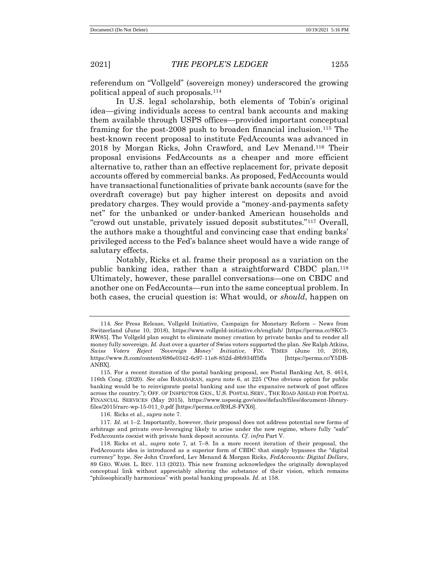referendum on "Vollgeld" (sovereign money) underscored the growing political appeal of such proposals.<sup>114</sup>

In U.S. legal scholarship, both elements of Tobin's original idea—giving individuals access to central bank accounts and making them available through USPS offices—provided important conceptual framing for the post-2008 push to broaden financial inclusion.<sup>115</sup> The best-known recent proposal to institute FedAccounts was advanced in 2018 by Morgan Ricks, John Crawford, and Lev Menand.<sup>116</sup> Their proposal envisions FedAccounts as a cheaper and more efficient alternative to, rather than an effective replacement for, private deposit accounts offered by commercial banks. As proposed, FedAccounts would have transactional functionalities of private bank accounts (save for the overdraft coverage) but pay higher interest on deposits and avoid predatory charges. They would provide a "money-and-payments safety net" for the unbanked or under-banked American households and "crowd out unstable, privately issued deposit substitutes."<sup>117</sup> Overall, the authors make a thoughtful and convincing case that ending banks' privileged access to the Fed's balance sheet would have a wide range of salutary effects.

Notably, Ricks et al. frame their proposal as a variation on the public banking idea, rather than a straightforward CBDC plan.<sup>118</sup> Ultimately, however, these parallel conversations—one on CBDC and another one on FedAccounts—run into the same conceptual problem. In both cases, the crucial question is: What would, or *should*, happen on

116. Ricks et al., *supra* note 7.

<sup>114</sup>*. See* Press Release, Vollgeld Initiative, Campaign for Monetary Reform – News from Switzerland (June 10, 2018), https://www.vollgeld-initiative.ch/english/ [https://perma.cc/8KC5- RW85]. The Vollgeld plan sought to eliminate money creation by private banks and to render all money fully sovereign. *Id.* Just over a quarter of Swiss voters supported the plan*. See* Ralph Atkins, *Swiss Voters Reject 'Sovereign Money' Initiative*, FIN. TIMES (June 10, 2018), https://www.ft.com/content/686e0342-6c97-11e8-852d-d8b934ff5ffa [https://perma.cc/Y5DB-ANBX].

<sup>115.</sup> For a recent iteration of the postal banking proposal, see Postal Banking Act, S. 4614, 116th Cong. (2020). *See also* BARADARAN, *supra* note 6, at 225 ("One obvious option for public banking would be to reinvigorate postal banking and use the expansive network of post offices across the country."); OFF. OF INSPECTOR GEN., U.S. POSTAL SERV., THE ROAD AHEAD FOR POSTAL FINANCIAL SERVICES (May 2015), https://www.uspsoig.gov/sites/default/files/document-libraryfiles/2015/rarc-wp-15-011\_0.pdf [https://perma.cc/R9LS-FVX6].

<sup>117</sup>*. Id.* at 1–2. Importantly, however, their proposal does not address potential new forms of arbitrage and private over-leveraging likely to arise under the new regime, where fully "safe" FedAccounts coexist with private bank deposit accounts. *Cf. infra* Part V.

<sup>118.</sup> Ricks et al., *supra* note 7, at 7–8. In a more recent iteration of their proposal, the FedAccounts idea is introduced as a superior form of CBDC that simply bypasses the "digital currency" hype. *See* John Crawford, Lev Menand & Morgan Ricks, *FedAccounts: Digital Dollars*, 89 GEO. WASH. L. REV. 113 (2021). This new framing acknowledges the originally downplayed conceptual link without appreciably altering the substance of their vision, which remains "philosophically harmonious" with postal banking proposals. *Id.* at 158.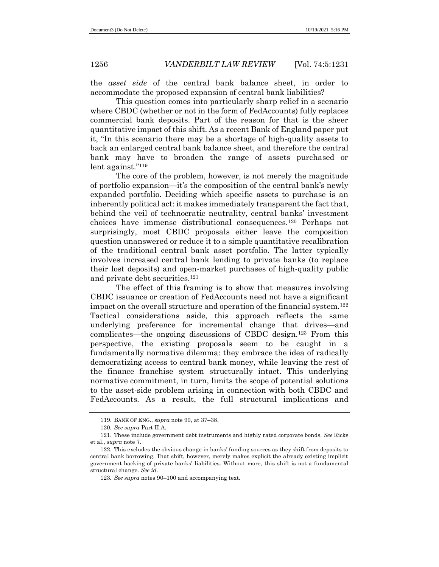the *asset side* of the central bank balance sheet, in order to accommodate the proposed expansion of central bank liabilities?

This question comes into particularly sharp relief in a scenario where CBDC (whether or not in the form of FedAccounts) fully replaces commercial bank deposits. Part of the reason for that is the sheer quantitative impact of this shift. As a recent Bank of England paper put it, "In this scenario there may be a shortage of high-quality assets to back an enlarged central bank balance sheet, and therefore the central bank may have to broaden the range of assets purchased or lent against." 119

The core of the problem, however, is not merely the magnitude of portfolio expansion—it's the composition of the central bank's newly expanded portfolio. Deciding which specific assets to purchase is an inherently political act: it makes immediately transparent the fact that, behind the veil of technocratic neutrality, central banks' investment choices have immense distributional consequences.<sup>120</sup> Perhaps not surprisingly, most CBDC proposals either leave the composition question unanswered or reduce it to a simple quantitative recalibration of the traditional central bank asset portfolio. The latter typically involves increased central bank lending to private banks (to replace their lost deposits) and open-market purchases of high-quality public and private debt securities.<sup>121</sup>

The effect of this framing is to show that measures involving CBDC issuance or creation of FedAccounts need not have a significant impact on the overall structure and operation of the financial system.<sup>122</sup> Tactical considerations aside, this approach reflects the same underlying preference for incremental change that drives—and complicates—the ongoing discussions of CBDC design.<sup>123</sup> From this perspective, the existing proposals seem to be caught in a fundamentally normative dilemma: they embrace the idea of radically democratizing access to central bank money, while leaving the rest of the finance franchise system structurally intact. This underlying normative commitment, in turn, limits the scope of potential solutions to the asset-side problem arising in connection with both CBDC and FedAccounts. As a result, the full structural implications and

<sup>119.</sup> BANK OF ENG., *supra* note 90, at 37–38.

<sup>120</sup>*. See supra* Part II.A.

<sup>121.</sup> These include government debt instruments and highly rated corporate bonds. *See* Ricks et al., *supra* note 7.

<sup>122.</sup> This excludes the obvious change in banks' funding sources as they shift from deposits to central bank borrowing. That shift, however, merely makes explicit the already existing implicit government backing of private banks' liabilities. Without more, this shift is not a fundamental structural change. *See id.*

<sup>123</sup>*. See supra* notes 90–100 and accompanying text.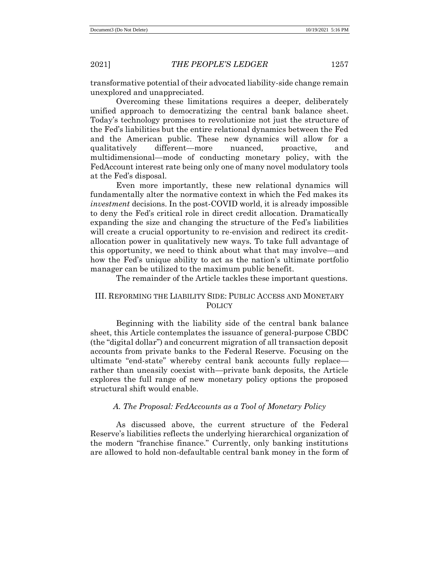transformative potential of their advocated liability-side change remain unexplored and unappreciated.

Overcoming these limitations requires a deeper, deliberately unified approach to democratizing the central bank balance sheet. Today's technology promises to revolutionize not just the structure of the Fed's liabilities but the entire relational dynamics between the Fed and the American public. These new dynamics will allow for a qualitatively different—more nuanced, proactive, and multidimensional—mode of conducting monetary policy, with the FedAccount interest rate being only one of many novel modulatory tools at the Fed's disposal.

Even more importantly, these new relational dynamics will fundamentally alter the normative context in which the Fed makes its *investment* decisions. In the post-COVID world, it is already impossible to deny the Fed's critical role in direct credit allocation. Dramatically expanding the size and changing the structure of the Fed's liabilities will create a crucial opportunity to re-envision and redirect its creditallocation power in qualitatively new ways. To take full advantage of this opportunity, we need to think about what that may involve—and how the Fed's unique ability to act as the nation's ultimate portfolio manager can be utilized to the maximum public benefit.

The remainder of the Article tackles these important questions.

# III. REFORMING THE LIABILITY SIDE: PUBLIC ACCESS AND MONETARY **POLICY**

Beginning with the liability side of the central bank balance sheet, this Article contemplates the issuance of general-purpose CBDC (the "digital dollar") and concurrent migration of all transaction deposit accounts from private banks to the Federal Reserve. Focusing on the ultimate "end-state" whereby central bank accounts fully replace rather than uneasily coexist with—private bank deposits, the Article explores the full range of new monetary policy options the proposed structural shift would enable.

# *A. The Proposal: FedAccounts as a Tool of Monetary Policy*

As discussed above, the current structure of the Federal Reserve's liabilities reflects the underlying hierarchical organization of the modern "franchise finance." Currently, only banking institutions are allowed to hold non-defaultable central bank money in the form of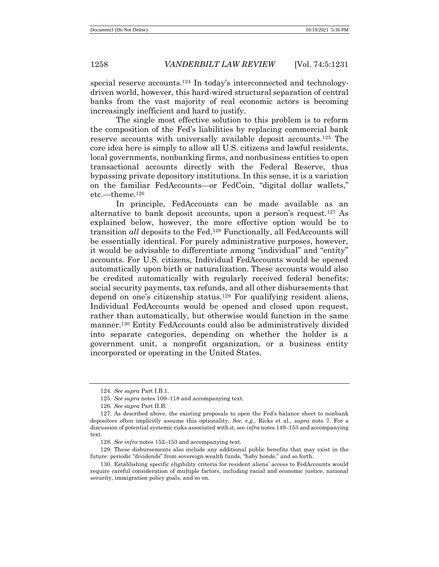special reserve accounts.<sup>124</sup> In today's interconnected and technologydriven world, however, this hard-wired structural separation of central banks from the vast majority of real economic actors is becoming increasingly inefficient and hard to justify.

The single most effective solution to this problem is to reform the composition of the Fed's liabilities by replacing commercial bank reserve accounts with universally available deposit accounts.<sup>125</sup> The core idea here is simply to allow all U.S. citizens and lawful residents, local governments, nonbanking firms, and nonbusiness entities to open transactional accounts directly with the Federal Reserve, thus bypassing private depository institutions. In this sense, it is a variation on the familiar FedAccounts—or FedCoin, "digital dollar wallets," etc.—theme.<sup>126</sup>

In principle, FedAccounts can be made available as an alternative to bank deposit accounts, upon a person's request.<sup>127</sup> As explained below, however, the more effective option would be to transition *all* deposits to the Fed.<sup>128</sup> Functionally, all FedAccounts will be essentially identical. For purely administrative purposes, however, it would be advisable to differentiate among "individual" and "entity" accounts. For U.S. citizens, Individual FedAccounts would be opened automatically upon birth or naturalization. These accounts would also be credited automatically with regularly received federal benefits: social security payments, tax refunds, and all other disbursements that depend on one's citizenship status.<sup>129</sup> For qualifying resident aliens, Individual FedAccounts would be opened and closed upon request, rather than automatically, but otherwise would function in the same manner.<sup>130</sup> Entity FedAccounts could also be administratively divided into separate categories, depending on whether the holder is a government unit, a nonprofit organization, or a business entity incorporated or operating in the United States.

<sup>124</sup>*. See supra* Part I.B.1.

<sup>125</sup>*. See supra* notes 109–118 and accompanying text.

<sup>126</sup>*. See supra* Part II.B.

<sup>127.</sup> As described above, the existing proposals to open the Fed's balance sheet to nonbank depositors often implicitly assume this optionality. *See, e.g.*, Ricks et al., *supra* note 7. For a discussion of potential systemic risks associated with it, see *infra* notes 149–153 and accompanying text.

<sup>128</sup>*. See infra* notes 152–153 and accompanying text.

<sup>129.</sup> These disbursements also include any additional public benefits that may exist in the future: periodic "dividends" from sovereign wealth funds, "baby bonds," and so forth.

<sup>130.</sup> Establishing specific eligibility criteria for resident aliens' access to FedAccounts would require careful consideration of multiple factors, including racial and economic justice, national security, immigration policy goals, and so on.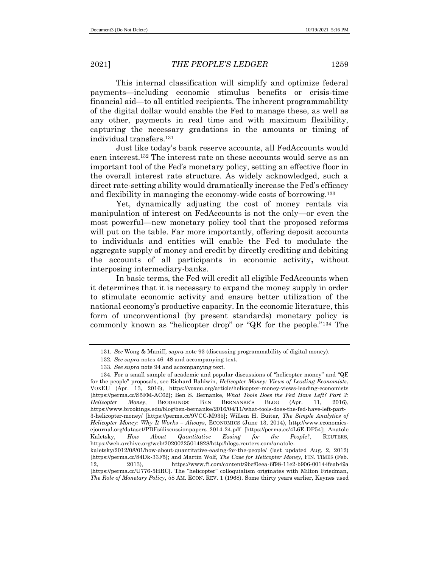This internal classification will simplify and optimize federal payments—including economic stimulus benefits or crisis-time financial aid—to all entitled recipients. The inherent programmability of the digital dollar would enable the Fed to manage these, as well as any other, payments in real time and with maximum flexibility, capturing the necessary gradations in the amounts or timing of individual transfers.<sup>131</sup>

Just like today's bank reserve accounts, all FedAccounts would earn interest.<sup>132</sup> The interest rate on these accounts would serve as an important tool of the Fed's monetary policy, setting an effective floor in the overall interest rate structure. As widely acknowledged, such a direct rate-setting ability would dramatically increase the Fed's efficacy and flexibility in managing the economy-wide costs of borrowing.<sup>133</sup>

Yet, dynamically adjusting the cost of money rentals via manipulation of interest on FedAccounts is not the only—or even the most powerful—new monetary policy tool that the proposed reforms will put on the table. Far more importantly, offering deposit accounts to individuals and entities will enable the Fed to modulate the aggregate supply of money and credit by directly crediting and debiting the accounts of all participants in economic activity**,** without interposing intermediary-banks.

In basic terms, the Fed will credit all eligible FedAccounts when it determines that it is necessary to expand the money supply in order to stimulate economic activity and ensure better utilization of the national economy's productive capacity. In the economic literature, this form of unconventional (by present standards) monetary policy is commonly known as "helicopter drop" or "QE for the people."<sup>134</sup> The

<sup>131</sup>*. See* Wong & Maniff, *supra* note 93 (discussing programmability of digital money).

<sup>132</sup>*. See supra* notes 46–48 and accompanying text.

<sup>133</sup>*. See supra* note 94 and accompanying text.

<sup>134.</sup> For a small sample of academic and popular discussions of "helicopter money" and " $QE$ for the people" proposals, see Richard Baldwin, *Helicopter Money: Views of Leading Economists*, VOXEU (Apr. 13, 2016), https://voxeu.org/article/helicopter-money-views-leading-economists [https://perma.cc/S5FM-AC62]; Ben S. Bernanke, *What Tools Does the Fed Have Left? Part 3: Helicopter Money*, BROOKINGS: BEN BERNANKE'S BLOG (Apr. 11, 2016), https://www.brookings.edu/blog/ben-bernanke/2016/04/11/what-tools-does-the-fed-have-left-part-3-helicopter-money/ [https://perma.cc/9VCC-M935]; Willem H. Buiter, *The Simple Analytics of Helicopter Money: Why It Works – Always*, ECONOMICS (June 13, 2014), http://www.economicsejournal.org/dataset/PDFs/discussionpapers\_2014-24.pdf [https://perma.cc/4L6E-DP54]; Anatole Kaletsky, *How About Quantitative Easing for the People?*, REUTERS, https://web.archive.org/web/20200225014828/http:/blogs.reuters.com/anatolekaletsky/2012/08/01/how-about-quantitative-easing-for-the-people/ (last updated Aug. 2, 2012) [https://perma.cc/84Dk-33F5]; and Martin Wolf, *The Case for Helicopter Money*, FIN. TIMES (Feb.

<sup>12, 2013),</sup> https://www.ft.com/content/9bcf0eea-6f98-11e2-b906-00144feab49a [https://perma.cc/U776-5HRC]. The "helicopter" colloquialism originates with Milton Friedman, *The Role of Monetary Policy*, 58 AM. ECON. REV. 1 (1968). Some thirty years earlier, Keynes used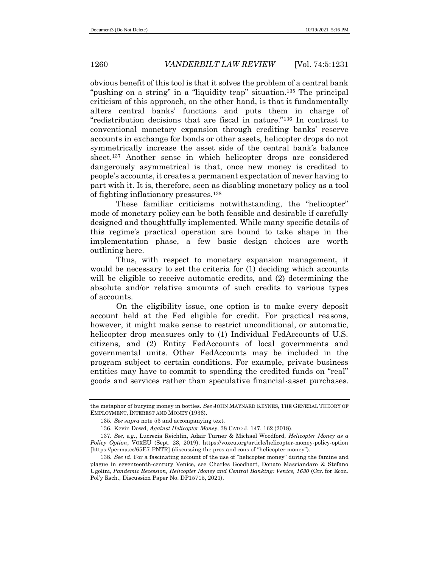obvious benefit of this tool is that it solves the problem of a central bank "pushing on a string" in a "liquidity trap" situation.<sup>135</sup> The principal criticism of this approach, on the other hand, is that it fundamentally alters central banks' functions and puts them in charge of "redistribution decisions that are fiscal in nature."<sup>136</sup> In contrast to conventional monetary expansion through crediting banks' reserve accounts in exchange for bonds or other assets, helicopter drops do not symmetrically increase the asset side of the central bank's balance sheet.<sup>137</sup> Another sense in which helicopter drops are considered dangerously asymmetrical is that, once new money is credited to people's accounts, it creates a permanent expectation of never having to part with it. It is, therefore, seen as disabling monetary policy as a tool of fighting inflationary pressures.<sup>138</sup>

These familiar criticisms notwithstanding, the "helicopter" mode of monetary policy can be both feasible and desirable if carefully designed and thoughtfully implemented. While many specific details of this regime's practical operation are bound to take shape in the implementation phase, a few basic design choices are worth outlining here.

Thus, with respect to monetary expansion management, it would be necessary to set the criteria for (1) deciding which accounts will be eligible to receive automatic credits, and (2) determining the absolute and/or relative amounts of such credits to various types of accounts.

On the eligibility issue, one option is to make every deposit account held at the Fed eligible for credit. For practical reasons, however, it might make sense to restrict unconditional, or automatic, helicopter drop measures only to (1) Individual FedAccounts of U.S. citizens, and (2) Entity FedAccounts of local governments and governmental units. Other FedAccounts may be included in the program subject to certain conditions. For example, private business entities may have to commit to spending the credited funds on "real" goods and services rather than speculative financial-asset purchases.

the metaphor of burying money in bottles. *See* JOHN MAYNARD KEYNES, THE GENERAL THEORY OF EMPLOYMENT, INTEREST AND MONEY (1936).

<sup>135</sup>*. See supra* note 53 and accompanying text.

<sup>136.</sup> Kevin Dowd, *Against Helicopter Money*, 38 CATO J. 147, 162 (2018).

<sup>137</sup>*. See, e.g.*, Lucrezia Reichlin, Adair Turner & Michael Woodford, *Helicopter Money as a Policy Option*, VOXEU (Sept. 23, 2019), https://voxeu.org/article/helicopter-money-policy-option [https://perma.cc/65E7-PNTR] (discussing the pros and cons of "helicopter money").

<sup>138</sup>*. See id.* For a fascinating account of the use of "helicopter money" during the famine and plague in seventeenth-century Venice, see Charles Goodhart, Donato Masciandaro & Stefano Ugolini, *Pandemic Recession, Helicopter Money and Central Banking: Venice, 1630* (Ctr. for Econ. Pol'y Rsch., Discussion Paper No. DP15715, 2021).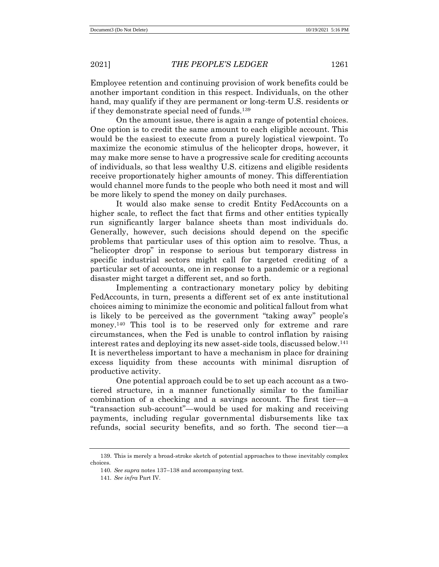Employee retention and continuing provision of work benefits could be another important condition in this respect. Individuals, on the other hand, may qualify if they are permanent or long-term U.S. residents or if they demonstrate special need of funds.<sup>139</sup>

On the amount issue, there is again a range of potential choices. One option is to credit the same amount to each eligible account. This would be the easiest to execute from a purely logistical viewpoint. To maximize the economic stimulus of the helicopter drops, however, it may make more sense to have a progressive scale for crediting accounts of individuals, so that less wealthy U.S. citizens and eligible residents receive proportionately higher amounts of money. This differentiation would channel more funds to the people who both need it most and will be more likely to spend the money on daily purchases.

It would also make sense to credit Entity FedAccounts on a higher scale, to reflect the fact that firms and other entities typically run significantly larger balance sheets than most individuals do. Generally, however, such decisions should depend on the specific problems that particular uses of this option aim to resolve. Thus, a "helicopter drop" in response to serious but temporary distress in specific industrial sectors might call for targeted crediting of a particular set of accounts, one in response to a pandemic or a regional disaster might target a different set, and so forth.

Implementing a contractionary monetary policy by debiting FedAccounts, in turn, presents a different set of ex ante institutional choices aiming to minimize the economic and political fallout from what is likely to be perceived as the government "taking away" people's money.<sup>140</sup> This tool is to be reserved only for extreme and rare circumstances, when the Fed is unable to control inflation by raising interest rates and deploying its new asset-side tools, discussed below.<sup>141</sup> It is nevertheless important to have a mechanism in place for draining excess liquidity from these accounts with minimal disruption of productive activity.

One potential approach could be to set up each account as a twotiered structure, in a manner functionally similar to the familiar combination of a checking and a savings account. The first tier—a "transaction sub-account"—would be used for making and receiving payments, including regular governmental disbursements like tax refunds, social security benefits, and so forth. The second tier—a

<sup>139.</sup> This is merely a broad-stroke sketch of potential approaches to these inevitably complex choices.

<sup>140</sup>*. See supra* notes 137–138 and accompanying text.

<sup>141</sup>*. See infra* Part IV.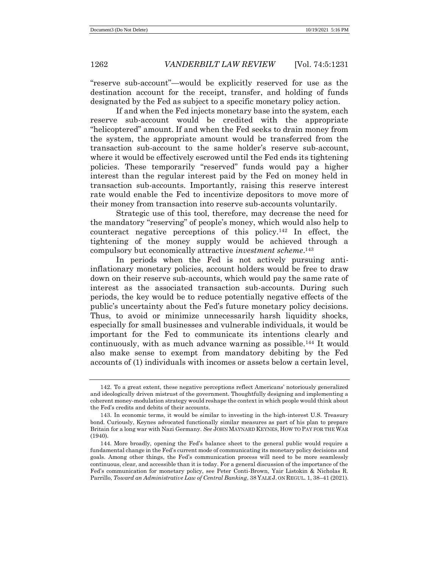"reserve sub-account"—would be explicitly reserved for use as the destination account for the receipt, transfer, and holding of funds designated by the Fed as subject to a specific monetary policy action.

If and when the Fed injects monetary base into the system, each reserve sub-account would be credited with the appropriate "helicoptered" amount. If and when the Fed seeks to drain money from the system, the appropriate amount would be transferred from the transaction sub-account to the same holder's reserve sub-account, where it would be effectively escrowed until the Fed ends its tightening policies. These temporarily "reserved" funds would pay a higher interest than the regular interest paid by the Fed on money held in transaction sub-accounts. Importantly, raising this reserve interest rate would enable the Fed to incentivize depositors to move more of their money from transaction into reserve sub-accounts voluntarily.

Strategic use of this tool, therefore, may decrease the need for the mandatory "reserving" of people's money, which would also help to counteract negative perceptions of this policy.<sup>142</sup> In effect, the tightening of the money supply would be achieved through a compulsory but economically attractive *investment scheme*. 143

In periods when the Fed is not actively pursuing antiinflationary monetary policies, account holders would be free to draw down on their reserve sub-accounts, which would pay the same rate of interest as the associated transaction sub-accounts. During such periods, the key would be to reduce potentially negative effects of the public's uncertainty about the Fed's future monetary policy decisions. Thus, to avoid or minimize unnecessarily harsh liquidity shocks, especially for small businesses and vulnerable individuals, it would be important for the Fed to communicate its intentions clearly and continuously, with as much advance warning as possible.<sup>144</sup> It would also make sense to exempt from mandatory debiting by the Fed accounts of (1) individuals with incomes or assets below a certain level,

<sup>142.</sup> To a great extent, these negative perceptions reflect Americans' notoriously generalized and ideologically driven mistrust of the government. Thoughtfully designing and implementing a coherent money-modulation strategy would reshape the context in which people would think about the Fed's credits and debits of their accounts.

<sup>143.</sup> In economic terms, it would be similar to investing in the high-interest U.S. Treasury bond. Curiously, Keynes advocated functionally similar measures as part of his plan to prepare Britain for a long war with Nazi Germany. *See* JOHN MAYNARD KEYNES, HOW TO PAY FOR THE WAR (1940).

<sup>144.</sup> More broadly, opening the Fed's balance sheet to the general public would require a fundamental change in the Fed's current mode of communicating its monetary policy decisions and goals. Among other things, the Fed's communication process will need to be more seamlessly continuous, clear, and accessible than it is today. For a general discussion of the importance of the Fed's communication for monetary policy, see Peter Conti-Brown, Yair Listokin & Nicholas R. Parrillo, *Toward an Administrative Law of Central Banking*, 38 YALE J. ON REGUL. 1, 38–41 (2021).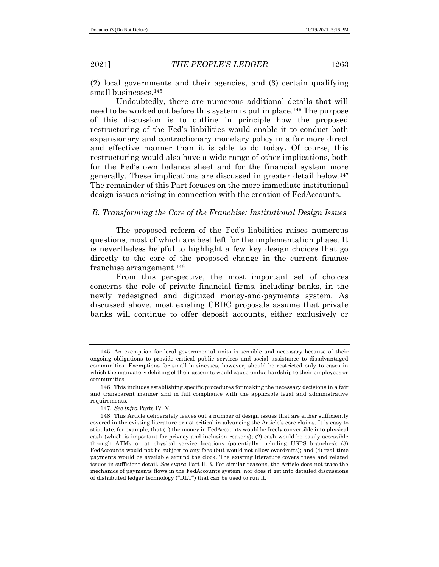(2) local governments and their agencies, and (3) certain qualifying small businesses.<sup>145</sup>

Undoubtedly, there are numerous additional details that will need to be worked out before this system is put in place.<sup>146</sup> The purpose of this discussion is to outline in principle how the proposed restructuring of the Fed's liabilities would enable it to conduct both expansionary and contractionary monetary policy in a far more direct and effective manner than it is able to do today**.** Of course, this restructuring would also have a wide range of other implications, both for the Fed's own balance sheet and for the financial system more generally. These implications are discussed in greater detail below.<sup>147</sup> The remainder of this Part focuses on the more immediate institutional design issues arising in connection with the creation of FedAccounts.

# *B. Transforming the Core of the Franchise: Institutional Design Issues*

The proposed reform of the Fed's liabilities raises numerous questions, most of which are best left for the implementation phase. It is nevertheless helpful to highlight a few key design choices that go directly to the core of the proposed change in the current finance franchise arrangement.<sup>148</sup>

From this perspective, the most important set of choices concerns the role of private financial firms, including banks, in the newly redesigned and digitized money-and-payments system. As discussed above, most existing CBDC proposals assume that private banks will continue to offer deposit accounts, either exclusively or

<sup>145.</sup> An exemption for local governmental units is sensible and necessary because of their ongoing obligations to provide critical public services and social assistance to disadvantaged communities. Exemptions for small businesses, however, should be restricted only to cases in which the mandatory debiting of their accounts would cause undue hardship to their employees or communities.

<sup>146.</sup> This includes establishing specific procedures for making the necessary decisions in a fair and transparent manner and in full compliance with the applicable legal and administrative requirements.

<sup>147</sup>*. See infra* Parts IV–V.

<sup>148.</sup> This Article deliberately leaves out a number of design issues that are either sufficiently covered in the existing literature or not critical in advancing the Article's core claims. It is easy to stipulate, for example, that (1) the money in FedAccounts would be freely convertible into physical cash (which is important for privacy and inclusion reasons); (2) cash would be easily accessible through ATMs or at physical service locations (potentially including USPS branches); (3) FedAccounts would not be subject to any fees (but would not allow overdrafts); and (4) real-time payments would be available around the clock. The existing literature covers these and related issues in sufficient detail. *See supra* Part II.B. For similar reasons, the Article does not trace the mechanics of payments flows in the FedAccounts system, nor does it get into detailed discussions of distributed ledger technology ("DLT") that can be used to run it.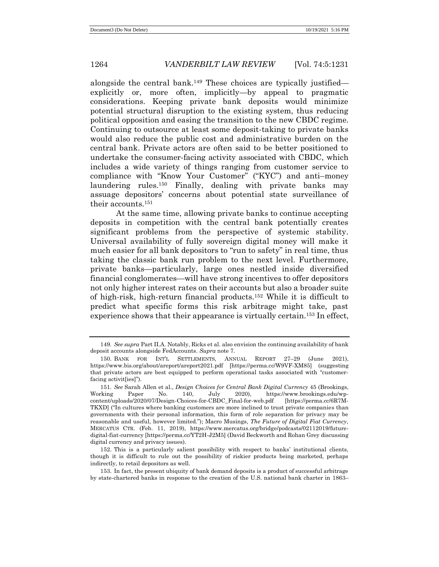alongside the central bank.<sup>149</sup> These choices are typically justified explicitly or, more often, implicitly—by appeal to pragmatic considerations. Keeping private bank deposits would minimize potential structural disruption to the existing system, thus reducing political opposition and easing the transition to the new CBDC regime. Continuing to outsource at least some deposit-taking to private banks would also reduce the public cost and administrative burden on the central bank. Private actors are often said to be better positioned to undertake the consumer-facing activity associated with CBDC, which includes a wide variety of things ranging from customer service to compliance with "Know Your Customer" ("KYC") and anti–money laundering rules.<sup>150</sup> Finally, dealing with private banks may assuage depositors' concerns about potential state surveillance of their accounts.<sup>151</sup>

At the same time, allowing private banks to continue accepting deposits in competition with the central bank potentially creates significant problems from the perspective of systemic stability. Universal availability of fully sovereign digital money will make it much easier for all bank depositors to "run to safety" in real time, thus taking the classic bank run problem to the next level. Furthermore, private banks—particularly, large ones nestled inside diversified financial conglomerates—will have strong incentives to offer depositors not only higher interest rates on their accounts but also a broader suite of high-risk, high-return financial products.<sup>152</sup> While it is difficult to predict what specific forms this risk arbitrage might take, past experience shows that their appearance is virtually certain.<sup>153</sup> In effect,

<sup>149</sup>*. See supra* Part II.A. Notably, Ricks et al. also envision the continuing availability of bank deposit accounts alongside FedAccounts. *Supra* note 7.

<sup>150.</sup> BANK FOR INT'L SETTLEMENTS, ANNUAL REPORT 27-29 (June https://www.bis.org/about/areport/areport2021.pdf [https://perma.cc/W9VF-XM85] (suggesting that private actors are best equipped to perform operational tasks associated with "customerfacing activit[ies]").

<sup>151</sup>*. See* Sarah Allen et al., *Design Choices for Central Bank Digital Currency* 45 (Brookings, Working Paper No. 140, July 2020), https://www.brookings.edu/wpcontent/uploads/2020/07/Design-Choices-for-CBDC\_Final-for-web.pdf [https://perma.cc/6R7M-TKXD] ("In cultures where banking customers are more inclined to trust private companies than governments with their personal information, this form of role separation for privacy may be reasonable and useful, however limited."); Macro Musings, *The Future of Digital Fiat Currency*, MERCATUS CTR. (Feb. 11, 2019), https://www.mercatus.org/bridge/podcasts/02112019/futuredigital-fiat-currency [https://perma.cc/YT2H-J2M5] (David Beckworth and Rohan Grey discussing digital currency and privacy issues).

<sup>152.</sup> This is a particularly salient possibility with respect to banks' institutional clients, though it is difficult to rule out the possibility of riskier products being marketed, perhaps indirectly, to retail depositors as well.

<sup>153.</sup> In fact, the present ubiquity of bank demand deposits is a product of successful arbitrage by state-chartered banks in response to the creation of the U.S. national bank charter in 1863–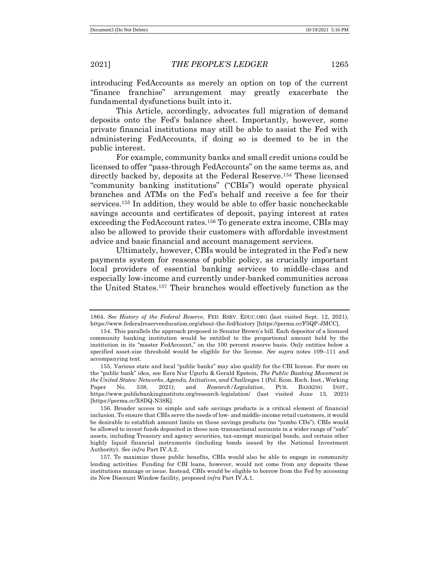introducing FedAccounts as merely an option on top of the current "finance franchise" arrangement may greatly exacerbate the fundamental dysfunctions built into it.

This Article, accordingly, advocates full migration of demand deposits onto the Fed's balance sheet. Importantly, however, some private financial institutions may still be able to assist the Fed with administering FedAccounts, if doing so is deemed to be in the public interest.

For example, community banks and small credit unions could be licensed to offer "pass-through FedAccounts" on the same terms as, and directly backed by, deposits at the Federal Reserve.<sup>154</sup> These licensed "community banking institutions" ("CBIs") would operate physical branches and ATMs on the Fed's behalf and receive a fee for their services.<sup>155</sup> In addition, they would be able to offer basic noncheckable savings accounts and certificates of deposit, paying interest at rates exceeding the FedAccount rates.<sup>156</sup> To generate extra income, CBIs may also be allowed to provide their customers with affordable investment advice and basic financial and account management services.

Ultimately, however, CBIs would be integrated in the Fed's new payments system for reasons of public policy, as crucially important local providers of essential banking services to middle-class and especially low-income and currently under-banked communities across the United States. <sup>157</sup> Their branches would effectively function as the

<sup>1864.</sup> *See History of the Federal Reserve*, FED. RSRV. EDUC.ORG (last visited Sept. 12, 2021), https://www.federalreserveeducation.org/about-the-fed/history [https://perma.cc/F5QP-JMCC].

<sup>154.</sup> This parallels the approach proposed in Senator Brown's bill. Each depositor of a licensed community banking institution would be entitled to the proportional amount held by the institution in its "master FedAccount," on the 100 percent reserve basis. Only entities below a specified asset-size threshold would be eligible for the license. *See supra* notes 109–111 and accompanying text.

<sup>155.</sup> Various state and local "public banks" may also qualify for the CBI license. For more on the "public bank" idea, see Esra Nur Ugurlu & Gerald Epstein, *The Public Banking Movement in the United States: Networks, Agenda, Initiatives, and Challenges* 1 (Pol. Econ. Rsch. Inst., Working Paper No. 538, 2021); and *Research/Legislation*, PUB. BANKING INST., https://www.publicbankinginstitute.org/research-legislation/ (last visited June 13, 2021) [https://perma.cc/X8DQ-N38K].

<sup>156.</sup> Broader access to simple and safe savings products is a critical element of financial inclusion. To ensure that CBIs serve the needs of low- and middle-income retail customers, it would be desirable to establish amount limits on these savings products (no "jumbo CDs"). CBIs would be allowed to invest funds deposited in these non-transactional accounts in a wider range of "safe" assets, including Treasury and agency securities, tax-exempt municipal bonds, and certain other highly liquid financial instruments (including bonds issued by the National Investment Authority). *See infra* Part IV.A.2.

<sup>157.</sup> To maximize these public benefits, CBIs would also be able to engage in community lending activities. Funding for CBI loans, however, would not come from any deposits these institutions manage or issue. Instead, CBIs would be eligible to borrow from the Fed by accessing its New Discount Window facility, proposed *infra* Part IV.A.1.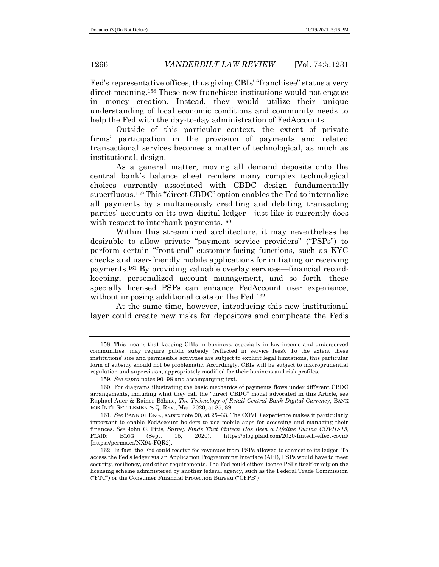Fed's representative offices, thus giving CBIs' "franchisee" status a very direct meaning.<sup>158</sup> These new franchisee-institutions would not engage in money creation. Instead, they would utilize their unique understanding of local economic conditions and community needs to help the Fed with the day-to-day administration of FedAccounts.

Outside of this particular context, the extent of private firms' participation in the provision of payments and related transactional services becomes a matter of technological, as much as institutional, design.

As a general matter, moving all demand deposits onto the central bank's balance sheet renders many complex technological choices currently associated with CBDC design fundamentally superfluous.<sup>159</sup> This "direct CBDC" option enables the Fed to internalize all payments by simultaneously crediting and debiting transacting parties' accounts on its own digital ledger—just like it currently does with respect to interbank payments.<sup>160</sup>

Within this streamlined architecture, it may nevertheless be desirable to allow private "payment service providers" ("PSPs") to perform certain "front-end" customer-facing functions, such as KYC checks and user-friendly mobile applications for initiating or receiving payments.<sup>161</sup> By providing valuable overlay services—financial recordkeeping, personalized account management, and so forth—these specially licensed PSPs can enhance FedAccount user experience, without imposing additional costs on the Fed.<sup>162</sup>

At the same time, however, introducing this new institutional layer could create new risks for depositors and complicate the Fed's

<sup>158.</sup> This means that keeping CBIs in business, especially in low-income and underserved communities, may require public subsidy (reflected in service fees). To the extent these institutions' size and permissible activities are subject to explicit legal limitations, this particular form of subsidy should not be problematic. Accordingly, CBIs will be subject to macroprudential regulation and supervision, appropriately modified for their business and risk profiles.

<sup>159</sup>*. See supra* notes 90–98 and accompanying text.

<sup>160.</sup> For diagrams illustrating the basic mechanics of payments flows under different CBDC arrangements, including what they call the "direct CBDC" model advocated in this Article, see Raphael Auer & Rainer Böhme, *The Technology of Retail Central Bank Digital Currency*, BANK FOR INT'L SETTLEMENTS Q. REV., Mar. 2020, at 85, 89.

<sup>161</sup>*. See* BANK OF ENG., *supra* note 90, at 25–33. The COVID experience makes it particularly important to enable FedAccount holders to use mobile apps for accessing and managing their finances. *See* John C. Pitts, *Survey Finds That Fintech Has Been a Lifeline During COVID-19*, PLAID: BLOG (Sept. 15, 2020), https://blog.plaid.com/2020-fintech-effect-covid/ [https://perma.cc/NX94-FQR2].

<sup>162.</sup> In fact, the Fed could receive fee revenues from PSPs allowed to connect to its ledger. To access the Fed's ledger via an Application Programming Interface (API), PSPs would have to meet security, resiliency, and other requirements. The Fed could either license PSPs itself or rely on the licensing scheme administered by another federal agency, such as the Federal Trade Commission ("FTC") or the Consumer Financial Protection Bureau ("CFPB").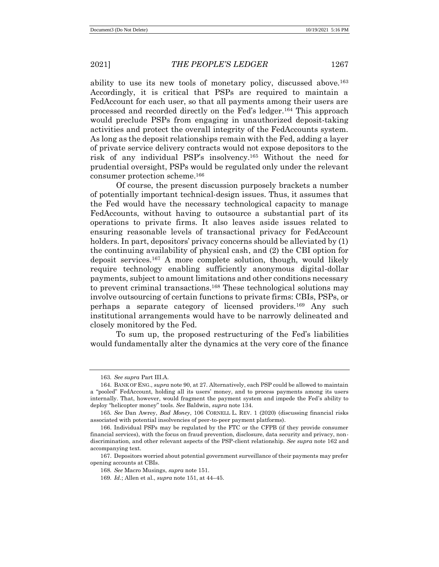ability to use its new tools of monetary policy, discussed above.<sup>163</sup> Accordingly, it is critical that PSPs are required to maintain a FedAccount for each user, so that all payments among their users are processed and recorded directly on the Fed's ledger.<sup>164</sup> This approach would preclude PSPs from engaging in unauthorized deposit-taking activities and protect the overall integrity of the FedAccounts system. As long as the deposit relationships remain with the Fed, adding a layer of private service delivery contracts would not expose depositors to the risk of any individual PSP's insolvency.<sup>165</sup> Without the need for prudential oversight, PSPs would be regulated only under the relevant consumer protection scheme.<sup>166</sup>

Of course, the present discussion purposely brackets a number of potentially important technical-design issues. Thus, it assumes that the Fed would have the necessary technological capacity to manage FedAccounts, without having to outsource a substantial part of its operations to private firms. It also leaves aside issues related to ensuring reasonable levels of transactional privacy for FedAccount holders. In part, depositors' privacy concerns should be alleviated by (1) the continuing availability of physical cash, and (2) the CBI option for deposit services.<sup>167</sup> A more complete solution, though, would likely require technology enabling sufficiently anonymous digital-dollar payments, subject to amount limitations and other conditions necessary to prevent criminal transactions.<sup>168</sup> These technological solutions may involve outsourcing of certain functions to private firms: CBIs, PSPs, or perhaps a separate category of licensed providers.<sup>169</sup> Any such institutional arrangements would have to be narrowly delineated and closely monitored by the Fed.

To sum up, the proposed restructuring of the Fed's liabilities would fundamentally alter the dynamics at the very core of the finance

<sup>163</sup>*. See supra* Part III.A.

<sup>164.</sup> BANK OF ENG., *supra* note 90, at 27. Alternatively, each PSP could be allowed to maintain a "pooled" FedAccount, holding all its users' money, and to process payments among its users internally. That, however, would fragment the payment system and impede the Fed's ability to deploy "helicopter money" tools. *See* Baldwin, *supra* note 134.

<sup>165</sup>*. See* Dan Awrey, *Bad Money*, 106 CORNELL L. REV. 1 (2020) (discussing financial risks associated with potential insolvencies of peer-to-peer payment platforms).

<sup>166.</sup> Individual PSPs may be regulated by the FTC or the CFPB (if they provide consumer financial services), with the focus on fraud prevention, disclosure, data security and privacy, nondiscrimination, and other relevant aspects of the PSP-client relationship. *See supra* note 162 and accompanying text.

<sup>167.</sup> Depositors worried about potential government surveillance of their payments may prefer opening accounts at CBIs.

<sup>168</sup>*. See* Macro Musings, *supra* note 151.

<sup>169</sup>*. Id.*; Allen et al., *supra* note 151, at 44–45.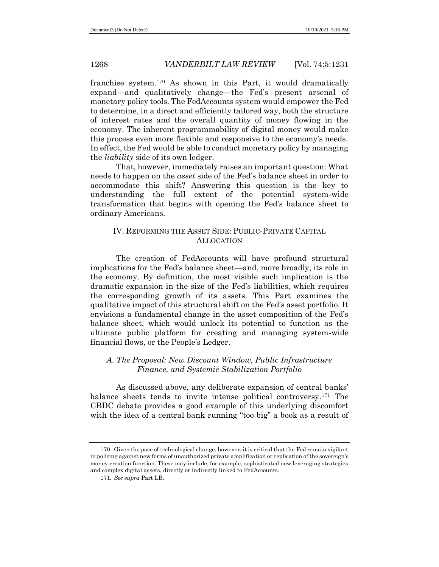franchise system.<sup>170</sup> As shown in this Part, it would dramatically expand—and qualitatively change—the Fed's present arsenal of monetary policy tools. The FedAccounts system would empower the Fed to determine, in a direct and efficiently tailored way, both the structure of interest rates and the overall quantity of money flowing in the economy. The inherent programmability of digital money would make this process even more flexible and responsive to the economy's needs. In effect, the Fed would be able to conduct monetary policy by managing the *liability* side of its own ledger.

That, however, immediately raises an important question: What needs to happen on the *asset* side of the Fed's balance sheet in order to accommodate this shift? Answering this question is the key to understanding the full extent of the potential system-wide transformation that begins with opening the Fed's balance sheet to ordinary Americans.

# IV. REFORMING THE ASSET SIDE: PUBLIC-PRIVATE CAPITAL ALLOCATION

The creation of FedAccounts will have profound structural implications for the Fed's balance sheet—and, more broadly, its role in the economy. By definition, the most visible such implication is the dramatic expansion in the size of the Fed's liabilities, which requires the corresponding growth of its assets. This Part examines the qualitative impact of this structural shift on the Fed's asset portfolio. It envisions a fundamental change in the asset composition of the Fed's balance sheet, which would unlock its potential to function as the ultimate public platform for creating and managing system-wide financial flows, or the People's Ledger.

# *A. The Proposal: New Discount Window, Public Infrastructure Finance, and Systemic Stabilization Portfolio*

As discussed above, any deliberate expansion of central banks' balance sheets tends to invite intense political controversy.<sup>171</sup> The CBDC debate provides a good example of this underlying discomfort with the idea of a central bank running "too big" a book as a result of

<sup>170.</sup> Given the pace of technological change, however, it is critical that the Fed remain vigilant in policing against new forms of unauthorized private amplification or replication of the sovereign's money-creation function. These may include, for example, sophisticated new leveraging strategies and complex digital assets, directly or indirectly linked to FedAccounts.

<sup>171</sup>*. See supra* Part I.B.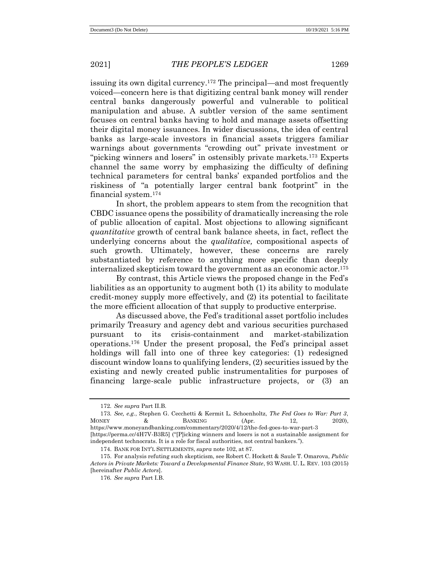issuing its own digital currency.<sup>172</sup> The principal—and most frequently voiced—concern here is that digitizing central bank money will render central banks dangerously powerful and vulnerable to political manipulation and abuse. A subtler version of the same sentiment focuses on central banks having to hold and manage assets offsetting their digital money issuances. In wider discussions, the idea of central banks as large-scale investors in financial assets triggers familiar warnings about governments "crowding out" private investment or "picking winners and losers" in ostensibly private markets.<sup>173</sup> Experts channel the same worry by emphasizing the difficulty of defining technical parameters for central banks' expanded portfolios and the riskiness of "a potentially larger central bank footprint" in the financial system.<sup>174</sup>

In short, the problem appears to stem from the recognition that CBDC issuance opens the possibility of dramatically increasing the role of public allocation of capital. Most objections to allowing significant *quantitative* growth of central bank balance sheets, in fact, reflect the underlying concerns about the *qualitative,* compositional aspects of such growth. Ultimately, however, these concerns are rarely substantiated by reference to anything more specific than deeply internalized skepticism toward the government as an economic actor.<sup>175</sup>

By contrast, this Article views the proposed change in the Fed's liabilities as an opportunity to augment both (1) its ability to modulate credit-money supply more effectively, and (2) its potential to facilitate the more efficient allocation of that supply to productive enterprise.

As discussed above, the Fed's traditional asset portfolio includes primarily Treasury and agency debt and various securities purchased pursuant to its crisis-containment and market-stabilization operations.<sup>176</sup> Under the present proposal, the Fed's principal asset holdings will fall into one of three key categories: (1) redesigned discount window loans to qualifying lenders, (2) securities issued by the existing and newly created public instrumentalities for purposes of financing large-scale public infrastructure projects, or (3) an

<sup>172</sup>*. See supra* Part II.B.

<sup>173</sup>*. See, e.g.*, Stephen G. Cecchetti & Kermit L. Schoenholtz, *The Fed Goes to War: Part 3*, MONEY & BANKING (Apr. 12, 2020), https://www.moneyandbanking.com/commentary/2020/4/12/the-fed-goes-to-war-part-3 [https://perma.cc/4H7V-B3R5] ("[P]icking winners and losers is not a sustainable assignment for independent technocrats. It is a role for fiscal authorities, not central bankers.").

<sup>174.</sup> BANK FOR INT'L SETTLEMENTS, *supra* note 102, at 87.

<sup>175.</sup> For analysis refuting such skepticism, see Robert C. Hockett & Saule T. Omarova, *Public Actors in Private Markets: Toward a Developmental Finance State*, 93 WASH. U. L. REV. 103 (2015) [hereinafter *Public Actors*].

<sup>176</sup>*. See supra* Part I.B.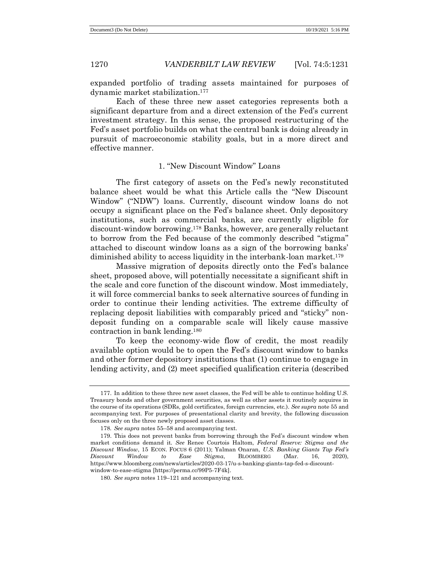expanded portfolio of trading assets maintained for purposes of dynamic market stabilization.<sup>177</sup>

Each of these three new asset categories represents both a significant departure from and a direct extension of the Fed's current investment strategy. In this sense, the proposed restructuring of the Fed's asset portfolio builds on what the central bank is doing already in pursuit of macroeconomic stability goals, but in a more direct and effective manner.

# 1. "New Discount Window" Loans

The first category of assets on the Fed's newly reconstituted balance sheet would be what this Article calls the "New Discount Window" ("NDW") loans. Currently, discount window loans do not occupy a significant place on the Fed's balance sheet. Only depository institutions, such as commercial banks, are currently eligible for discount-window borrowing.<sup>178</sup> Banks, however, are generally reluctant to borrow from the Fed because of the commonly described "stigma" attached to discount window loans as a sign of the borrowing banks' diminished ability to access liquidity in the interbank-loan market.<sup>179</sup>

Massive migration of deposits directly onto the Fed's balance sheet, proposed above, will potentially necessitate a significant shift in the scale and core function of the discount window. Most immediately, it will force commercial banks to seek alternative sources of funding in order to continue their lending activities. The extreme difficulty of replacing deposit liabilities with comparably priced and "sticky" nondeposit funding on a comparable scale will likely cause massive contraction in bank lending.<sup>180</sup>

To keep the economy-wide flow of credit, the most readily available option would be to open the Fed's discount window to banks and other former depository institutions that (1) continue to engage in lending activity, and (2) meet specified qualification criteria (described

<sup>177.</sup> In addition to these three new asset classes, the Fed will be able to continue holding U.S. Treasury bonds and other government securities, as well as other assets it routinely acquires in the course of its operations (SDRs, gold certificates, foreign currencies, etc.). *See supra* note 55 and accompanying text. For purposes of presentational clarity and brevity, the following discussion focuses only on the three newly proposed asset classes.

<sup>178</sup>*. See supra* notes 55–58 and accompanying text.

<sup>179.</sup> This does not prevent banks from borrowing through the Fed's discount window when market conditions demand it. *See* Renee Courtois Haltom, *Federal Reserve: Stigma and the Discount Window*, 15 ECON. FOCUS 6 (2011); Yalman Onaran, *U.S. Banking Giants Tap Fed's Discount Window to Ease Stigma*, BLOOMBERG (Mar. 16, 2020), https://www.bloomberg.com/news/articles/2020-03-17/u-s-banking-giants-tap-fed-s-discountwindow-to-ease-stigma [https://perma.cc/99P5-7F4k].

<sup>180</sup>*. See supra* notes 119–121 and accompanying text.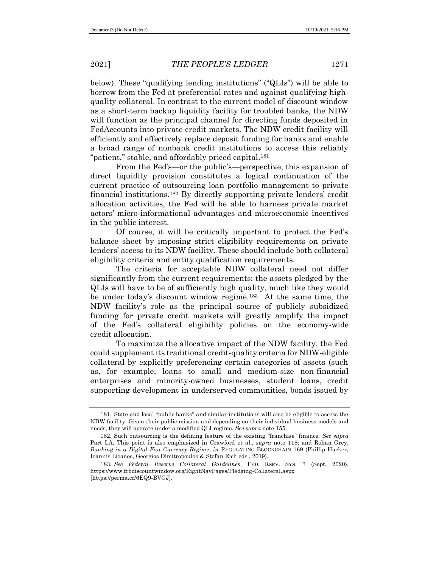below). These "qualifying lending institutions" ("QLIs") will be able to borrow from the Fed at preferential rates and against qualifying highquality collateral. In contrast to the current model of discount window as a short-term backup liquidity facility for troubled banks, the NDW will function as the principal channel for directing funds deposited in FedAccounts into private credit markets. The NDW credit facility will efficiently and effectively replace deposit funding for banks and enable a broad range of nonbank credit institutions to access this reliably "patient," stable, and affordably priced capital.<sup>181</sup>

From the Fed's—or the public's—perspective, this expansion of direct liquidity provision constitutes a logical continuation of the current practice of outsourcing loan portfolio management to private financial institutions.<sup>182</sup> By directly supporting private lenders' credit allocation activities, the Fed will be able to harness private market actors' micro-informational advantages and microeconomic incentives in the public interest.

Of course, it will be critically important to protect the Fed's balance sheet by imposing strict eligibility requirements on private lenders' access to its NDW facility. These should include both collateral eligibility criteria and entity qualification requirements.

The criteria for acceptable NDW collateral need not differ significantly from the current requirements: the assets pledged by the QLIs will have to be of sufficiently high quality, much like they would be under today's discount window regime.<sup>183</sup> At the same time, the NDW facility's role as the principal source of publicly subsidized funding for private credit markets will greatly amplify the impact of the Fed's collateral eligibility policies on the economy-wide credit allocation.

To maximize the allocative impact of the NDW facility, the Fed could supplement its traditional credit-quality criteria for NDW-eligible collateral by explicitly preferencing certain categories of assets (such as, for example, loans to small and medium-size non-financial enterprises and minority-owned businesses, student loans, credit supporting development in underserved communities, bonds issued by

<sup>181.</sup> State and local "public banks" and similar institutions will also be eligible to access the NDW facility. Given their public mission and depending on their individual business models and needs, they will operate under a modified QLI regime. *See supra* note 155.

<sup>182.</sup> Such outsourcing is the defining feature of the existing "franchise" finance. *See supra* Part I.A. This point is also emphasized in Crawford et al., *supra* note 118; and Rohan Grey, *Banking in a Digital Fiat Currency Regime*, *in* REGULATING BLOCKCHAIN 169 (Phillip Hacker, Ioannis Lioanos, Georgios Dimitropoulos & Stefan Eich eds., 2019).

<sup>183</sup>*. See Federal Reserve Collateral Guidelines*, FED. RSRV. SYS. 3 (Sept. 2020), <https://www.frbdiscountwindow.org/RightNavPages/Pledging-Collateral.aspx> [https://perma.cc/6EQ9-BVGJ].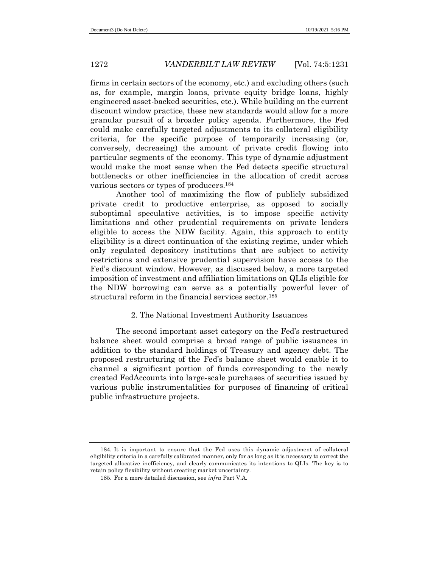firms in certain sectors of the economy, etc.) and excluding others (such as, for example, margin loans, private equity bridge loans, highly engineered asset-backed securities, etc.). While building on the current discount window practice, these new standards would allow for a more granular pursuit of a broader policy agenda. Furthermore, the Fed could make carefully targeted adjustments to its collateral eligibility criteria, for the specific purpose of temporarily increasing (or, conversely, decreasing) the amount of private credit flowing into particular segments of the economy. This type of dynamic adjustment would make the most sense when the Fed detects specific structural bottlenecks or other inefficiencies in the allocation of credit across various sectors or types of producers. 184

Another tool of maximizing the flow of publicly subsidized private credit to productive enterprise, as opposed to socially suboptimal speculative activities, is to impose specific activity limitations and other prudential requirements on private lenders eligible to access the NDW facility. Again, this approach to entity eligibility is a direct continuation of the existing regime, under which only regulated depository institutions that are subject to activity restrictions and extensive prudential supervision have access to the Fed's discount window. However, as discussed below, a more targeted imposition of investment and affiliation limitations on QLIs eligible for the NDW borrowing can serve as a potentially powerful lever of structural reform in the financial services sector.<sup>185</sup>

# 2. The National Investment Authority Issuances

The second important asset category on the Fed's restructured balance sheet would comprise a broad range of public issuances in addition to the standard holdings of Treasury and agency debt. The proposed restructuring of the Fed's balance sheet would enable it to channel a significant portion of funds corresponding to the newly created FedAccounts into large-scale purchases of securities issued by various public instrumentalities for purposes of financing of critical public infrastructure projects.

<sup>184.</sup> It is important to ensure that the Fed uses this dynamic adjustment of collateral eligibility criteria in a carefully calibrated manner, only for as long as it is necessary to correct the targeted allocative inefficiency, and clearly communicates its intentions to QLIs. The key is to retain policy flexibility without creating market uncertainty.

<sup>185.</sup> For a more detailed discussion, see *infra* Part V.A.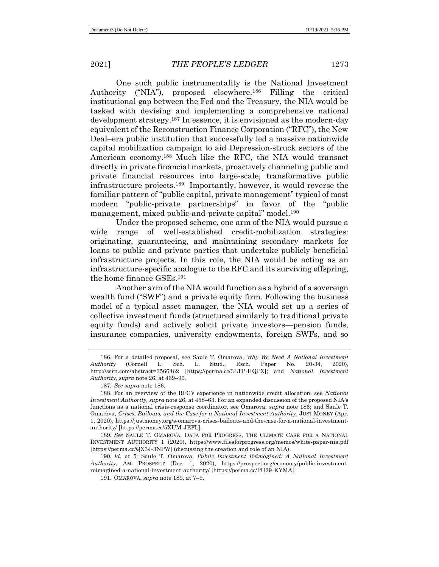One such public instrumentality is the National Investment Authority ("NIA"), proposed elsewhere.<sup>186</sup> Filling the critical institutional gap between the Fed and the Treasury, the NIA would be tasked with devising and implementing a comprehensive national development strategy.<sup>187</sup> In essence, it is envisioned as the modern-day equivalent of the Reconstruction Finance Corporation ("RFC"), the New Deal–era public institution that successfully led a massive nationwide capital mobilization campaign to aid Depression-struck sectors of the American economy.<sup>188</sup> Much like the RFC, the NIA would transact directly in private financial markets, proactively channeling public and private financial resources into large-scale, transformative public infrastructure projects.<sup>189</sup> Importantly, however, it would reverse the familiar pattern of "public capital, private management" typical of most modern "public-private partnerships" in favor of the "public management, mixed public-and-private capital" model.<sup>190</sup>

Under the proposed scheme, one arm of the NIA would pursue a wide range of well-established credit-mobilization strategies: originating, guaranteeing, and maintaining secondary markets for loans to public and private parties that undertake publicly beneficial infrastructure projects. In this role, the NIA would be acting as an infrastructure-specific analogue to the RFC and its surviving offspring, the home finance GSEs.<sup>191</sup>

Another arm of the NIA would function as a hybrid of a sovereign wealth fund ("SWF") and a private equity firm. Following the business model of a typical asset manager, the NIA would set up a series of collective investment funds (structured similarly to traditional private equity funds) and actively solicit private investors—pension funds, insurance companies, university endowments, foreign SWFs, and so

<sup>186.</sup> For a detailed proposal, see Saule T. Omarova, *Why We Need A National Investment Authority* (Cornell L. Sch. L. Stud., Rsch. Paper No. 20-34, 2020), http://ssrn.com/abstract=3566462 [https://perma.cc/3LTP-HQPX]; and *National Investment Authority, supra* note 26, at 469–90.

<sup>187</sup>*. See supra* note 186.

<sup>188.</sup> For an overview of the RFC's experience in nationwide credit allocation, see *National Investment Authority, supra* note 26, at 458–63. For an expanded discussion of the proposed NIA's functions as a national crisis-response coordinator, see Omarova, *supra* note 186; and Saule T. Omarova, *Crises, Bailouts, and the Case for a National Investment Authority*, JUST MONEY (Apr. 1, 2020), [https://justmoney.org/s-omarova-crises-bailouts-and-the-case-for-a-national-investment](https://justmoney.org/s-omarova-crises-bailouts-and-the-case-for-a-national-investment-authority/)[authority/](https://justmoney.org/s-omarova-crises-bailouts-and-the-case-for-a-national-investment-authority/) [https://perma.cc/5XUM-JEFL].

<sup>189</sup>*. See* SAULE T. OMAROVA, DATA FOR PROGRESS, THE CLIMATE CASE FOR A NATIONAL INVESTMENT AUTHORITY 1 (2020), https://www.filesforprogress.org/memos/white-paper-nia.pdf [https://perma.cc/QX3J-3NPW] (discussing the creation and role of an NIA).

<sup>190</sup>*. Id.* at 5; Saule T. Omarova, *Public Investment Reimagined: A National Investment Authority*, AM. PROSPECT (Dec. 1, 2020), https://prospect.org/economy/public-investmentreimagined-a-national-investment-authority/ [https://perma.cc/PU29-KYMA].

<sup>191.</sup> OMAROVA, *supra* note 189, at 7–9.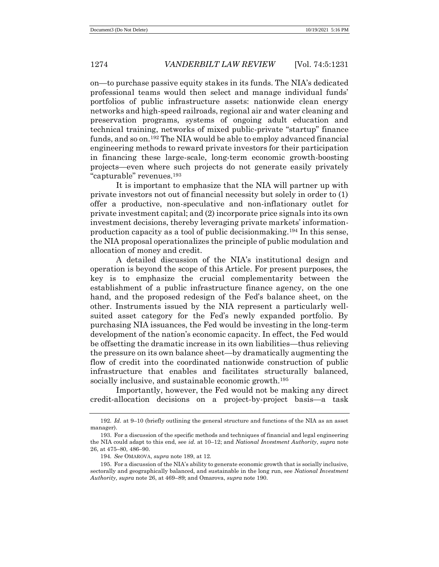on—to purchase passive equity stakes in its funds. The NIA's dedicated professional teams would then select and manage individual funds' portfolios of public infrastructure assets: nationwide clean energy networks and high-speed railroads, regional air and water cleaning and preservation programs, systems of ongoing adult education and technical training, networks of mixed public-private "startup" finance funds, and so on.<sup>192</sup> The NIA would be able to employ advanced financial engineering methods to reward private investors for their participation in financing these large-scale, long-term economic growth-boosting projects—even where such projects do not generate easily privately "capturable" revenues.<sup>193</sup>

It is important to emphasize that the NIA will partner up with private investors not out of financial necessity but solely in order to (1) offer a productive, non-speculative and non-inflationary outlet for private investment capital; and (2) incorporate price signals into its own investment decisions, thereby leveraging private markets' informationproduction capacity as a tool of public decisionmaking.<sup>194</sup> In this sense, the NIA proposal operationalizes the principle of public modulation and allocation of money and credit.

A detailed discussion of the NIA's institutional design and operation is beyond the scope of this Article. For present purposes, the key is to emphasize the crucial complementarity between the establishment of a public infrastructure finance agency, on the one hand, and the proposed redesign of the Fed's balance sheet, on the other. Instruments issued by the NIA represent a particularly wellsuited asset category for the Fed's newly expanded portfolio. By purchasing NIA issuances, the Fed would be investing in the long-term development of the nation's economic capacity. In effect, the Fed would be offsetting the dramatic increase in its own liabilities—thus relieving the pressure on its own balance sheet—by dramatically augmenting the flow of credit into the coordinated nationwide construction of public infrastructure that enables and facilitates structurally balanced, socially inclusive, and sustainable economic growth.<sup>195</sup>

Importantly, however, the Fed would not be making any direct credit-allocation decisions on a project-by-project basis—a task

<sup>192</sup>*. Id.* at 9–10 (briefly outlining the general structure and functions of the NIA as an asset manager).

<sup>193.</sup> For a discussion of the specific methods and techniques of financial and legal engineering the NIA could adapt to this end, see *id.* at 10–12; and *National Investment Authority*, *supra* note 26, at 475–80, 486–90.

<sup>194</sup>*. See* OMAROVA, *supra* note 189, at 12.

<sup>195.</sup> For a discussion of the NIA's ability to generate economic growth that is socially inclusive, sectorally and geographically balanced, and sustainable in the long run, see *National Investment Authority, supra* note 26, at 469–89; and Omarova, *supra* note 190.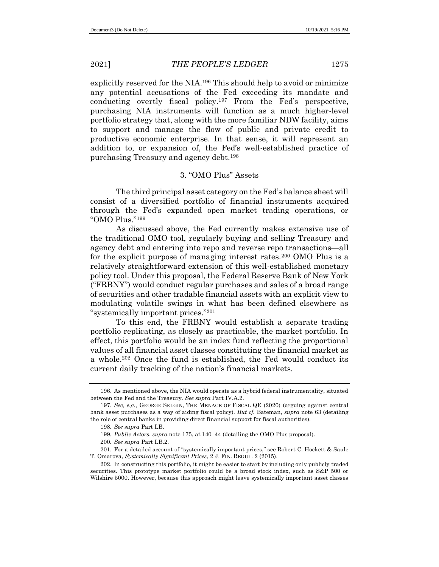explicitly reserved for the NIA.<sup>196</sup> This should help to avoid or minimize any potential accusations of the Fed exceeding its mandate and conducting overtly fiscal policy.<sup>197</sup> From the Fed's perspective, purchasing NIA instruments will function as a much higher-level portfolio strategy that, along with the more familiar NDW facility, aims to support and manage the flow of public and private credit to productive economic enterprise. In that sense, it will represent an addition to, or expansion of, the Fed's well-established practice of purchasing Treasury and agency debt.<sup>198</sup>

# 3. "OMO Plus" Assets

The third principal asset category on the Fed's balance sheet will consist of a diversified portfolio of financial instruments acquired through the Fed's expanded open market trading operations, or "OMO Plus."<sup>199</sup>

As discussed above, the Fed currently makes extensive use of the traditional OMO tool, regularly buying and selling Treasury and agency debt and entering into repo and reverse repo transactions—all for the explicit purpose of managing interest rates.<sup>200</sup> OMO Plus is a relatively straightforward extension of this well-established monetary policy tool. Under this proposal, the Federal Reserve Bank of New York ("FRBNY") would conduct regular purchases and sales of a broad range of securities and other tradable financial assets with an explicit view to modulating volatile swings in what has been defined elsewhere as "systemically important prices."<sup>201</sup>

To this end, the FRBNY would establish a separate trading portfolio replicating, as closely as practicable, the market portfolio. In effect, this portfolio would be an index fund reflecting the proportional values of all financial asset classes constituting the financial market as a whole.<sup>202</sup> Once the fund is established, the Fed would conduct its current daily tracking of the nation's financial markets.

<sup>196.</sup> As mentioned above, the NIA would operate as a hybrid federal instrumentality, situated between the Fed and the Treasury. *See supra* Part IV.A.2.

<sup>197</sup>*. See, e.g.*, GEORGE SELGIN, THE MENACE OF FISCAL QE (2020) (arguing against central bank asset purchases as a way of aiding fiscal policy). *But cf.* Bateman, *supra* note 63 (detailing the role of central banks in providing direct financial support for fiscal authorities).

<sup>198</sup>*. See supra* Part I.B.

<sup>199</sup>*. Public Actors*, *supra* note 175, at 140–44 (detailing the OMO Plus proposal).

<sup>200</sup>*. See supra* Part I.B.2.

<sup>201.</sup> For a detailed account of "systemically important prices," see Robert C. Hockett & Saule T. Omarova, *Systemically Significant Prices*, 2 J. FIN. REGUL. 2 (2015).

<sup>202.</sup> In constructing this portfolio, it might be easier to start by including only publicly traded securities. This prototype market portfolio could be a broad stock index, such as S&P 500 or Wilshire 5000. However, because this approach might leave systemically important asset classes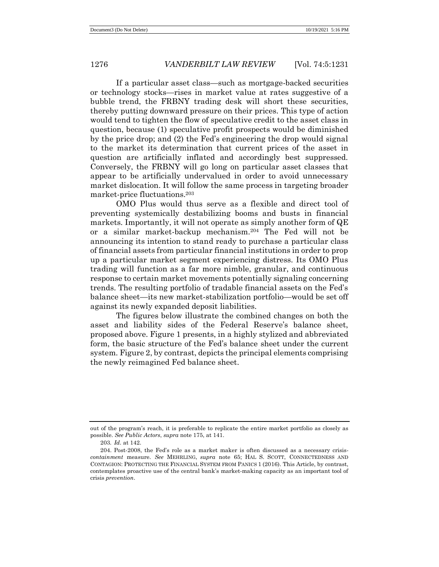If a particular asset class—such as mortgage-backed securities or technology stocks—rises in market value at rates suggestive of a bubble trend, the FRBNY trading desk will short these securities, thereby putting downward pressure on their prices. This type of action would tend to tighten the flow of speculative credit to the asset class in question, because (1) speculative profit prospects would be diminished by the price drop; and (2) the Fed's engineering the drop would signal to the market its determination that current prices of the asset in question are artificially inflated and accordingly best suppressed. Conversely, the FRBNY will go long on particular asset classes that appear to be artificially undervalued in order to avoid unnecessary market dislocation. It will follow the same process in targeting broader market-price fluctuations.<sup>203</sup>

OMO Plus would thus serve as a flexible and direct tool of preventing systemically destabilizing booms and busts in financial markets. Importantly, it will not operate as simply another form of QE or a similar market-backup mechanism.<sup>204</sup> The Fed will not be announcing its intention to stand ready to purchase a particular class of financial assets from particular financial institutions in order to prop up a particular market segment experiencing distress. Its OMO Plus trading will function as a far more nimble, granular, and continuous response to certain market movements potentially signaling concerning trends. The resulting portfolio of tradable financial assets on the Fed's balance sheet—its new market-stabilization portfolio—would be set off against its newly expanded deposit liabilities.

The figures below illustrate the combined changes on both the asset and liability sides of the Federal Reserve's balance sheet, proposed above. Figure 1 presents, in a highly stylized and abbreviated form, the basic structure of the Fed's balance sheet under the current system. Figure 2, by contrast, depicts the principal elements comprising the newly reimagined Fed balance sheet.

out of the program's reach, it is preferable to replicate the entire market portfolio as closely as possible. *See Public Actors*, *supra* note 175, at 141.

<sup>203</sup>*. Id.* at 142.

<sup>204.</sup> Post-2008, the Fed's role as a market maker is often discussed as a necessary crisis*containment* measure. *See* MEHRLING, *supra* note 65; HAL S. SCOTT, CONNECTEDNESS AND CONTAGION: PROTECTING THE FINANCIAL SYSTEM FROM PANICS 1 (2016). This Article, by contrast, contemplates proactive use of the central bank's market-making capacity as an important tool of crisis *prevention*.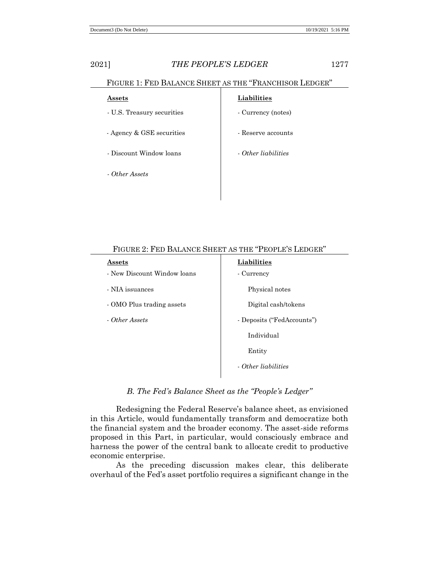| т не рашатен еп<br><b>T TATT LOTTED OTA</b> |                     |  |  |  |
|---------------------------------------------|---------------------|--|--|--|
| $\operatorname{Assets}$                     | Liabilities         |  |  |  |
| - U.S. Treasury securities                  | - Currency (notes)  |  |  |  |
| - Agency & GSE securities                   | - Reserve accounts  |  |  |  |
| - Discount Window loans                     | - Other lightlities |  |  |  |
| - Other Assets                              |                     |  |  |  |

# FIGURE 1: FED BALANCE SHEET AS THE "FRANCHISOR LEDGER"

| Assets                      | Liabilities                |  |  |
|-----------------------------|----------------------------|--|--|
| - New Discount Window loans | - Currency                 |  |  |
| - NIA issuances             | Physical notes             |  |  |
| - OMO Plus trading assets   | Digital cash/tokens        |  |  |
| - Other Assets              | - Deposits ("FedAccounts") |  |  |
|                             | Individual                 |  |  |
|                             | Entity                     |  |  |
|                             | - Other liabilities        |  |  |
|                             |                            |  |  |

### FIGURE 2: FED BALANCE SHEET AS THE "PEOPLE'S LEDGER"

*B. The Fed's Balance Sheet as the "People's Ledger"* 

Redesigning the Federal Reserve's balance sheet, as envisioned in this Article, would fundamentally transform and democratize both the financial system and the broader economy. The asset-side reforms proposed in this Part, in particular, would consciously embrace and harness the power of the central bank to allocate credit to productive economic enterprise.

As the preceding discussion makes clear, this deliberate overhaul of the Fed's asset portfolio requires a significant change in the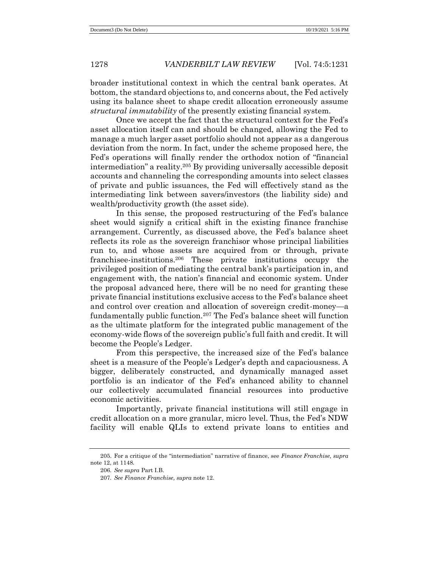broader institutional context in which the central bank operates. At bottom, the standard objections to, and concerns about, the Fed actively using its balance sheet to shape credit allocation erroneously assume *structural immutability* of the presently existing financial system.

Once we accept the fact that the structural context for the Fed's asset allocation itself can and should be changed, allowing the Fed to manage a much larger asset portfolio should not appear as a dangerous deviation from the norm. In fact, under the scheme proposed here, the Fed's operations will finally render the orthodox notion of "financial intermediation" a reality.<sup>205</sup> By providing universally accessible deposit accounts and channeling the corresponding amounts into select classes of private and public issuances, the Fed will effectively stand as the intermediating link between savers/investors (the liability side) and wealth/productivity growth (the asset side).

In this sense, the proposed restructuring of the Fed's balance sheet would signify a critical shift in the existing finance franchise arrangement. Currently, as discussed above, the Fed's balance sheet reflects its role as the sovereign franchisor whose principal liabilities run to, and whose assets are acquired from or through, private franchisee-institutions.<sup>206</sup> These private institutions occupy the privileged position of mediating the central bank's participation in, and engagement with, the nation's financial and economic system. Under the proposal advanced here, there will be no need for granting these private financial institutions exclusive access to the Fed's balance sheet and control over creation and allocation of sovereign credit-money—a fundamentally public function.<sup>207</sup> The Fed's balance sheet will function as the ultimate platform for the integrated public management of the economy-wide flows of the sovereign public's full faith and credit. It will become the People's Ledger.

From this perspective, the increased size of the Fed's balance sheet is a measure of the People's Ledger's depth and capaciousness. A bigger, deliberately constructed, and dynamically managed asset portfolio is an indicator of the Fed's enhanced ability to channel our collectively accumulated financial resources into productive economic activities.

Importantly, private financial institutions will still engage in credit allocation on a more granular, micro level. Thus, the Fed's NDW facility will enable QLIs to extend private loans to entities and

<sup>205.</sup> For a critique of the "intermediation" narrative of finance, see *Finance Franchise, supra* note 12, at 1148.

<sup>206</sup>*. See supra* Part I.B.

<sup>207</sup>*. See Finance Franchise, supra* note 12.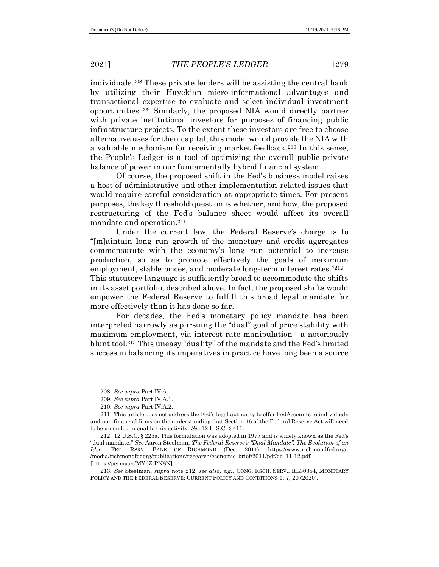individuals.<sup>208</sup> These private lenders will be assisting the central bank by utilizing their Hayekian micro-informational advantages and transactional expertise to evaluate and select individual investment opportunities.<sup>209</sup> Similarly, the proposed NIA would directly partner with private institutional investors for purposes of financing public infrastructure projects. To the extent these investors are free to choose alternative uses for their capital, this model would provide the NIA with a valuable mechanism for receiving market feedback.<sup>210</sup> In this sense, the People's Ledger is a tool of optimizing the overall public-private balance of power in our fundamentally hybrid financial system.

Of course, the proposed shift in the Fed's business model raises a host of administrative and other implementation-related issues that would require careful consideration at appropriate times. For present purposes, the key threshold question is whether, and how, the proposed restructuring of the Fed's balance sheet would affect its overall mandate and operation.<sup>211</sup>

Under the current law, the Federal Reserve's charge is to "[m]aintain long run growth of the monetary and credit aggregates commensurate with the economy's long run potential to increase production, so as to promote effectively the goals of maximum employment, stable prices, and moderate long-term interest rates."<sup>212</sup> This statutory language is sufficiently broad to accommodate the shifts in its asset portfolio, described above. In fact, the proposed shifts would empower the Federal Reserve to fulfill this broad legal mandate far more effectively than it has done so far.

For decades, the Fed's monetary policy mandate has been interpreted narrowly as pursuing the "dual" goal of price stability with maximum employment, via interest rate manipulation—a notoriously blunt tool.<sup>213</sup> This uneasy "duality" of the mandate and the Fed's limited success in balancing its imperatives in practice have long been a source

<sup>208</sup>*. See supra* Part IV.A.1.

<sup>209</sup>*. See supra* Part IV.A.1.

<sup>210</sup>*. See supra* Part IV.A.2.

<sup>211.</sup> This article does not address the Fed's legal authority to offer FedAccounts to individuals and non-financial firms on the understanding that Section 16 of the Federal Reserve Act will need to be amended to enable this activity. *See* 12 U.S.C. § 411.

<sup>212.</sup> 12 U.S.C. § 225a. This formulation was adopted in 1977 and is widely known as the Fed's "dual mandate." *See* Aaron Steelman, *The Federal Reserve's "Dual Mandate": The Evolution of an Idea*, FED. RSRV. BANK OF RICHMOND (Dec. 2011), https://www.richmondfed.org/- /media/richmondfedorg/publications/research/economic\_brief/2011/pdf/eb\_11-12.pdf [https://perma.cc/MY6Z-PN8N].

<sup>213</sup>*. See* Steelman, *supra* note 212; *see also, e.g.*, CONG. RSCH. SERV., RL30354, MONETARY POLICY AND THE FEDERAL RESERVE: CURRENT POLICY AND CONDITIONS 1, 7, 20 (2020).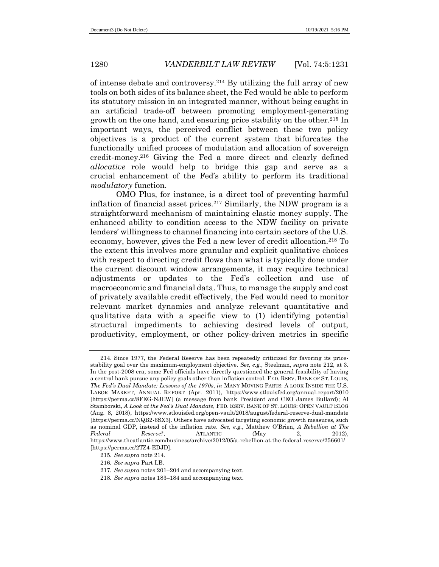of intense debate and controversy.<sup>214</sup> By utilizing the full array of new tools on both sides of its balance sheet, the Fed would be able to perform its statutory mission in an integrated manner, without being caught in an artificial trade-off between promoting employment-generating growth on the one hand, and ensuring price stability on the other.<sup>215</sup> In important ways, the perceived conflict between these two policy objectives is a product of the current system that bifurcates the functionally unified process of modulation and allocation of sovereign credit-money.<sup>216</sup> Giving the Fed a more direct and clearly defined *allocative* role would help to bridge this gap and serve as a crucial enhancement of the Fed's ability to perform its traditional *modulatory* function.

OMO Plus, for instance, is a direct tool of preventing harmful inflation of financial asset prices.<sup>217</sup> Similarly, the NDW program is a straightforward mechanism of maintaining elastic money supply. The enhanced ability to condition access to the NDW facility on private lenders' willingness to channel financing into certain sectors of the U.S. economy, however, gives the Fed a new lever of credit allocation.<sup>218</sup> To the extent this involves more granular and explicit qualitative choices with respect to directing credit flows than what is typically done under the current discount window arrangements, it may require technical adjustments or updates to the Fed's collection and use of macroeconomic and financial data. Thus, to manage the supply and cost of privately available credit effectively, the Fed would need to monitor relevant market dynamics and analyze relevant quantitative and qualitative data with a specific view to (1) identifying potential structural impediments to achieving desired levels of output, productivity, employment, or other policy-driven metrics in specific

<sup>214.</sup> Since 1977, the Federal Reserve has been repeatedly criticized for favoring its pricestability goal over the maximum-employment objective. *See, e.g.*, Steelman, *supra* note 212, at 3. In the post-2008 era, some Fed officials have directly questioned the general feasibility of having a central bank pursue any policy goals other than inflation control. FED. RSRV. BANK OF ST. LOUIS, *The Fed's Dual Mandate: Lessons of the 1970s*, *in* MANY MOVING PARTS: A LOOK INSIDE THE U.S. LABOR MARKET, ANNUAL REPORT (Apr. 2011), https://www.stlouisfed.org/annual-report/2010 [https://perma.cc/8FEG-NJEW] (a message from bank President and CEO James Bullard); Al Stamborski, *A Look at the Fed's Dual Mandate*, FED. RSRV. BANK OF ST. LOUIS: OPEN VAULT BLOG (Aug. 8, 2018), https://www.stlouisfed.org/open-vault/2018/august/federal-reserve-dual-mandate [https://perma.cc/NQB2-6SX3]. Others have advocated targeting economic growth measures, such as nominal GDP, instead of the inflation rate. *See, e.g.*, Matthew O'Brien, *A Rebellion at The Federal Reserve?*, ATLANTIC (May 2, 2012), https://www.theatlantic.com/business/archive/2012/05/a-rebellion-at-the-federal-reserve/256601/ [https://perma.cc/2TZ4-EDJD].

<sup>215</sup>*. See supra* note 214.

<sup>216</sup>*. See supra* Part I.B.

<sup>217</sup>*. See supra* notes 201–204 and accompanying text.

<sup>218</sup>*. See supra* notes 183–184 and accompanying text.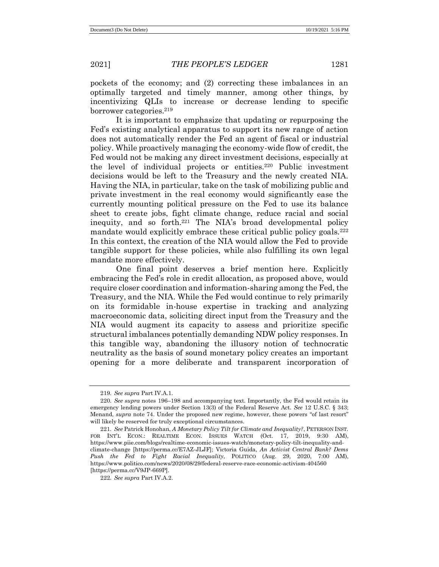pockets of the economy; and (2) correcting these imbalances in an optimally targeted and timely manner, among other things, by incentivizing QLIs to increase or decrease lending to specific borrower categories.<sup>219</sup>

It is important to emphasize that updating or repurposing the Fed's existing analytical apparatus to support its new range of action does not automatically render the Fed an agent of fiscal or industrial policy. While proactively managing the economy-wide flow of credit, the Fed would not be making any direct investment decisions, especially at the level of individual projects or entities.<sup>220</sup> Public investment decisions would be left to the Treasury and the newly created NIA. Having the NIA, in particular, take on the task of mobilizing public and private investment in the real economy would significantly ease the currently mounting political pressure on the Fed to use its balance sheet to create jobs, fight climate change, reduce racial and social inequity, and so forth.<sup>221</sup> The NIA's broad developmental policy mandate would explicitly embrace these critical public policy goals.<sup>222</sup> In this context, the creation of the NIA would allow the Fed to provide tangible support for these policies, while also fulfilling its own legal mandate more effectively.

One final point deserves a brief mention here. Explicitly embracing the Fed's role in credit allocation, as proposed above, would require closer coordination and information-sharing among the Fed, the Treasury, and the NIA. While the Fed would continue to rely primarily on its formidable in-house expertise in tracking and analyzing macroeconomic data, soliciting direct input from the Treasury and the NIA would augment its capacity to assess and prioritize specific structural imbalances potentially demanding NDW policy responses. In this tangible way, abandoning the illusory notion of technocratic neutrality as the basis of sound monetary policy creates an important opening for a more deliberate and transparent incorporation of

<sup>219</sup>*. See supra* Part IV.A.1.

<sup>220</sup>*. See supra* notes 196–198 and accompanying text. Importantly, the Fed would retain its emergency lending powers under Section 13(3) of the Federal Reserve Act. *See* 12 U.S.C. § 343; Menand, *supra* note 74. Under the proposed new regime, however, these powers "of last resort" will likely be reserved for truly exceptional circumstances.

<sup>221</sup>*. See* Patrick Honohan, *A Monetary Policy Tilt for Climate and Inequality?*, PETERSON INST. FOR INT'L ECON.: REALTIME ECON. ISSUES WATCH (Oct. 17, 2019, 9:30 AM), https://www.piie.com/blogs/realtime-economic-issues-watch/monetary-policy-tilt-inequality-andclimate-change [https://perma.cc/E7AZ-JLJF]; Victoria Guida, *An Activist Central Bank? Dems Push the Fed to Fight Racial Inequality*, POLITICO (Aug. 29, 2020, 7:00 AM), https://www.politico.com/news/2020/08/29/federal-reserve-race-economic-activism-404560 [https://perma.cc/V9JP-669P].

<sup>222</sup>*. See supra* Part IV.A.2.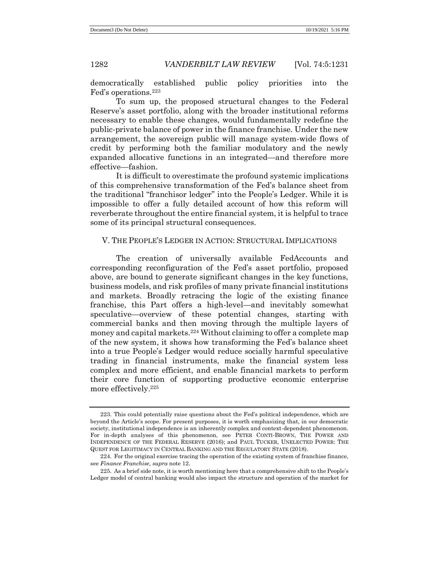democratically established public policy priorities into the Fed's operations.<sup>223</sup>

To sum up, the proposed structural changes to the Federal Reserve's asset portfolio, along with the broader institutional reforms necessary to enable these changes, would fundamentally redefine the public-private balance of power in the finance franchise. Under the new arrangement, the sovereign public will manage system-wide flows of credit by performing both the familiar modulatory and the newly expanded allocative functions in an integrated—and therefore more effective—fashion.

It is difficult to overestimate the profound systemic implications of this comprehensive transformation of the Fed's balance sheet from the traditional "franchisor ledger" into the People's Ledger. While it is impossible to offer a fully detailed account of how this reform will reverberate throughout the entire financial system, it is helpful to trace some of its principal structural consequences.

# V. THE PEOPLE'S LEDGER IN ACTION: STRUCTURAL IMPLICATIONS

The creation of universally available FedAccounts and corresponding reconfiguration of the Fed's asset portfolio, proposed above, are bound to generate significant changes in the key functions, business models, and risk profiles of many private financial institutions and markets. Broadly retracing the logic of the existing finance franchise, this Part offers a high-level—and inevitably somewhat speculative—overview of these potential changes, starting with commercial banks and then moving through the multiple layers of money and capital markets.<sup>224</sup> Without claiming to offer a complete map of the new system, it shows how transforming the Fed's balance sheet into a true People's Ledger would reduce socially harmful speculative trading in financial instruments, make the financial system less complex and more efficient, and enable financial markets to perform their core function of supporting productive economic enterprise more effectively.<sup>225</sup>

<sup>223.</sup> This could potentially raise questions about the Fed's political independence, which are beyond the Article's scope. For present purposes, it is worth emphasizing that, in our democratic society, institutional independence is an inherently complex and context-dependent phenomenon. For in-depth analyses of this phenomenon, see PETER CONTI-BROWN, THE POWER AND INDEPENDENCE OF THE FEDERAL RESERVE (2016); and PAUL TUCKER, UNELECTED POWER: THE QUEST FOR LEGITIMACY IN CENTRAL BANKING AND THE REGULATORY STATE (2018).

<sup>224.</sup> For the original exercise tracing the operation of the existing system of franchise finance, see *Finance Franchise, supra* note 12.

<sup>225.</sup> As a brief side note, it is worth mentioning here that a comprehensive shift to the People's Ledger model of central banking would also impact the structure and operation of the market for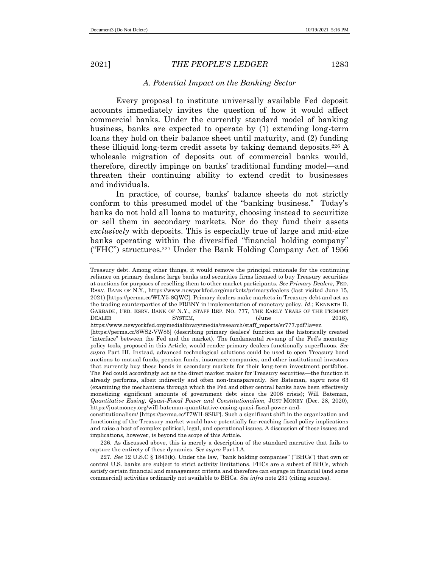# *A. Potential Impact on the Banking Sector*

Every proposal to institute universally available Fed deposit accounts immediately invites the question of how it would affect commercial banks. Under the currently standard model of banking business, banks are expected to operate by (1) extending long-term loans they hold on their balance sheet until maturity, and (2) funding these illiquid long-term credit assets by taking demand deposits.<sup>226</sup> A wholesale migration of deposits out of commercial banks would, therefore, directly impinge on banks' traditional funding model—and threaten their continuing ability to extend credit to businesses and individuals.

In practice, of course, banks' balance sheets do not strictly conform to this presumed model of the "banking business." Today's banks do not hold all loans to maturity, choosing instead to securitize or sell them in secondary markets. Nor do they fund their assets *exclusively* with deposits. This is especially true of large and mid-size banks operating within the diversified "financial holding company" ("FHC") structures.<sup>227</sup> Under the Bank Holding Company Act of 1956

Treasury debt. Among other things, it would remove the principal rationale for the continuing reliance on primary dealers: large banks and securities firms licensed to buy Treasury securities at auctions for purposes of reselling them to other market participants. *See Primary Dealers*, FED. RSRV. BANK OF N.Y., https://www.newyorkfed.org/markets/primarydealers (last visited June 15, 2021) [https://perma.cc/WLY5-8QWC]. Primary dealers make markets in Treasury debt and act as the trading counterparties of the FRBNY in implementation of monetary policy. *Id.*; KENNETH D. GARBADE, FED. RSRV. BANK OF N.Y., STAFF REP. NO. 777, THE EARLY YEARS OF THE PRIMARY DEALER SYSTEM, (June 2016),

https://www.newyorkfed.org/medialibrary/media/research/staff\_reports/sr777.pdf?la=en [https://perma.cc/8WS2-VW85] (describing primary dealers' function as the historically created "interface" between the Fed and the market). The fundamental revamp of the Fed's monetary policy tools, proposed in this Article, would render primary dealers functionally superfluous. *See supra* Part III. Instead, advanced technological solutions could be used to open Treasury bond auctions to mutual funds, pension funds, insurance companies, and other institutional investors that currently buy these bonds in secondary markets for their long-term investment portfolios. The Fed could accordingly act as the direct market maker for Treasury securities—the function it already performs, albeit indirectly and often non-transparently. *See* Bateman, *supra* note 63 (examining the mechanisms through which the Fed and other central banks have been effectively monetizing significant amounts of government debt since the 2008 crisis); Will Bateman, *Quantitative Easing, Quasi-Fiscal Power and Constitutionalism,* JUST MONEY (Dec. 28, 2020), https://justmoney.org/will-bateman-quantitative-easing-quasi-fiscal-power-and-

constitutionalism/ [https://perma.cc/T7WH-8SRP]. Such a significant shift in the organization and functioning of the Treasury market would have potentially far-reaching fiscal policy implications and raise a host of complex political, legal, and operational issues. A discussion of these issues and implications, however, is beyond the scope of this Article.

<sup>226.</sup> As discussed above, this is merely a description of the standard narrative that fails to capture the entirety of these dynamics. *See supra* Part I.A.

<sup>227</sup>*. See* 12 U.S.C § 1843(k). Under the law, "bank holding companies" ("BHCs") that own or control U.S. banks are subject to strict activity limitations. FHCs are a subset of BHCs, which satisfy certain financial and management criteria and therefore can engage in financial (and some commercial) activities ordinarily not available to BHCs. *See infra* note 231 (citing sources).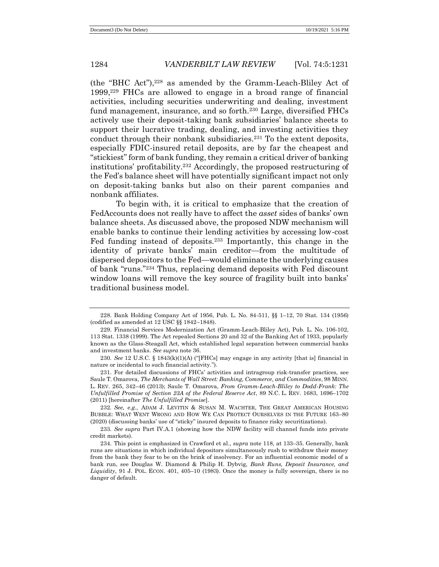(the "BHC Act"),<sup>228</sup> as amended by the Gramm-Leach-Bliley Act of 1999,<sup>229</sup> FHCs are allowed to engage in a broad range of financial activities, including securities underwriting and dealing, investment fund management, insurance, and so forth.<sup>230</sup> Large, diversified FHCs actively use their deposit-taking bank subsidiaries' balance sheets to support their lucrative trading, dealing, and investing activities they conduct through their nonbank subsidiaries.<sup>231</sup> To the extent deposits, especially FDIC-insured retail deposits, are by far the cheapest and "stickiest" form of bank funding, they remain a critical driver of banking institutions' profitability.<sup>232</sup> Accordingly, the proposed restructuring of the Fed's balance sheet will have potentially significant impact not only on deposit-taking banks but also on their parent companies and nonbank affiliates.

To begin with, it is critical to emphasize that the creation of FedAccounts does not really have to affect the *asset* sides of banks' own balance sheets. As discussed above, the proposed NDW mechanism will enable banks to continue their lending activities by accessing low-cost Fed funding instead of deposits.<sup>233</sup> Importantly, this change in the identity of private banks' main creditor—from the multitude of dispersed depositors to the Fed—would eliminate the underlying causes of bank "runs."<sup>234</sup> Thus, replacing demand deposits with Fed discount window loans will remove the key source of fragility built into banks' traditional business model.

<sup>228.</sup> Bank Holding Company Act of 1956, Pub. L. No. 84-511, §§ 1–12, 70 Stat. 134 (1956) (codified as amended at 12 USC §§ 1842–1848).

<sup>229.</sup> Financial Services Modernization Act (Gramm-Leach-Bliley Act), Pub. L. No. 106-102, 113 Stat. 1338 (1999). The Act repealed Sections 20 and 32 of the Banking Act of 1933, popularly known as the Glass-Steagall Act, which established legal separation between commercial banks and investment banks. *See supra* note 36.

<sup>230</sup>*. See* 12 U.S.C. § 1843(k)(1)(A) ("[FHCs] may engage in any activity [that is] financial in nature or incidental to such financial activity.").

<sup>231.</sup> For detailed discussions of FHCs' activities and intragroup risk-transfer practices, see Saule T. Omarova, *The Merchants of Wall Street: Banking, Commerce, and Commodities*, 98 MINN. L. REV. 265, 342–46 (2013); Saule T. Omarova, *From Gramm-Leach-Bliley to Dodd-Frank: The Unfulfilled Promise of Section 23A of the Federal Reserve Act*, 89 N.C. L. REV. 1683, 1696–1702 (2011) [hereinafter *The Unfulfilled Promise*].

<sup>232</sup>*. See, e.g.*, ADAM J. LEVITIN & SUSAN M. WACHTER, THE GREAT AMERICAN HOUSING BUBBLE: WHAT WENT WRONG AND HOW WE CAN PROTECT OURSELVES IN THE FUTURE 163–80 (2020) (discussing banks' use of "sticky" insured deposits to finance risky securitizations).

<sup>233</sup>*. See supra* Part IV.A.1 (showing how the NDW facility will channel funds into private credit markets).

<sup>234.</sup> This point is emphasized in Crawford et al., *supra* note 118, at 133–35. Generally, bank runs are situations in which individual depositors simultaneously rush to withdraw their money from the bank they fear to be on the brink of insolvency. For an influential economic model of a bank run, see Douglas W. Diamond & Philip H. Dybvig, *Bank Runs, Deposit Insurance, and Liquidity*, 91 J. POL. ECON. 401, 405–10 (1983). Once the money is fully sovereign, there is no danger of default.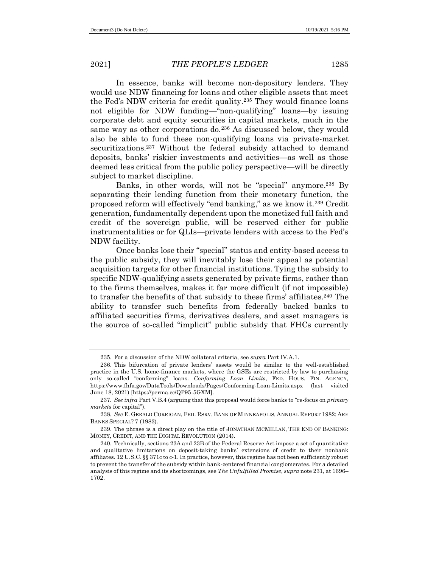In essence, banks will become non-depository lenders. They would use NDW financing for loans and other eligible assets that meet the Fed's NDW criteria for credit quality.<sup>235</sup> They would finance loans not eligible for NDW funding—"non-qualifying" loans—by issuing corporate debt and equity securities in capital markets, much in the same way as other corporations do.<sup>236</sup> As discussed below, they would also be able to fund these non-qualifying loans via private-market securitizations.<sup>237</sup> Without the federal subsidy attached to demand deposits, banks' riskier investments and activities—as well as those deemed less critical from the public policy perspective—will be directly subject to market discipline.

Banks, in other words, will not be "special" anymore. <sup>238</sup> By separating their lending function from their monetary function, the proposed reform will effectively "end banking," as we know it.<sup>239</sup> Credit generation*,* fundamentally dependent upon the monetized full faith and credit of the sovereign public, will be reserved either for public instrumentalities or for QLIs—private lenders with access to the Fed's NDW facility.

Once banks lose their "special" status and entity-based access to the public subsidy, they will inevitably lose their appeal as potential acquisition targets for other financial institutions. Tying the subsidy to specific NDW-qualifying assets generated by private firms, rather than to the firms themselves, makes it far more difficult (if not impossible) to transfer the benefits of that subsidy to these firms' affiliates. <sup>240</sup> The ability to transfer such benefits from federally backed banks to affiliated securities firms, derivatives dealers, and asset managers is the source of so-called "implicit" public subsidy that FHCs currently

<sup>235.</sup> For a discussion of the NDW collateral criteria, see *supra* Part IV.A.1.

<sup>236.</sup> This bifurcation of private lenders' assets would be similar to the well-established practice in the U.S. home-finance markets, where the GSEs are restricted by law to purchasing only so-called "conforming" loans. *Conforming Loan Limits*, FED. HOUS. FIN. AGENCY, https://www.fhfa.gov/DataTools/Downloads/Pages/Conforming-Loan-Limits.aspx (last visited June 18, 2021) [https://perma.cc/QP95-5GXM].

<sup>237</sup>*. See infra* Part V.B.4 (arguing that this proposal would force banks to "re-focus on *primary markets* for capital").

<sup>238</sup>*. See* E. GERALD CORRIGAN, FED. RSRV. BANK OF MINNEAPOLIS, ANNUAL REPORT 1982: ARE BANKS SPECIAL? 7 (1983).

<sup>239.</sup> The phrase is a direct play on the title of JONATHAN MCMILLAN, THE END OF BANKING: MONEY, CREDIT, AND THE DIGITAL REVOLUTION (2014).

<sup>240.</sup> Technically, sections 23A and 23B of the Federal Reserve Act impose a set of quantitative and qualitative limitations on deposit-taking banks' extensions of credit to their nonbank affiliates. 12 U.S.C. §§ 371c to c-1. In practice, however, this regime has not been sufficiently robust to prevent the transfer of the subsidy within bank-centered financial conglomerates. For a detailed analysis of this regime and its shortcomings, see *The Unfulfilled Promise*, *supra* note 231, at 1696– 1702.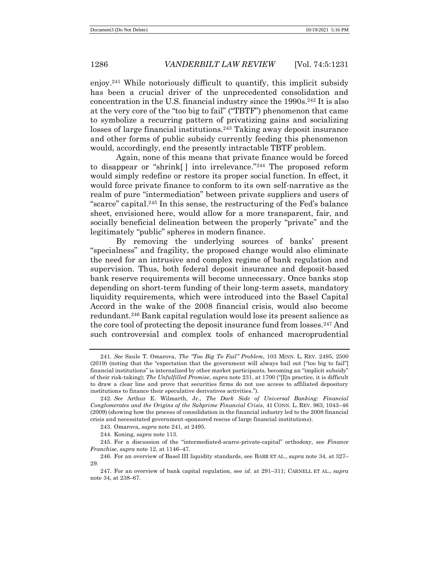enjoy.<sup>241</sup> While notoriously difficult to quantify, this implicit subsidy has been a crucial driver of the unprecedented consolidation and concentration in the U.S. financial industry since the  $1990s<sup>242</sup>$  It is also at the very core of the "too big to fail" ("TBTF") phenomenon that came to symbolize a recurring pattern of privatizing gains and socializing losses of large financial institutions.<sup>243</sup> Taking away deposit insurance and other forms of public subsidy currently feeding this phenomenon would, accordingly, end the presently intractable TBTF problem.

Again, none of this means that private finance would be forced to disappear or "shrink[ ] into irrelevance."<sup>244</sup> The proposed reform would simply redefine or restore its proper social function. In effect, it would force private finance to conform to its own self-narrative as the realm of pure "intermediation" between private suppliers and users of "scarce" capital.<sup>245</sup> In this sense, the restructuring of the Fed's balance sheet, envisioned here, would allow for a more transparent, fair, and socially beneficial delineation between the properly "private" and the legitimately "public" spheres in modern finance.

By removing the underlying sources of banks' present "specialness" and fragility, the proposed change would also eliminate the need for an intrusive and complex regime of bank regulation and supervision. Thus, both federal deposit insurance and deposit-based bank reserve requirements will become unnecessary. Once banks stop depending on short-term funding of their long-term assets, mandatory liquidity requirements, which were introduced into the Basel Capital Accord in the wake of the 2008 financial crisis, would also become redundant.<sup>246</sup> Bank capital regulation would lose its present salience as the core tool of protecting the deposit insurance fund from losses.<sup>247</sup> And such controversial and complex tools of enhanced macroprudential

243. Omarova, *supra* note 241*,* at 2495.

<sup>241</sup>*. See* Saule T. Omarova, *The "Too Big To Fail" Problem*, 103 MINN. L. REV. 2495, 2500 (2019) (noting that the "expectation that the government will always bail out ["too big to fail"] financial institutions" is internalized by other market participants, becoming an "implicit subsidy" of their risk-taking); *The Unfulfilled Promise*, *supra* note 231, at 1700 ("[I]n practice, it is difficult to draw a clear line and prove that securities firms do not use access to affiliated depository institutions to finance their speculative derivatives activities.").

<sup>242</sup>*. See* Arthur E. Wilmarth, Jr., *The Dark Side of Universal Banking: Financial Conglomerates and the Origins of the Subprime Financial Crisis*, 41 CONN. L. REV. 963, 1043–46 (2009) (showing how the process of consolidation in the financial industry led to the 2008 financial crisis and necessitated government-sponsored rescue of large financial institutions).

<sup>244.</sup> Koning, *supra* note 113.

<sup>245.</sup> For a discussion of the "intermediated-scarce-private-capital" orthodoxy, see *Finance Franchise*, *supra* note 12, at 1146–47.

<sup>246.</sup> For an overview of Basel III liquidity standards, see BARR ET AL., *supra* note 34, at 327– 29.

<sup>247.</sup> For an overview of bank capital regulation, see *id.* at 291–311; CARNELL ET AL., *supra*  note 34, at 238–67.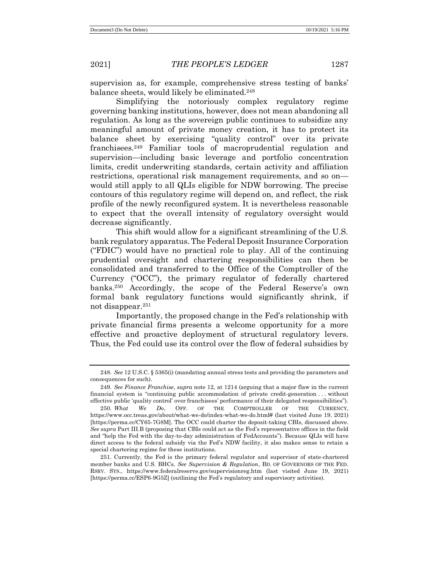supervision as, for example, comprehensive stress testing of banks' balance sheets, would likely be eliminated.<sup>248</sup>

Simplifying the notoriously complex regulatory regime governing banking institutions, however, does not mean abandoning all regulation. As long as the sovereign public continues to subsidize any meaningful amount of private money creation, it has to protect its balance sheet by exercising "quality control" over its private franchisees.<sup>249</sup> Familiar tools of macroprudential regulation and supervision—including basic leverage and portfolio concentration limits, credit underwriting standards, certain activity and affiliation restrictions, operational risk management requirements, and so on would still apply to all QLIs eligible for NDW borrowing. The precise contours of this regulatory regime will depend on, and reflect, the risk profile of the newly reconfigured system. It is nevertheless reasonable to expect that the overall intensity of regulatory oversight would decrease significantly.

This shift would allow for a significant streamlining of the U.S. bank regulatory apparatus. The Federal Deposit Insurance Corporation ("FDIC") would have no practical role to play. All of the continuing prudential oversight and chartering responsibilities can then be consolidated and transferred to the Office of the Comptroller of the Currency ("OCC"), the primary regulator of federally chartered banks.<sup>250</sup> Accordingly, the scope of the Federal Reserve's own formal bank regulatory functions would significantly shrink, if not disappear.<sup>251</sup>

Importantly, the proposed change in the Fed's relationship with private financial firms presents a welcome opportunity for a more effective and proactive deployment of structural regulatory levers. Thus, the Fed could use its control over the flow of federal subsidies by

<sup>248</sup>*. See* 12 U.S.C. § 5365(i) (mandating annual stress tests and providing the parameters and consequences for such).

<sup>249</sup>*. See Finance Franchise*, *supra* note 12, at 1214 (arguing that a major flaw in the current financial system is "continuing public accommodation of private credit-generation . . . without effective public 'quality control' over franchisees' performance of their delegated responsibilities"). 250*. What We Do*, OFF. OF THE COMPTROLLER OF THE CURRENCY, https://www.occ.treas.gov/about/what-we-do/index-what-we-do.html# (last visited June 19, 2021) [https://perma.cc/CY65-7G8M]. The OCC could charter the deposit-taking CBIs, discussed above. *See supra* Part III.B (proposing that CBIs could act as the Fed's representative offices in the field

and "help the Fed with the day-to-day administration of FedAccounts"). Because QLIs will have direct access to the federal subsidy via the Fed's NDW facility, it also makes sense to retain a special chartering regime for these institutions.

<sup>251.</sup> Currently, the Fed is the primary federal regulator and supervisor of state-chartered member banks and U.S. BHCs. *See Supervision & Regulation*, BD. OF GOVERNORS OF THE FED. RSRV. SYS., https://www.federalreserve.gov/supervisionreg.htm (last visited June 19, 2021) [https://perma.cc/ESP6-9G5Z] (outlining the Fed's regulatory and supervisory activities).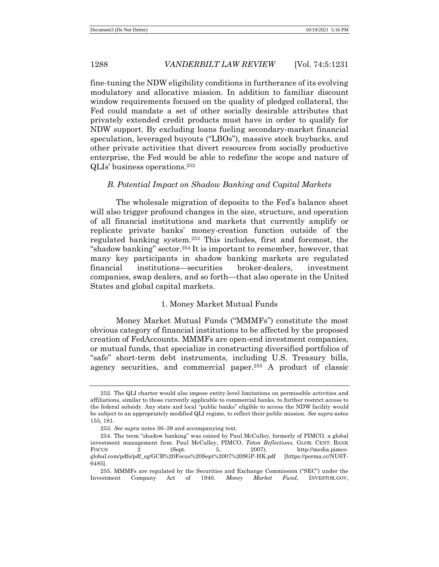fine-tuning the NDW eligibility conditions in furtherance of its evolving modulatory and allocative mission. In addition to familiar discount window requirements focused on the quality of pledged collateral, the Fed could mandate a set of other socially desirable attributes that privately extended credit products must have in order to qualify for NDW support. By excluding loans fueling secondary-market financial speculation, leveraged buyouts ("LBOs"), massive stock buybacks, and other private activities that divert resources from socially productive enterprise, the Fed would be able to redefine the scope and nature of QLIs' business operations.<sup>252</sup>

# *B. Potential Impact on Shadow Banking and Capital Markets*

The wholesale migration of deposits to the Fed's balance sheet will also trigger profound changes in the size, structure, and operation of all financial institutions and markets that currently amplify or replicate private banks' money-creation function outside of the regulated banking system.<sup>253</sup> This includes, first and foremost, the "shadow banking" sector.<sup>254</sup> It is important to remember, however, that many key participants in shadow banking markets are regulated financial institutions—securities broker-dealers, investment companies, swap dealers, and so forth—that also operate in the United States and global capital markets.

# 1. Money Market Mutual Funds

Money Market Mutual Funds ("MMMFs") constitute the most obvious category of financial institutions to be affected by the proposed creation of FedAccounts. MMMFs are open-end investment companies, or mutual funds, that specialize in constructing diversified portfolios of "safe" short-term debt instruments, including U.S. Treasury bills, agency securities, and commercial paper.<sup>255</sup> A product of classic

<sup>252.</sup> The QLI charter would also impose entity-level limitations on permissible activities and affiliations, similar to those currently applicable to commercial banks, to further restrict access to the federal subsidy. Any state and local "public banks" eligible to access the NDW facility would be subject to an appropriately modified QLI regime, to reflect their public mission. *See supra* notes 155, 181.

<sup>253</sup>*. See supra* notes 36–39 and accompanying text.

<sup>254.</sup> The term "shadow banking" was coined by Paul McCulley, formerly of PIMCO, a global investment management firm. Paul McCulley, PIMCO, *Teton Reflections*, GLOB. CENT. BANK FOCUS 2 (Sept. 5, 2007), http://media.pimcoglobal.com/pdfs/pdf\_sg/GCB%20Focus%20Sept%2007%20SGP-HK.pdf [https://perma.cc/NU6T-6485].

<sup>255.</sup> MMMFs are regulated by the Securities and Exchange Commission ("SEC") under the Investment Company Act of 1940. *Money Market Fund*, INVESTOR.GOV,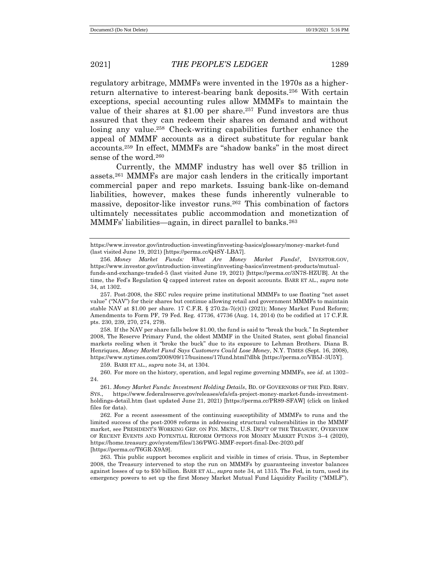regulatory arbitrage, MMMFs were invented in the 1970s as a higherreturn alternative to interest-bearing bank deposits.<sup>256</sup> With certain exceptions, special accounting rules allow MMMFs to maintain the value of their shares at \$1.00 per share.<sup>257</sup> Fund investors are thus assured that they can redeem their shares on demand and without losing any value.<sup>258</sup> Check-writing capabilities further enhance the appeal of MMMF accounts as a direct substitute for regular bank accounts.<sup>259</sup> In effect, MMMFs are "shadow banks" in the most direct sense of the word.<sup>260</sup>

Currently, the MMMF industry has well over \$5 trillion in assets.<sup>261</sup> MMMFs are major cash lenders in the critically important commercial paper and repo markets. Issuing bank-like on-demand liabilities, however, makes these funds inherently vulnerable to massive, depositor-like investor runs.<sup>262</sup> This combination of factors ultimately necessitates public accommodation and monetization of MMMFs' liabilities—again, in direct parallel to banks.<sup>263</sup>

258. If the NAV per share falls below \$1.00, the fund is said to "break the buck." In September 2008, The Reserve Primary Fund, the oldest MMMF in the United States, sent global financial markets reeling when it "broke the buck" due to its exposure to Lehman Brothers. Diana B. Henriques, *Money Market Fund Says Customers Could Lose Money*, N.Y. TIMES (Sept. 16, 2008), https://www.nytimes.com/2008/09/17/business/17fund.html?dlbk [https://perma.cc/VB5J-3U5Y].

259. BARR ET AL., *supra* note 34, at 1304.

260. For more on the history, operation, and legal regime governing MMMFs, see *id.* at 1302– 24.

https://www.investor.gov/introduction-investing/investing-basics/glossary/money-market-fund (last visited June 19, 2021) [https://perma.cc/Q4SY-LBA7].

<sup>256</sup>*. Money Market Funds: What Are Money Market Funds?*, INVESTOR.GOV, https://www.investor.gov/introduction-investing/investing-basics/investment-products/mutualfunds-and-exchange-traded-5 (last visited June 19, 2021) [https://perma.cc/3N7S-HZUB]. At the time, the Fed's Regulation Q capped interest rates on deposit accounts. BARR ET AL., *supra* note 34, at 1302.

<sup>257.</sup> Post-2008, the SEC rules require prime institutional MMMFs to use floating "net asset value" ("NAV") for their shares but continue allowing retail and government MMMFs to maintain stable NAV at \$1.00 per share. 17 C.F.R. § 270.2a-7(c)(1) (2021); Money Market Fund Reform; Amendments to Form PF, 79 Fed. Reg. 47736, 47736 (Aug. 14, 2014) (to be codified at 17 C.F.R. pts. 230, 239, 270, 274, 279).

<sup>261.</sup> *Money Market Funds: Investment Holding Details*, BD. OF GOVERNORS OF THE FED. RSRV. SYS., [https://www.federalreserve.gov/releases/efa/efa-project-money-market-funds-investment](https://www.federalreserve.gov/releases/efa/efa-project-money-market-funds-investment-holdings-detail.htm)[holdings-detail.htm](https://www.federalreserve.gov/releases/efa/efa-project-money-market-funds-investment-holdings-detail.htm) (last updated June 21, 2021) [https://perma.cc/PR89-SFAW] (click on linked files for data).

<sup>262.</sup> For a recent assessment of the continuing susceptibility of MMMFs to runs and the limited success of the post-2008 reforms in addressing structural vulnerabilities in the MMMF market, see PRESIDENT'S WORKING GRP. ON FIN. MKTS., U.S. DEP'T OF THE TREASURY, OVERVIEW OF RECENT EVENTS AND POTENTIAL REFORM OPTIONS FOR MONEY MARKET FUNDS 3–4 (2020), https://home.treasury.gov/system/files/136/PWG-MMF-report-final-Dec-2020.pdf [https://perma.cc/T6GR-X9A9].

<sup>263.</sup> This public support becomes explicit and visible in times of crisis. Thus, in September 2008, the Treasury intervened to stop the run on MMMFs by guaranteeing investor balances against losses of up to \$50 billion. BARR ET AL., *supra* note 34, at 1315. The Fed, in turn, used its emergency powers to set up the first Money Market Mutual Fund Liquidity Facility ("MMLF"),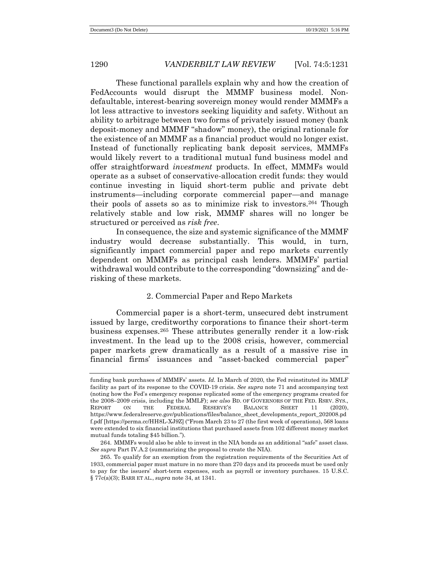These functional parallels explain why and how the creation of FedAccounts would disrupt the MMMF business model. Nondefaultable, interest-bearing sovereign money would render MMMFs a lot less attractive to investors seeking liquidity and safety. Without an ability to arbitrage between two forms of privately issued money (bank deposit-money and MMMF "shadow" money), the original rationale for the existence of an MMMF as a financial product would no longer exist. Instead of functionally replicating bank deposit services, MMMFs would likely revert to a traditional mutual fund business model and offer straightforward *investment* products. In effect, MMMFs would operate as a subset of conservative-allocation credit funds: they would continue investing in liquid short-term public and private debt instruments—including corporate commercial paper—and manage their pools of assets so as to minimize risk to investors.<sup>264</sup> Though relatively stable and low risk, MMMF shares will no longer be structured or perceived as *risk free*.

In consequence, the size and systemic significance of the MMMF industry would decrease substantially. This would, in turn, significantly impact commercial paper and repo markets currently dependent on MMMFs as principal cash lenders. MMMFs' partial withdrawal would contribute to the corresponding "downsizing" and derisking of these markets.

# 2. Commercial Paper and Repo Markets

Commercial paper is a short-term, unsecured debt instrument issued by large, creditworthy corporations to finance their short-term business expenses.<sup>265</sup> These attributes generally render it a low-risk investment. In the lead up to the 2008 crisis, however, commercial paper markets grew dramatically as a result of a massive rise in financial firms' issuances and "asset-backed commercial paper"

funding bank purchases of MMMFs' assets. *Id.* In March of 2020, the Fed reinstituted its MMLF facility as part of its response to the COVID-19 crisis. *See supra* note 71 and accompanying text (noting how the Fed's emergency response replicated some of the emergency programs created for the 2008–2009 crisis, including the MMLF); *see also* BD. OF GOVERNORS OF THE FED. RSRV. SYS., REPORT ON THE FEDERAL RESERVE'S BALANCE SHEET 11 (2020), https://www.federalreserve.gov/publications/files/balance\_sheet\_developments\_report\_202008.pd f.pdf [https://perma.cc/HH8L-XJ9Z] ("From March 23 to 27 (the first week of operations), 568 loans were extended to six financial institutions that purchased assets from 102 different money market mutual funds totaling \$45 billion.").

<sup>264.</sup> MMMFs would also be able to invest in the NIA bonds as an additional "safe" asset class. *See supra* Part IV.A.2 (summarizing the proposal to create the NIA).

<sup>265.</sup> To qualify for an exemption from the registration requirements of the Securities Act of 1933, commercial paper must mature in no more than 270 days and its proceeds must be used only to pay for the issuers' short-term expenses, such as payroll or inventory purchases. 15 U.S.C. § 77c(a)(3); BARR ET AL., *supra* note 34, at 1341.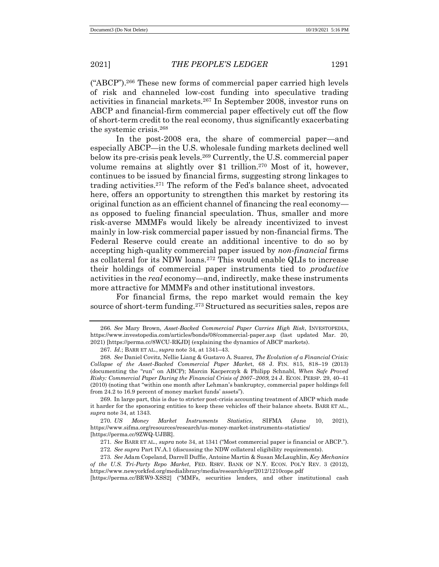("ABCP").<sup>266</sup> These new forms of commercial paper carried high levels of risk and channeled low-cost funding into speculative trading activities in financial markets.<sup>267</sup> In September 2008, investor runs on ABCP and financial-firm commercial paper effectively cut off the flow of short-term credit to the real economy, thus significantly exacerbating the systemic crisis.<sup>268</sup>

In the post-2008 era, the share of commercial paper—and especially ABCP—in the U.S. wholesale funding markets declined well below its pre-crisis peak levels.<sup>269</sup> Currently, the U.S. commercial paper volume remains at slightly over \$1 trillion.<sup>270</sup> Most of it, however, continues to be issued by financial firms, suggesting strong linkages to trading activities.<sup>271</sup> The reform of the Fed's balance sheet, advocated here, offers an opportunity to strengthen this market by restoring its original function as an efficient channel of financing the real economy as opposed to fueling financial speculation. Thus, smaller and more risk-averse MMMFs would likely be already incentivized to invest mainly in low-risk commercial paper issued by non-financial firms. The Federal Reserve could create an additional incentive to do so by accepting high-quality commercial paper issued by *non-financial* firms as collateral for its NDW loans.<sup>272</sup> This would enable QLIs to increase their holdings of commercial paper instruments tied to *productive* activities in the *real* economy—and, indirectly, make these instruments more attractive for MMMFs and other institutional investors.

For financial firms, the repo market would remain the key source of short-term funding.<sup>273</sup> Structured as securities sales, repos are

<sup>266</sup>*. See* Mary Brown, *Asset-Backed Commercial Paper Carries High Risk*, INVESTOPEDIA, https://www.investopedia.com/articles/bonds/08/commercial-paper.asp (last updated Mar. 20, 2021) [https://perma.cc/8WCU-RKJD] (explaining the dynamics of ABCP markets).

<sup>267</sup>*. Id.*; BARR ET AL., *supra* note 34, at 1341–43.

<sup>268</sup>*. See* Daniel Covitz, Nellie Liang & Gustavo A. Suarez, *The Evolution of a Financial Crisis: Collapse of the Asset-Backed Commercial Paper Marke*t, 68 J. FIN. 815, 818–19 (2013) (documenting the "run" on ABCP); Marcin Kacperczyk & Philipp Schnabl, *When Safe Proved Risky: Commercial Paper During the Financial Crisis of 2007–2009*, 24 J. ECON. PERSP. 29, 40–41 (2010) (noting that "within one month after Lehman's bankruptcy, commercial paper holdings fell from 24.2 to 16.9 percent of money market funds' assets").

<sup>269.</sup> In large part, this is due to stricter post-crisis accounting treatment of ABCP which made it harder for the sponsoring entities to keep these vehicles off their balance sheets. BARR ET AL., *supra* note 34, at 1343.

<sup>270</sup>*. US Money Market Instruments Statistics*, SIFMA (June 10, 2021), https://www.sifma.org/resources/research/us-money-market-instruments-statistics/ [https://perma.cc/9ZWQ-UJBR].

<sup>271</sup>*. See* BARR ET AL., *supra* note 34, at 1341 ("Most commercial paper is financial or ABCP.").

<sup>272</sup>*. See supra* Part IV.A.1 (discussing the NDW collateral eligibility requirements).

<sup>273</sup>*. See* Adam Copeland, Darrell Duffie, Antoine Martin & Susan McLaughlin, *Key Mechanics of the U.S. Tri-Party Repo Market*, FED. RSRV. BANK OF N.Y. ECON. POL'Y REV. 3 (2012), https://www.newyorkfed.org/medialibrary/media/research/epr/2012/1210cope.pdf

<sup>[</sup>https://perma.cc/BRW9-XSS2] ("MMFs, securities lenders, and other institutional cash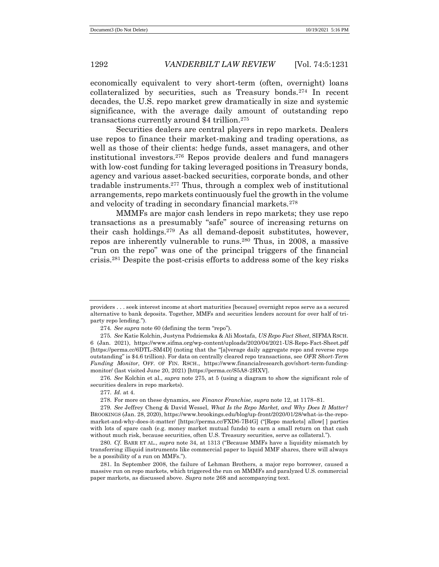economically equivalent to very short-term (often, overnight) loans collateralized by securities, such as Treasury bonds.<sup>274</sup> In recent decades, the U.S. repo market grew dramatically in size and systemic significance, with the average daily amount of outstanding repo transactions currently around \$4 trillion.<sup>275</sup>

Securities dealers are central players in repo markets. Dealers use repos to finance their market-making and trading operations, as well as those of their clients: hedge funds, asset managers, and other institutional investors.<sup>276</sup> Repos provide dealers and fund managers with low-cost funding for taking leveraged positions in Treasury bonds, agency and various asset-backed securities, corporate bonds, and other tradable instruments.<sup>277</sup> Thus, through a complex web of institutional arrangements, repo markets continuously fuel the growth in the volume and velocity of trading in secondary financial markets.<sup>278</sup>

MMMFs are major cash lenders in repo markets; they use repo transactions as a presumably "safe" source of increasing returns on their cash holdings.<sup>279</sup> As all demand-deposit substitutes, however, repos are inherently vulnerable to runs.<sup>280</sup> Thus, in 2008, a massive "run on the repo" was one of the principal triggers of the financial crisis.<sup>281</sup> Despite the post-crisis efforts to address some of the key risks

276*. See* Kolchin et al., *supra* note 275, at 5 (using a diagram to show the significant role of securities dealers in repo markets)*.*

providers . . . seek interest income at short maturities [because] overnight repos serve as a secured alternative to bank deposits. Together, MMFs and securities lenders account for over half of triparty repo lending.").

<sup>274</sup>*. See supra* note 60 (defining the term "repo").

<sup>275</sup>*. See* Katie Kolchin, Justyna Podziemska & Ali Mostafa, *US Repo Fact Sheet*, SIFMA RSCH. 6 (Jan. 2021), https://www.sifma.org/wp-content/uploads/2020/04/2021-US-Repo-Fact-Sheet.pdf [https://perma.cc/6DTL-SM4D] (noting that the "[a]verage daily aggregate repo and reverse repo outstanding" is \$4.6 trillion). For data on centrally cleared repo transactions, see *OFR Short-Term Funding Monitor*, OFF. OF FIN. RSCH., https://www.financialresearch.gov/short-term-fundingmonitor/ (last visited June 20, 2021) [https://perma.cc/S5A8-2HXV].

<sup>277</sup>*. Id.* at 4.

<sup>278.</sup> For more on these dynamics, see *Finance Franchise*, *supra* note 12, at 1178–81.

<sup>279</sup>*. See* Jeffrey Cheng & David Wessel, *What Is the Repo Market, and Why Does It Matter?* BROOKINGS (Jan. 28, 2020), https://www.brookings.edu/blog/up-front/2020/01/28/what-is-the-repomarket-and-why-does-it-matter/ [https://perma.cc/FXD6-7B4G] ("[Repo markets] allow[ ] parties with lots of spare cash (e.g. money market mutual funds) to earn a small return on that cash without much risk, because securities, often U.S. Treasury securities, serve as collateral.").

<sup>280</sup>*. Cf.* BARR ET AL., *supra* note 34, at 1313 ("Because MMFs have a liquidity mismatch by transferring illiquid instruments like commercial paper to liquid MMF shares, there will always be a possibility of a run on MMFs.").

<sup>281.</sup> In September 2008, the failure of Lehman Brothers, a major repo borrower, caused a massive run on repo markets, which triggered the run on MMMFs and paralyzed U.S. commercial paper markets, as discussed above. *Supra* note 268 and accompanying text.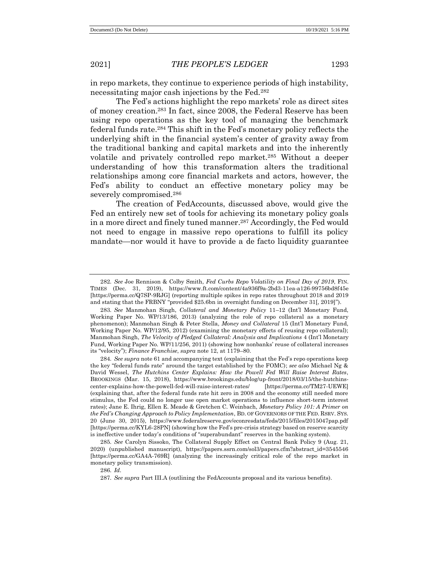in repo markets, they continue to experience periods of high instability, necessitating major cash injections by the Fed.<sup>282</sup>

The Fed's actions highlight the repo markets' role as direct sites of money creation.<sup>283</sup> In fact, since 2008, the Federal Reserve has been using repo operations as the key tool of managing the benchmark federal funds rate.<sup>284</sup> This shift in the Fed's monetary policy reflects the underlying shift in the financial system's center of gravity away from the traditional banking and capital markets and into the inherently volatile and privately controlled repo market.<sup>285</sup> Without a deeper understanding of how this transformation alters the traditional relationships among core financial markets and actors, however, the Fed's ability to conduct an effective monetary policy may be severely compromised.<sup>286</sup>

The creation of FedAccounts, discussed above, would give the Fed an entirely new set of tools for achieving its monetary policy goals in a more direct and finely tuned manner.<sup>287</sup> Accordingly, the Fed would not need to engage in massive repo operations to fulfill its policy mandate—nor would it have to provide a de facto liquidity guarantee

<sup>282</sup>*. See* Joe Rennison & Colby Smith, *Fed Curbs Repo Volatility on Final Day of 2019*, FIN. TIMES (Dec. 31, 2019), https://www.ft.com/content/4a936f9a-2bd3-11ea-a126-99756bd8f45e [https://perma.cc/Q7SP-9RJG] (reporting multiple spikes in repo rates throughout 2018 and 2019 and stating that the FRBNY "provided \$25.6bn in overnight funding on December 31[, 2019]").

<sup>283</sup>*. See* Manmohan Singh, *Collateral and Monetary Policy* 11–12 (Int'l Monetary Fund, Working Paper No. WP/13/186, 2013) (analyzing the role of repo collateral as a monetary phenomenon); Manmohan Singh & Peter Stella, *Money and Collateral* 15 (Int'l Monetary Fund, Working Paper No. WP/12/95, 2012) (examining the monetary effects of reusing repo collateral); Manmohan Singh, *The Velocity of Pledged Collateral: Analysis and Implications* 4 (Int'l Monetary Fund, Working Paper No. WP/11/256, 2011) (showing how nonbanks' reuse of collateral increases its "velocity"); *Finance Franchise*, *supra* note 12, at 1179–80.

<sup>284</sup>*. See supra* note 61 and accompanying text (explaining that the Fed's repo operations keep the key "federal funds rate" around the target established by the FOMC); *see also* Michael Ng & David Wessel, *The Hutchins Center Explains: How the Powell Fed Will Raise Interest Rates*, BROOKINGS (Mar. 15, 2018), https://www.brookings.edu/blog/up-front/2018/03/15/the-hutchinscenter-explains-how-the-powell-fed-will-raise-interest-rates/ [https://perma.cc/TM27-UEWE] (explaining that, after the federal funds rate hit zero in 2008 and the economy still needed more stimulus, the Fed could no longer use open market operations to influence short-term interest rates); Jane E. Ihrig, Ellen E. Meade & Gretchen C. Weinbach, *Monetary Policy 101: A Primer on the Fed's Changing Approach to Policy Implementation*, BD. OF GOVERNORS OF THE FED. RSRV. SYS. 20 (June 30, 2015), https://www.federalreserve.gov/econresdata/feds/2015/files/2015047pap.pdf [https://perma.cc/KYL6-28PN] (showing how the Fed's pre-crisis strategy based on reserve scarcity is ineffective under today's conditions of "superabundant" reserves in the banking system).

<sup>285</sup>*. See* Carolyn Sissoko, The Collateral Supply Effect on Central Bank Policy 9 (Aug. 21, 2020) (unpublished manuscript), https://papers.ssrn.com/sol3/papers.cfm?abstract\_id=3545546 [https://perma.cc/GA4A-769R] (analyzing the increasingly critical role of the repo market in monetary policy transmission).

<sup>286</sup>*. Id.*

<sup>287</sup>*. See supra* Part III.A (outlining the FedAccounts proposal and its various benefits).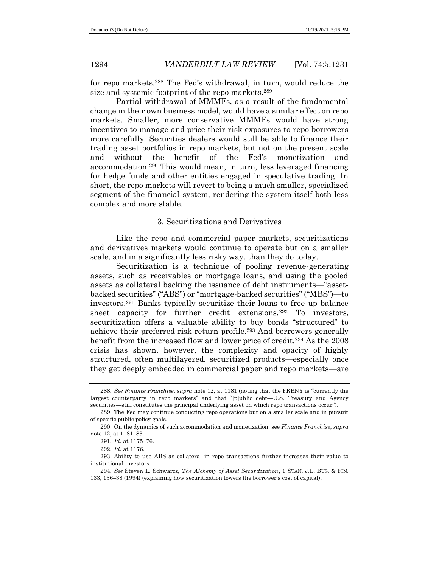for repo markets.<sup>288</sup> The Fed's withdrawal, in turn, would reduce the size and systemic footprint of the repo markets. 289

Partial withdrawal of MMMFs, as a result of the fundamental change in their own business model, would have a similar effect on repo markets. Smaller, more conservative MMMFs would have strong incentives to manage and price their risk exposures to repo borrowers more carefully. Securities dealers would still be able to finance their trading asset portfolios in repo markets, but not on the present scale and without the benefit of the Fed's monetization and accommodation.<sup>290</sup> This would mean, in turn, less leveraged financing for hedge funds and other entities engaged in speculative trading. In short, the repo markets will revert to being a much smaller, specialized segment of the financial system, rendering the system itself both less complex and more stable.

# 3. Securitizations and Derivatives

Like the repo and commercial paper markets, securitizations and derivatives markets would continue to operate but on a smaller scale, and in a significantly less risky way, than they do today.

Securitization is a technique of pooling revenue-generating assets, such as receivables or mortgage loans, and using the pooled assets as collateral backing the issuance of debt instruments—"assetbacked securities" ("ABS") or "mortgage-backed securities" ("MBS")—to investors.<sup>291</sup> Banks typically securitize their loans to free up balance sheet capacity for further credit extensions.<sup>292</sup> To investors, securitization offers a valuable ability to buy bonds "structured" to achieve their preferred risk-return profile.<sup>293</sup> And borrowers generally benefit from the increased flow and lower price of credit.<sup>294</sup> As the 2008 crisis has shown, however, the complexity and opacity of highly structured, often multilayered, securitized products—especially once they get deeply embedded in commercial paper and repo markets—are

<sup>288</sup>*. See Finance Franchise*, *supra* note 12, at 1181 (noting that the FRBNY is "currently the largest counterparty in repo markets" and that "[p]ublic debt—U.S. Treasury and Agency securities—still constitutes the principal underlying asset on which repo transactions occur").

<sup>289.</sup> The Fed may continue conducting repo operations but on a smaller scale and in pursuit of specific public policy goals.

<sup>290.</sup> On the dynamics of such accommodation and monetization, see *Finance Franchise*, *supra* note 12, at 1181–83.

<sup>291</sup>*. Id.* at 1175–76.

<sup>292</sup>*. Id.* at 1176.

<sup>293.</sup> Ability to use ABS as collateral in repo transactions further increases their value to institutional investors.

<sup>294</sup>*. See* Steven L. Schwarcz, *The Alchemy of Asset Securitization*, 1 STAN. J.L. BUS. & FIN. 133, 136–38 (1994) (explaining how securitization lowers the borrower's cost of capital).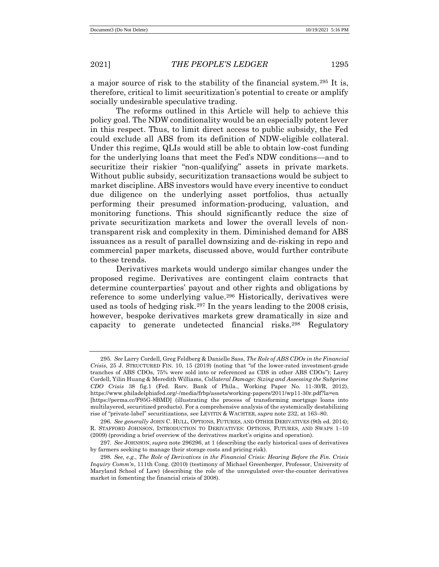a major source of risk to the stability of the financial system.<sup>295</sup> It is, therefore, critical to limit securitization's potential to create or amplify socially undesirable speculative trading.

The reforms outlined in this Article will help to achieve this policy goal. The NDW conditionality would be an especially potent lever in this respect. Thus, to limit direct access to public subsidy, the Fed could exclude all ABS from its definition of NDW-eligible collateral. Under this regime, QLIs would still be able to obtain low-cost funding for the underlying loans that meet the Fed's NDW conditions—and to securitize their riskier "non-qualifying" assets in private markets. Without public subsidy, securitization transactions would be subject to market discipline. ABS investors would have every incentive to conduct due diligence on the underlying asset portfolios, thus actually performing their presumed information-producing, valuation, and monitoring functions. This should significantly reduce the size of private securitization markets and lower the overall levels of nontransparent risk and complexity in them. Diminished demand for ABS issuances as a result of parallel downsizing and de-risking in repo and commercial paper markets, discussed above, would further contribute to these trends.

Derivatives markets would undergo similar changes under the proposed regime. Derivatives are contingent claim contracts that determine counterparties' payout and other rights and obligations by reference to some underlying value.<sup>296</sup> Historically, derivatives were used as tools of hedging risk.<sup>297</sup> In the years leading to the 2008 crisis, however, bespoke derivatives markets grew dramatically in size and capacity to generate undetected financial risks.<sup>298</sup> Regulatory

<sup>295</sup>*. See* Larry Cordell, Greg Feldberg & Danielle Sass, *The Role of ABS CDOs in the Financial Crisis*, 25 J. STRUCTURED FIN. 10, 15 (2019) (noting that "of the lower-rated investment-grade tranches of ABS CDOs, 75% were sold into or referenced as CDS in other ABS CDOs"); Larry Cordell, Yilin Huang & Meredith Williams, *Collateral Damage: Sizing and Assessing the Subprime CDO Crisis* 38 fig.1 (Fed. Rsrv. Bank of Phila., Working Paper No. 11-30/R, 2012), https://www.philadelphiafed.org/-/media/frbp/assets/working-papers/2011/wp11-30r.pdf?la=en [https://perma.cc/F95G-8BMD] (illustrating the process of transforming mortgage loans into multilayered, securitized products). For a comprehensive analysis of the systemically destabilizing rise of "private-label" securitizations, see LEVITIN & WACHTER, *supra* note 232, at 163–80.

<sup>296</sup>*. See generally* JOHN C. HULL, OPTIONS, FUTURES, AND OTHER DERIVATIVES (9th ed. 2014); R. STAFFORD JOHNSON, INTRODUCTION TO DERIVATIVES: OPTIONS, FUTURES, AND SWAPS 1–10 (2009) (providing a brief overview of the derivatives market's origins and operation).

<sup>297</sup>*. See* JOHNSON, *supra* note 296296, at 1 (describing the early historical uses of derivatives by farmers seeking to manage their storage costs and pricing risk).

<sup>298</sup>*. See, e.g.*, *The Role of Derivatives in the Financial Crisis: Hearing Before the Fin. Crisis Inquiry Comm'n*, 111th Cong. (2010) (testimony of Michael Greenberger, Professor, University of Maryland School of Law) (describing the role of the unregulated over-the-counter derivatives market in fomenting the financial crisis of 2008).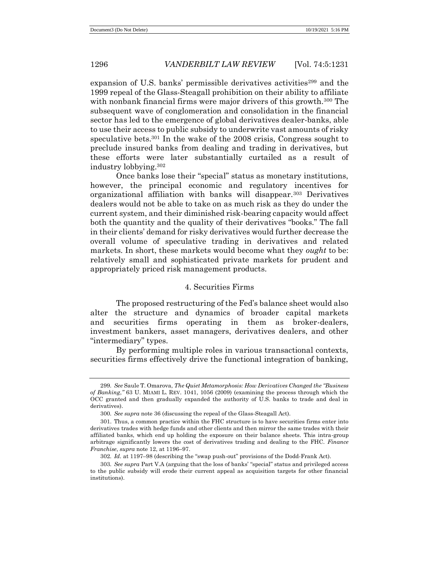expansion of U.S. banks' permissible derivatives activities<sup>299</sup> and the 1999 repeal of the Glass-Steagall prohibition on their ability to affiliate with nonbank financial firms were major drivers of this growth.<sup>300</sup> The subsequent wave of conglomeration and consolidation in the financial sector has led to the emergence of global derivatives dealer-banks, able to use their access to public subsidy to underwrite vast amounts of risky speculative bets.<sup>301</sup> In the wake of the 2008 crisis, Congress sought to preclude insured banks from dealing and trading in derivatives, but these efforts were later substantially curtailed as a result of industry lobbying.<sup>302</sup>

Once banks lose their "special" status as monetary institutions, however, the principal economic and regulatory incentives for organizational affiliation with banks will disappear.<sup>303</sup> Derivatives dealers would not be able to take on as much risk as they do under the current system, and their diminished risk-bearing capacity would affect both the quantity and the quality of their derivatives "books." The fall in their clients' demand for risky derivatives would further decrease the overall volume of speculative trading in derivatives and related markets. In short, these markets would become what they *ought* to be: relatively small and sophisticated private markets for prudent and appropriately priced risk management products.

### 4. Securities Firms

The proposed restructuring of the Fed's balance sheet would also alter the structure and dynamics of broader capital markets and securities firms operating in them as broker-dealers, investment bankers, asset managers, derivatives dealers, and other "intermediary" types.

By performing multiple roles in various transactional contexts, securities firms effectively drive the functional integration of banking,

<sup>299</sup>*. See* Saule T. Omarova, *The Quiet Metamorphosis: How Derivatives Changed the "Business of Banking*,*"* 63 U. MIAMI L. REV. 1041, 1056 (2009) (examining the process through which the OCC granted and then gradually expanded the authority of U.S. banks to trade and deal in derivatives).

<sup>300</sup>*. See supra* note 36 (discussing the repeal of the Glass-Steagall Act).

<sup>301.</sup> Thus, a common practice within the FHC structure is to have securities firms enter into derivatives trades with hedge funds and other clients and then mirror the same trades with their affiliated banks, which end up holding the exposure on their balance sheets. This intra-group arbitrage significantly lowers the cost of derivatives trading and dealing to the FHC. *Finance Franchise*, *supra* note 12, at 1196–97.

<sup>302</sup>*. Id.* at 1197–98 (describing the "swap push-out" provisions of the Dodd-Frank Act).

<sup>303</sup>*. See supra* Part V.A (arguing that the loss of banks' "special" status and privileged access to the public subsidy will erode their current appeal as acquisition targets for other financial institutions).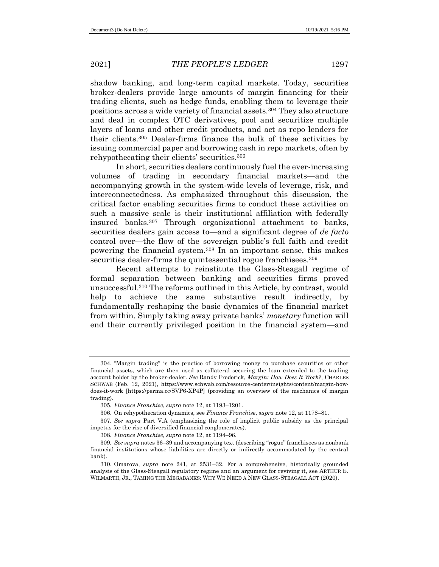shadow banking, and long-term capital markets. Today, securities broker-dealers provide large amounts of margin financing for their trading clients, such as hedge funds, enabling them to leverage their positions across a wide variety of financial assets.<sup>304</sup> They also structure and deal in complex OTC derivatives, pool and securitize multiple layers of loans and other credit products, and act as repo lenders for their clients.<sup>305</sup> Dealer-firms finance the bulk of these activities by issuing commercial paper and borrowing cash in repo markets, often by rehypothecating their clients' securities.<sup>306</sup>

In short, securities dealers continuously fuel the ever-increasing volumes of trading in secondary financial markets—and the accompanying growth in the system-wide levels of leverage, risk, and interconnectedness. As emphasized throughout this discussion, the critical factor enabling securities firms to conduct these activities on such a massive scale is their institutional affiliation with federally insured banks.<sup>307</sup> Through organizational attachment to banks, securities dealers gain access to—and a significant degree of *de facto* control over—the flow of the sovereign public's full faith and credit powering the financial system.<sup>308</sup> In an important sense, this makes securities dealer-firms the quintessential rogue franchisees.<sup>309</sup>

Recent attempts to reinstitute the Glass-Steagall regime of formal separation between banking and securities firms proved unsuccessful.<sup>310</sup> The reforms outlined in this Article, by contrast, would help to achieve the same substantive result indirectly, by fundamentally reshaping the basic dynamics of the financial market from within. Simply taking away private banks' *monetary* function will end their currently privileged position in the financial system—and

<sup>304.</sup> "Margin trading" is the practice of borrowing money to purchase securities or other financial assets, which are then used as collateral securing the loan extended to the trading account holder by the broker-dealer. *See* Randy Frederick, *Margin: How Does It Work?*, CHARLES SCHWAB (Feb. 12, 2021), https://www.schwab.com/resource-center/insights/content/margin-howdoes-it-work [https://perma.cc/SVP6-XP4P] (providing an overview of the mechanics of margin trading).

<sup>305</sup>*. Finance Franchise*, *supra* note 12, at 1193–1201.

<sup>306.</sup> On rehypothecation dynamics, see *Finance Franchise*, *supra* note 12, at 1178–81.

<sup>307</sup>*. See supra* Part V.A (emphasizing the role of implicit public subsidy as the principal impetus for the rise of diversified financial conglomerates)*.*

<sup>308</sup>*. Finance Franchise*, *supra* note 12, at 1194–96.

<sup>309</sup>*. See supra* notes 36–39 and accompanying text (describing "rogue" franchisees as nonbank financial institutions whose liabilities are directly or indirectly accommodated by the central bank).

<sup>310.</sup> Omarova, *supra* note 241, at 2531–32. For a comprehensive, historically grounded analysis of the Glass-Steagall regulatory regime and an argument for reviving it, see ARTHUR E. WILMARTH, JR., TAMING THE MEGABANKS: WHY WE NEED A NEW GLASS-STEAGALL ACT (2020).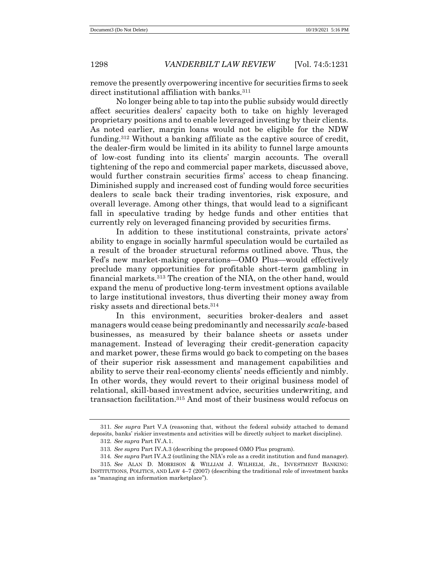remove the presently overpowering incentive for securities firms to seek direct institutional affiliation with banks.<sup>311</sup>

No longer being able to tap into the public subsidy would directly affect securities dealers' capacity both to take on highly leveraged proprietary positions and to enable leveraged investing by their clients. As noted earlier, margin loans would not be eligible for the NDW funding.<sup>312</sup> Without a banking affiliate as the captive source of credit, the dealer-firm would be limited in its ability to funnel large amounts of low-cost funding into its clients' margin accounts. The overall tightening of the repo and commercial paper markets, discussed above, would further constrain securities firms' access to cheap financing. Diminished supply and increased cost of funding would force securities dealers to scale back their trading inventories, risk exposure, and overall leverage. Among other things, that would lead to a significant fall in speculative trading by hedge funds and other entities that currently rely on leveraged financing provided by securities firms.

In addition to these institutional constraints, private actors' ability to engage in socially harmful speculation would be curtailed as a result of the broader structural reforms outlined above. Thus, the Fed's new market-making operations—OMO Plus—would effectively preclude many opportunities for profitable short-term gambling in financial markets.<sup>313</sup> The creation of the NIA, on the other hand, would expand the menu of productive long-term investment options available to large institutional investors, thus diverting their money away from risky assets and directional bets.<sup>314</sup>

In this environment, securities broker-dealers and asset managers would cease being predominantly and necessarily *scale*-based businesses, as measured by their balance sheets or assets under management. Instead of leveraging their credit-generation capacity and market power, these firms would go back to competing on the bases of their superior risk assessment and management capabilities and ability to serve their real-economy clients' needs efficiently and nimbly. In other words, they would revert to their original business model of relational, skill-based investment advice, securities underwriting, and transaction facilitation.<sup>315</sup> And most of their business would refocus on

<sup>311</sup>*. See supra* Part V.A (reasoning that, without the federal subsidy attached to demand deposits, banks' riskier investments and activities will be directly subject to market discipline).

<sup>312</sup>*. See supra* Part IV.A.1.

<sup>313</sup>*. See supra* Part IV.A.3 (describing the proposed OMO Plus program).

<sup>314</sup>*. See supra* Part IV.A.2 (outlining the NIA's role as a credit institution and fund manager). 315*. See* ALAN D. MORRISON & WILLIAM J. WILHELM, JR., INVESTMENT BANKING: INSTITUTIONS, POLITICS, AND LAW 4–7 (2007) (describing the traditional role of investment banks as "managing an information marketplace").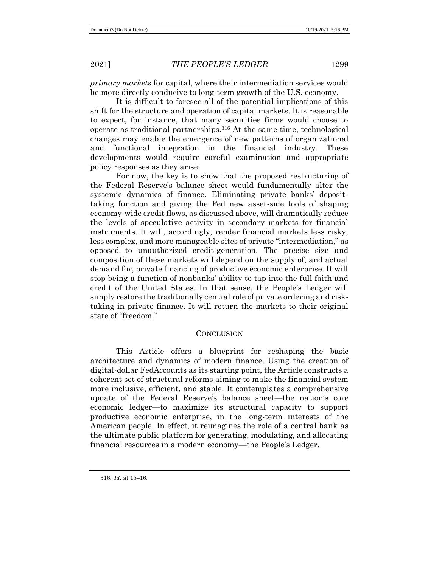*primary markets* for capital, where their intermediation services would be more directly conducive to long-term growth of the U.S. economy.

It is difficult to foresee all of the potential implications of this shift for the structure and operation of capital markets. It is reasonable to expect, for instance, that many securities firms would choose to operate as traditional partnerships.<sup>316</sup> At the same time, technological changes may enable the emergence of new patterns of organizational and functional integration in the financial industry. These developments would require careful examination and appropriate policy responses as they arise.

For now, the key is to show that the proposed restructuring of the Federal Reserve's balance sheet would fundamentally alter the systemic dynamics of finance. Eliminating private banks' deposittaking function and giving the Fed new asset-side tools of shaping economy-wide credit flows, as discussed above, will dramatically reduce the levels of speculative activity in secondary markets for financial instruments. It will, accordingly, render financial markets less risky, less complex, and more manageable sites of private "intermediation," as opposed to unauthorized credit-generation. The precise size and composition of these markets will depend on the supply of, and actual demand for, private financing of productive economic enterprise. It will stop being a function of nonbanks' ability to tap into the full faith and credit of the United States. In that sense, the People's Ledger will simply restore the traditionally central role of private ordering and risktaking in private finance. It will return the markets to their original state of "freedom."

### **CONCLUSION**

This Article offers a blueprint for reshaping the basic architecture and dynamics of modern finance. Using the creation of digital-dollar FedAccounts as its starting point, the Article constructs a coherent set of structural reforms aiming to make the financial system more inclusive, efficient, and stable. It contemplates a comprehensive update of the Federal Reserve's balance sheet—the nation's core economic ledger—to maximize its structural capacity to support productive economic enterprise, in the long-term interests of the American people. In effect, it reimagines the role of a central bank as the ultimate public platform for generating, modulating, and allocating financial resources in a modern economy—the People's Ledger.

<sup>316</sup>*. Id.* at 15–16.